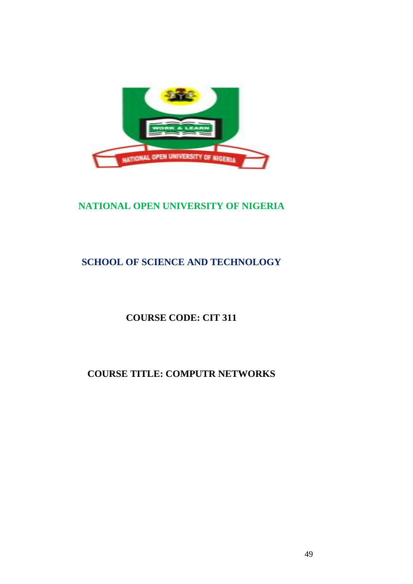

# **NATIONAL OPEN UNIVERSITY OF NIGERIA**

# **SCHOOL OF SCIENCE AND TECHNOLOGY**

**COURSE CODE: CIT 311**

# **COURSE TITLE: COMPUTR NETWORKS**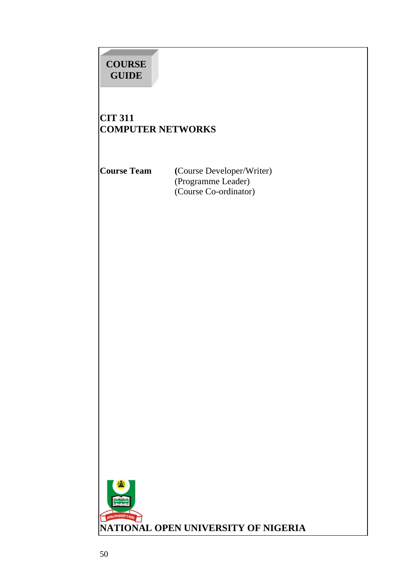# **COURSE GUIDE**

# **CIT 311 COMPUTER NETWORKS**

**Course Team (**Course Developer/Writer) (Programme Leader) (Course Co-ordinator)

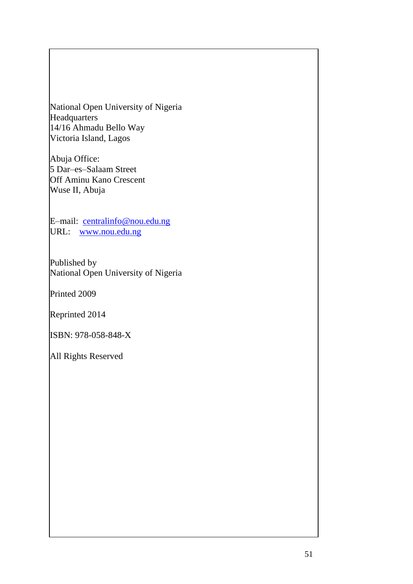National Open University of Nigeria **Headquarters** 14/16 Ahmadu Bello Way Victoria Island, Lagos

Abuja Office: 5 Dar–es–Salaam Street Off Aminu Kano Crescent Wuse II, Abuja

E-mail: [centralinfo@nou.edu.ng](mailto:centralinfo@nou.edu.ng) URL: [www.nou.edu.ng](http://www.nou.edu.ng/)

Published by National Open University of Nigeria

Printed 2009

Reprinted 2014

ISBN: 978-058-848-X

All Rights Reserved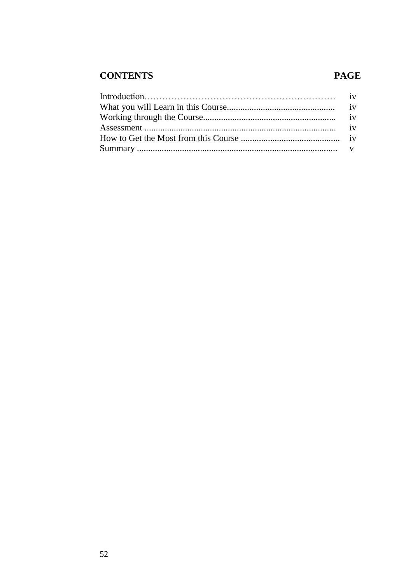# **CONTENTS**

## **PAGE**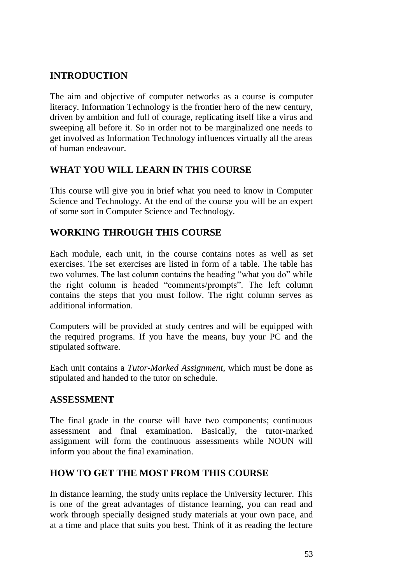## **INTRODUCTION**

The aim and objective of computer networks as a course is computer literacy. Information Technology is the frontier hero of the new century, driven by ambition and full of courage, replicating itself like a virus and sweeping all before it. So in order not to be marginalized one needs to get involved as Information Technology influences virtually all the areas of human endeavour.

## **WHAT YOU WILL LEARN IN THIS COURSE**

This course will give you in brief what you need to know in Computer Science and Technology. At the end of the course you will be an expert of some sort in Computer Science and Technology.

## **WORKING THROUGH THIS COURSE**

Each module, each unit, in the course contains notes as well as set exercises. The set exercises are listed in form of a table. The table has two volumes. The last column contains the heading "what you do" while the right column is headed "comments/prompts". The left column contains the steps that you must follow. The right column serves as additional information.

Computers will be provided at study centres and will be equipped with the required programs. If you have the means, buy your PC and the stipulated software.

Each unit contains a *Tutor-Marked Assignment*, which must be done as stipulated and handed to the tutor on schedule.

### **ASSESSMENT**

The final grade in the course will have two components; continuous assessment and final examination. Basically, the tutor-marked assignment will form the continuous assessments while NOUN will inform you about the final examination.

### **HOW TO GET THE MOST FROM THIS COURSE**

In distance learning, the study units replace the University lecturer. This is one of the great advantages of distance learning, you can read and work through specially designed study materials at your own pace, and at a time and place that suits you best. Think of it as reading the lecture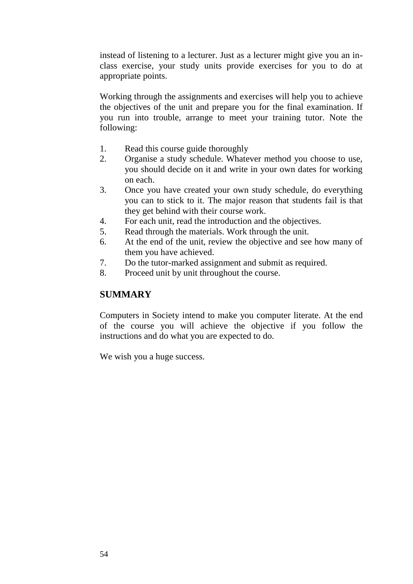instead of listening to a lecturer. Just as a lecturer might give you an inclass exercise, your study units provide exercises for you to do at appropriate points.

Working through the assignments and exercises will help you to achieve the objectives of the unit and prepare you for the final examination. If you run into trouble, arrange to meet your training tutor. Note the following:

- 1. Read this course guide thoroughly
- 2. Organise a study schedule. Whatever method you choose to use, you should decide on it and write in your own dates for working on each.
- 3. Once you have created your own study schedule, do everything you can to stick to it. The major reason that students fail is that they get behind with their course work.
- 4. For each unit, read the introduction and the objectives.
- 5. Read through the materials. Work through the unit.
- 6. At the end of the unit, review the objective and see how many of them you have achieved.
- 7. Do the tutor-marked assignment and submit as required.
- 8. Proceed unit by unit throughout the course.

#### **SUMMARY**

Computers in Society intend to make you computer literate. At the end of the course you will achieve the objective if you follow the instructions and do what you are expected to do.

We wish you a huge success.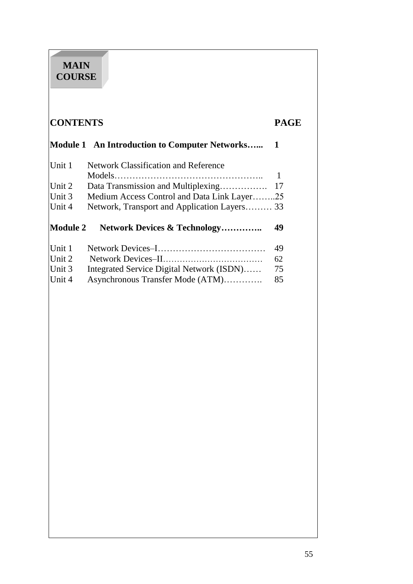# **MAIN COURSE**

# **CONTENTS PAGE**

|                 | Module 1 An Introduction to Computer Networks |     |
|-----------------|-----------------------------------------------|-----|
| Unit 1          | <b>Network Classification and Reference</b>   |     |
|                 |                                               |     |
| Unit 2          | Data Transmission and Multiplexing            | -17 |
| Unit 3          | Medium Access Control and Data Link Layer25   |     |
| Unit 4          | Network, Transport and Application Layers 33  |     |
| <b>Module 2</b> | <b>Network Devices &amp; Technology</b>       | 49  |
| Unit 1          |                                               | 49  |
| Unit 2          |                                               | 62  |
| Unit 3          | Integrated Service Digital Network (ISDN)     | 75  |
| Unit 4          | Asynchronous Transfer Mode (ATM)              | 85  |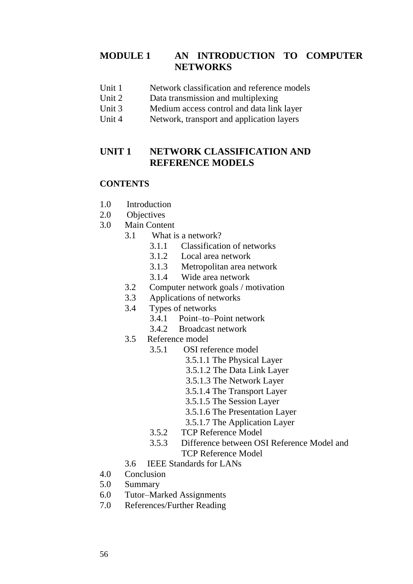## **MODULE 1 AN INTRODUCTION TO COMPUTER NETWORKS**

- Unit 1 Network classification and reference models
- Unit 2 Data transmission and multiplexing
- Unit 3 Medium access control and data link layer
- Unit 4 Network, transport and application layers

#### **UNIT 1 NETWORK CLASSIFICATION AND REFERENCE MODELS**

#### **CONTENTS**

- 1.0 Introduction
- 2.0 Objectives
- 3.0 Main Content
	- 3.1 What is a network?
		- 3.1.1 Classification of networks
		- 3.1.2 Local area network
		- 3.1.3 Metropolitan area network
		- 3.1.4 Wide area network
	- 3.2 Computer network goals / motivation
	- 3.3 Applications of networks
	- 3.4 Types of networks
		- 3.4.1 Point–to–Point network
		- 3.4.2 Broadcast network
	- 3.5 Reference model
		- 3.5.1 OSI reference model
			- 3.5.1.1 The Physical Layer
			- 3.5.1.2 The Data Link Layer
			- 3.5.1.3 The Network Layer
			- 3.5.1.4 The Transport Layer
			- 3.5.1.5 The Session Layer
			- 3.5.1.6 The Presentation Layer
			- 3.5.1.7 The Application Layer
		- 3.5.2 TCP Reference Model
		- 3.5.3 Difference between OSI Reference Model and TCP Reference Model
	- 3.6 IEEE Standards for LANs
- 4.0 Conclusion
- 5.0 Summary
- 6.0 Tutor–Marked Assignments
- 7.0 References/Further Reading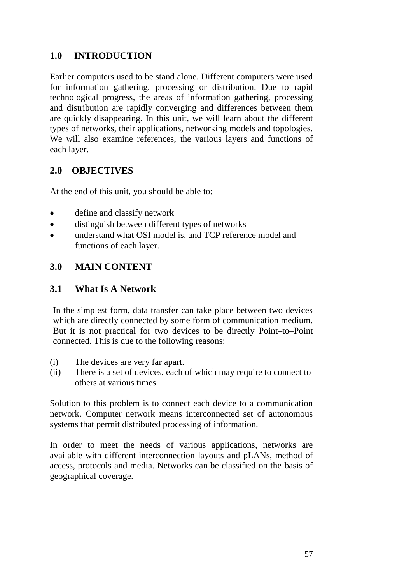## **1.0 INTRODUCTION**

Earlier computers used to be stand alone. Different computers were used for information gathering, processing or distribution. Due to rapid technological progress, the areas of information gathering, processing and distribution are rapidly converging and differences between them are quickly disappearing. In this unit, we will learn about the different types of networks, their applications, networking models and topologies. We will also examine references, the various layers and functions of each layer.

## **2.0 OBJECTIVES**

At the end of this unit, you should be able to:

- define and classify network
- distinguish between different types of networks
- understand what OSI model is, and TCP reference model and functions of each layer.

## **3.0 MAIN CONTENT**

## **3.1 What Is A Network**

In the simplest form, data transfer can take place between two devices which are directly connected by some form of communication medium. But it is not practical for two devices to be directly Point–to–Point connected. This is due to the following reasons:

- (i)The devices are very far apart.
- (ii) There is a set of devices, each of which may require to connect to others at various times.

Solution to this problem is to connect each device to a communication network. Computer network means interconnected set of autonomous systems that permit distributed processing of information.

In order to meet the needs of various applications, networks are available with different interconnection layouts and pLANs, method of access, protocols and media. Networks can be classified on the basis of geographical coverage.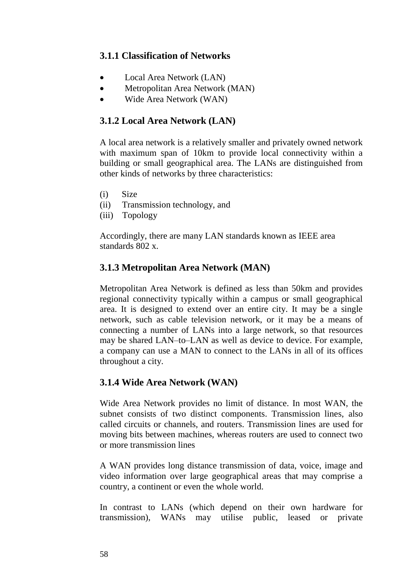## **3.1.1 Classification of Networks**

- Local Area Network (LAN)
- Metropolitan Area Network (MAN)
- Wide Area Network (WAN)

## **3.1.2 Local Area Network (LAN)**

A local area network is a relatively smaller and privately owned network with maximum span of 10km to provide local connectivity within a building or small geographical area. The LANs are distinguished from other kinds of networks by three characteristics:

- (i) Size
- (ii) Transmission technology, and
- (iii) Topology

Accordingly, there are many LAN standards known as IEEE area standards 802 x.

## **3.1.3 Metropolitan Area Network (MAN)**

Metropolitan Area Network is defined as less than 50km and provides regional connectivity typically within a campus or small geographical area. It is designed to extend over an entire city. It may be a single network, such as cable television network, or it may be a means of connecting a number of LANs into a large network, so that resources may be shared LAN–to–LAN as well as device to device. For example, a company can use a MAN to connect to the LANs in all of its offices throughout a city.

### **3.1.4 Wide Area Network (WAN)**

Wide Area Network provides no limit of distance. In most WAN, the subnet consists of two distinct components. Transmission lines, also called circuits or channels, and routers. Transmission lines are used for moving bits between machines, whereas routers are used to connect two or more transmission lines

A WAN provides long distance transmission of data, voice, image and video information over large geographical areas that may comprise a country, a continent or even the whole world.

In contrast to LANs (which depend on their own hardware for transmission), WANs may utilise public, leased or private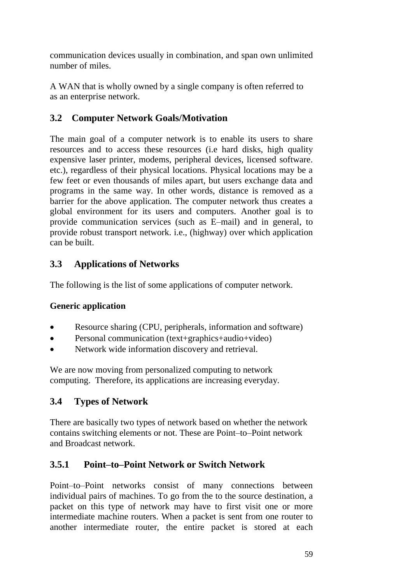communication devices usually in combination, and span own unlimited number of miles.

A WAN that is wholly owned by a single company is often referred to as an enterprise network.

## **3.2 Computer Network Goals/Motivation**

The main goal of a computer network is to enable its users to share resources and to access these resources (i.e hard disks, high quality expensive laser printer, modems, peripheral devices, licensed software. etc.), regardless of their physical locations. Physical locations may be a few feet or even thousands of miles apart, but users exchange data and programs in the same way. In other words, distance is removed as a barrier for the above application. The computer network thus creates a global environment for its users and computers. Another goal is to provide communication services (such as E–mail) and in general, to provide robust transport network. i.e., (highway) over which application can be built.

## **3.3 Applications of Networks**

The following is the list of some applications of computer network.

### **Generic application**

- Resource sharing (CPU, peripherals, information and software)
- Personal communication (text+graphics+audio+video)
- Network wide information discovery and retrieval.

We are now moving from personalized computing to network computing. Therefore, its applications are increasing everyday.

### **3.4 Types of Network**

There are basically two types of network based on whether the network contains switching elements or not. These are Point–to–Point network and Broadcast network.

## **3.5.1 Point–to–Point Network or Switch Network**

Point–to–Point networks consist of many connections between individual pairs of machines. To go from the to the source destination, a packet on this type of network may have to first visit one or more intermediate machine routers. When a packet is sent from one router to another intermediate router, the entire packet is stored at each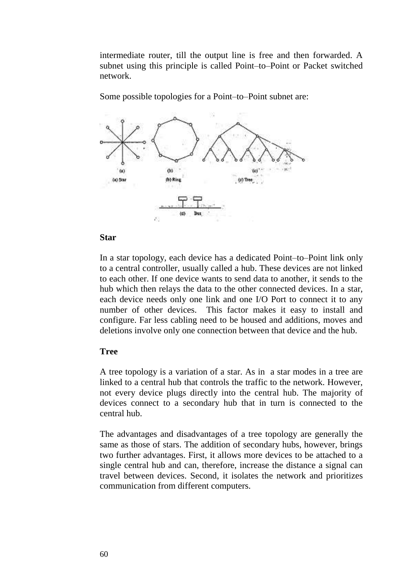intermediate router, till the output line is free and then forwarded. A subnet using this principle is called Point–to–Point or Packet switched network.



Some possible topologies for a Point–to–Point subnet are:

#### **Star**

In a star topology, each device has a dedicated Point–to–Point link only to a central controller, usually called a hub. These devices are not linked to each other. If one device wants to send data to another, it sends to the hub which then relays the data to the other connected devices. In a star, each device needs only one link and one I/O Port to connect it to any number of other devices. This factor makes it easy to install and configure. Far less cabling need to be housed and additions, moves and deletions involve only one connection between that device and the hub.

#### **Tree**

A tree topology is a variation of a star. As in a star modes in a tree are linked to a central hub that controls the traffic to the network. However, not every device plugs directly into the central hub. The majority of devices connect to a secondary hub that in turn is connected to the central hub.

The advantages and disadvantages of a tree topology are generally the same as those of stars. The addition of secondary hubs, however, brings two further advantages. First, it allows more devices to be attached to a single central hub and can, therefore, increase the distance a signal can travel between devices. Second, it isolates the network and prioritizes communication from different computers.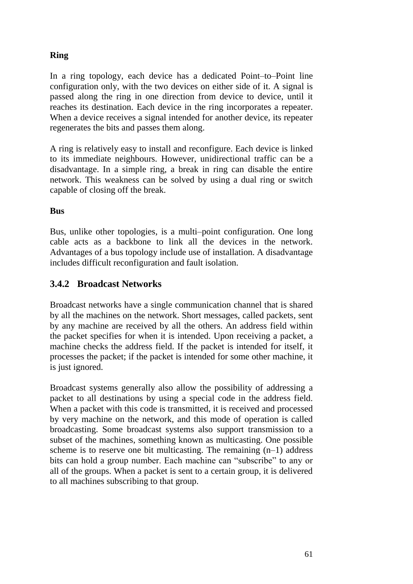## **Ring**

In a ring topology, each device has a dedicated Point–to–Point line configuration only, with the two devices on either side of it. A signal is passed along the ring in one direction from device to device, until it reaches its destination. Each device in the ring incorporates a repeater. When a device receives a signal intended for another device, its repeater regenerates the bits and passes them along.

A ring is relatively easy to install and reconfigure. Each device is linked to its immediate neighbours. However, unidirectional traffic can be a disadvantage. In a simple ring, a break in ring can disable the entire network. This weakness can be solved by using a dual ring or switch capable of closing off the break.

### **Bus**

Bus, unlike other topologies, is a multi–point configuration. One long cable acts as a backbone to link all the devices in the network. Advantages of a bus topology include use of installation. A disadvantage includes difficult reconfiguration and fault isolation.

## **3.4.2 Broadcast Networks**

Broadcast networks have a single communication channel that is shared by all the machines on the network. Short messages, called packets, sent by any machine are received by all the others. An address field within the packet specifies for when it is intended. Upon receiving a packet, a machine checks the address field. If the packet is intended for itself, it processes the packet; if the packet is intended for some other machine, it is just ignored.

Broadcast systems generally also allow the possibility of addressing a packet to all destinations by using a special code in the address field. When a packet with this code is transmitted, it is received and processed by very machine on the network, and this mode of operation is called broadcasting. Some broadcast systems also support transmission to a subset of the machines, something known as multicasting. One possible scheme is to reserve one bit multicasting. The remaining  $(n-1)$  address bits can hold a group number. Each machine can "subscribe" to any or all of the groups. When a packet is sent to a certain group, it is delivered to all machines subscribing to that group.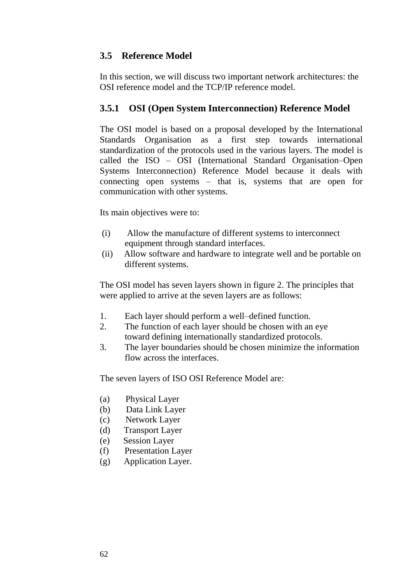## **3.5 Reference Model**

In this section, we will discuss two important network architectures: the OSI reference model and the TCP/IP reference model.

## **3.5.1 OSI (Open System Interconnection) Reference Model**

The OSI model is based on a proposal developed by the International Standards Organisation as a first step towards international standardization of the protocols used in the various layers. The model is called the ISO – OSI (International Standard Organisation–Open Systems Interconnection) Reference Model because it deals with connecting open systems – that is, systems that are open for communication with other systems.

Its main objectives were to:

- (i) Allow the manufacture of different systems to interconnect equipment through standard interfaces.
- (ii) Allow software and hardware to integrate well and be portable on different systems.

The OSI model has seven layers shown in figure 2. The principles that were applied to arrive at the seven layers are as follows:

- 1. Each layer should perform a well–defined function.
- 2. The function of each layer should be chosen with an eye toward defining internationally standardized protocols.
- 3. The layer boundaries should be chosen minimize the information flow across the interfaces.

The seven layers of ISO OSI Reference Model are:

- (a) Physical Layer
- (b) Data Link Layer
- (c) Network Layer
- (d) Transport Layer
- (e) Session Layer
- (f) Presentation Layer
- (g) Application Layer.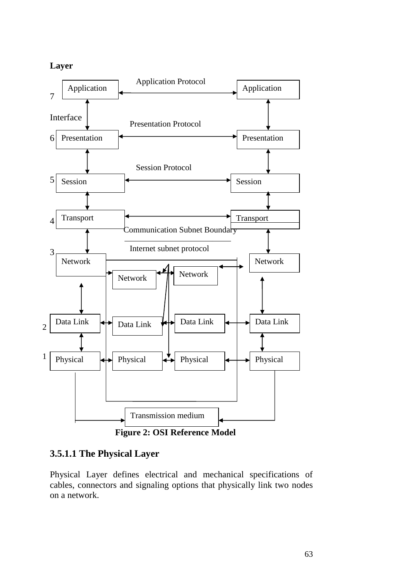#### **Layer**



### **3.5.1.1 The Physical Layer**

Physical Layer defines electrical and mechanical specifications of cables, connectors and signaling options that physically link two nodes on a network.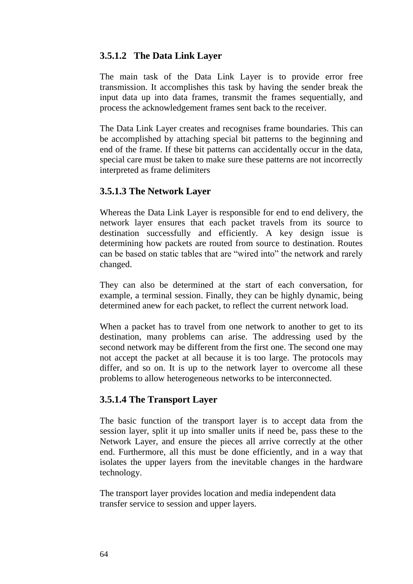## **3.5.1.2 The Data Link Layer**

The main task of the Data Link Layer is to provide error free transmission. It accomplishes this task by having the sender break the input data up into data frames, transmit the frames sequentially, and process the acknowledgement frames sent back to the receiver.

The Data Link Layer creates and recognises frame boundaries. This can be accomplished by attaching special bit patterns to the beginning and end of the frame. If these bit patterns can accidentally occur in the data, special care must be taken to make sure these patterns are not incorrectly interpreted as frame delimiters

### **3.5.1.3 The Network Layer**

Whereas the Data Link Layer is responsible for end to end delivery, the network layer ensures that each packet travels from its source to destination successfully and efficiently. A key design issue is determining how packets are routed from source to destination. Routes can be based on static tables that are "wired into" the network and rarely changed.

They can also be determined at the start of each conversation, for example, a terminal session. Finally, they can be highly dynamic, being determined anew for each packet, to reflect the current network load.

When a packet has to travel from one network to another to get to its destination, many problems can arise. The addressing used by the second network may be different from the first one. The second one may not accept the packet at all because it is too large. The protocols may differ, and so on. It is up to the network layer to overcome all these problems to allow heterogeneous networks to be interconnected.

#### **3.5.1.4 The Transport Layer**

The basic function of the transport layer is to accept data from the session layer, split it up into smaller units if need be, pass these to the Network Layer, and ensure the pieces all arrive correctly at the other end. Furthermore, all this must be done efficiently, and in a way that isolates the upper layers from the inevitable changes in the hardware technology.

The transport layer provides location and media independent data transfer service to session and upper layers.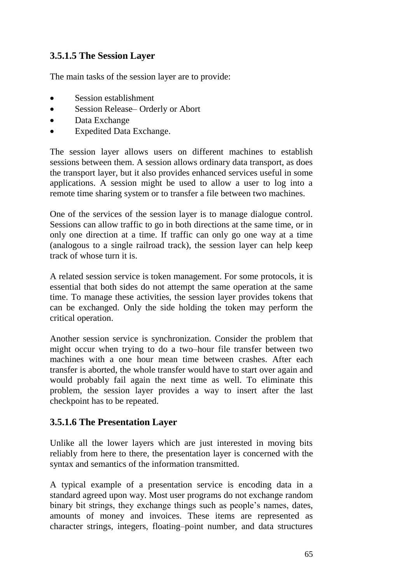## **3.5.1.5 The Session Layer**

The main tasks of the session layer are to provide:

- Session establishment
- Session Release– Orderly or Abort
- Data Exchange
- Expedited Data Exchange.

The session layer allows users on different machines to establish sessions between them. A session allows ordinary data transport, as does the transport layer, but it also provides enhanced services useful in some applications. A session might be used to allow a user to log into a remote time sharing system or to transfer a file between two machines.

One of the services of the session layer is to manage dialogue control. Sessions can allow traffic to go in both directions at the same time, or in only one direction at a time. If traffic can only go one way at a time (analogous to a single railroad track), the session layer can help keep track of whose turn it is.

A related session service is token management. For some protocols, it is essential that both sides do not attempt the same operation at the same time. To manage these activities, the session layer provides tokens that can be exchanged. Only the side holding the token may perform the critical operation.

Another session service is synchronization. Consider the problem that might occur when trying to do a two–hour file transfer between two machines with a one hour mean time between crashes. After each transfer is aborted, the whole transfer would have to start over again and would probably fail again the next time as well. To eliminate this problem, the session layer provides a way to insert after the last checkpoint has to be repeated.

## **3.5.1.6 The Presentation Layer**

Unlike all the lower layers which are just interested in moving bits reliably from here to there, the presentation layer is concerned with the syntax and semantics of the information transmitted.

A typical example of a presentation service is encoding data in a standard agreed upon way. Most user programs do not exchange random binary bit strings, they exchange things such as people's names, dates, amounts of money and invoices. These items are represented as character strings, integers, floating–point number, and data structures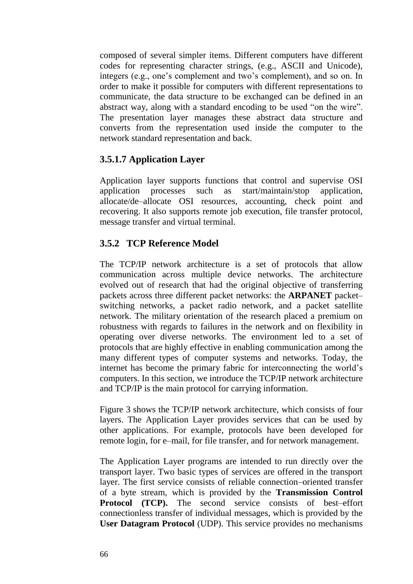composed of several simpler items. Different computers have different codes for representing character strings, (e.g., ASCII and Unicode), integers (e.g., one's complement and two's complement), and so on. In order to make it possible for computers with different representations to communicate, the data structure to be exchanged can be defined in an abstract way, along with a standard encoding to be used "on the wire". The presentation layer manages these abstract data structure and converts from the representation used inside the computer to the network standard representation and back.

#### **3.5.1.7 Application Layer**

Application layer supports functions that control and supervise OSI application processes such as start/maintain/stop application, allocate/de–allocate OSI resources, accounting, check point and recovering. It also supports remote job execution, file transfer protocol, message transfer and virtual terminal.

### **3.5.2 TCP Reference Model**

The TCP/IP network architecture is a set of protocols that allow communication across multiple device networks. The architecture evolved out of research that had the original objective of transferring packets across three different packet networks: the **ARPANET** packet– switching networks, a packet radio network, and a packet satellite network. The military orientation of the research placed a premium on robustness with regards to failures in the network and on flexibility in operating over diverse networks. The environment led to a set of protocols that are highly effective in enabling communication among the many different types of computer systems and networks. Today, the internet has become the primary fabric for interconnecting the world's computers. In this section, we introduce the TCP/IP network architecture and TCP/IP is the main protocol for carrying information.

Figure 3 shows the TCP/IP network architecture, which consists of four layers. The Application Layer provides services that can be used by other applications. For example, protocols have been developed for remote login, for e–mail, for file transfer, and for network management.

The Application Layer programs are intended to run directly over the transport layer. Two basic types of services are offered in the transport layer. The first service consists of reliable connection–oriented transfer of a byte stream, which is provided by the **Transmission Control Protocol** (TCP). The second service consists of best-effort connectionless transfer of individual messages, which is provided by the **User Datagram Protocol** (UDP). This service provides no mechanisms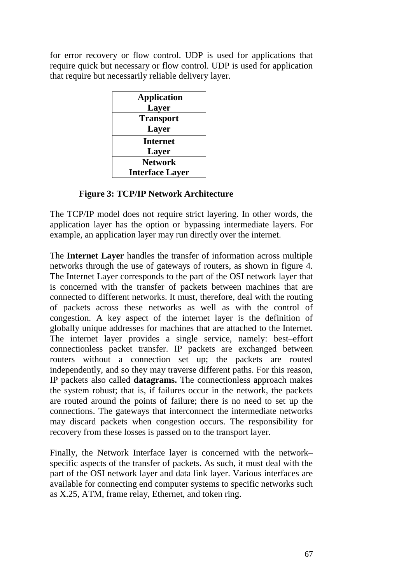for error recovery or flow control. UDP is used for applications that require quick but necessary or flow control. UDP is used for application that require but necessarily reliable delivery layer.

| <b>Application</b>     |
|------------------------|
| Layer                  |
| <b>Transport</b>       |
| Layer                  |
| <b>Internet</b>        |
| Layer                  |
| <b>Network</b>         |
| <b>Interface Layer</b> |

#### **Figure 3: TCP/IP Network Architecture**

The TCP/IP model does not require strict layering. In other words, the application layer has the option or bypassing intermediate layers. For example, an application layer may run directly over the internet.

The **Internet Layer** handles the transfer of information across multiple networks through the use of gateways of routers, as shown in figure 4. The Internet Layer corresponds to the part of the OSI network layer that is concerned with the transfer of packets between machines that are connected to different networks. It must, therefore, deal with the routing of packets across these networks as well as with the control of congestion. A key aspect of the internet layer is the definition of globally unique addresses for machines that are attached to the Internet. The internet layer provides a single service, namely: best–effort connectionless packet transfer. IP packets are exchanged between routers without a connection set up; the packets are routed independently, and so they may traverse different paths. For this reason, IP packets also called **datagrams.** The connectionless approach makes the system robust; that is, if failures occur in the network, the packets are routed around the points of failure; there is no need to set up the connections. The gateways that interconnect the intermediate networks may discard packets when congestion occurs. The responsibility for recovery from these losses is passed on to the transport layer.

Finally, the Network Interface layer is concerned with the network– specific aspects of the transfer of packets. As such, it must deal with the part of the OSI network layer and data link layer. Various interfaces are available for connecting end computer systems to specific networks such as X.25, ATM, frame relay, Ethernet, and token ring.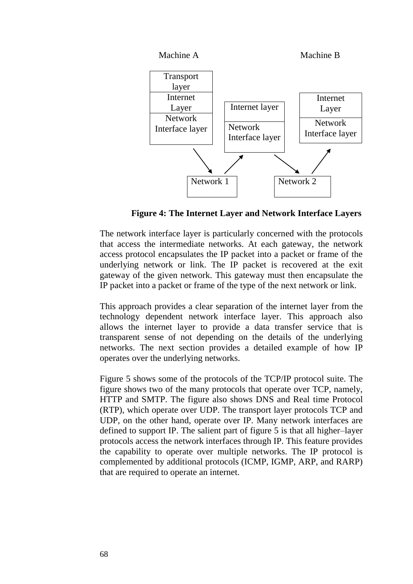

**Figure 4: The Internet Layer and Network Interface Layers**

The network interface layer is particularly concerned with the protocols that access the intermediate networks. At each gateway, the network access protocol encapsulates the IP packet into a packet or frame of the underlying network or link. The IP packet is recovered at the exit gateway of the given network. This gateway must then encapsulate the IP packet into a packet or frame of the type of the next network or link.

This approach provides a clear separation of the internet layer from the technology dependent network interface layer. This approach also allows the internet layer to provide a data transfer service that is transparent sense of not depending on the details of the underlying networks. The next section provides a detailed example of how IP operates over the underlying networks.

Figure 5 shows some of the protocols of the TCP/IP protocol suite. The figure shows two of the many protocols that operate over TCP, namely, HTTP and SMTP. The figure also shows DNS and Real time Protocol (RTP), which operate over UDP. The transport layer protocols TCP and UDP, on the other hand, operate over IP. Many network interfaces are defined to support IP. The salient part of figure 5 is that all higher–layer protocols access the network interfaces through IP. This feature provides the capability to operate over multiple networks. The IP protocol is complemented by additional protocols (ICMP, IGMP, ARP, and RARP) that are required to operate an internet.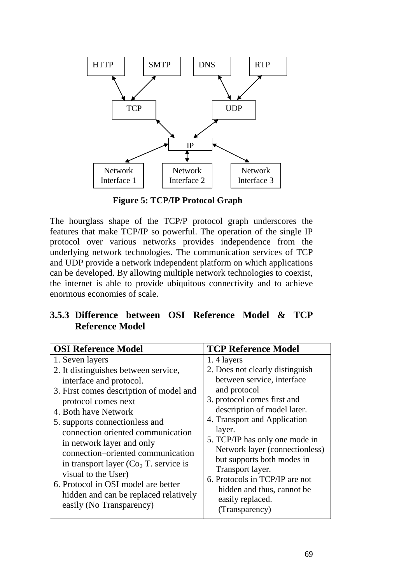

**Figure 5: TCP/IP Protocol Graph**

The hourglass shape of the TCP/P protocol graph underscores the features that make TCP/IP so powerful. The operation of the single IP protocol over various networks provides independence from the underlying network technologies. The communication services of TCP and UDP provide a network independent platform on which applications can be developed. By allowing multiple network technologies to coexist, the internet is able to provide ubiquitous connectivity and to achieve enormous economies of scale.

### **3.5.3 Difference between OSI Reference Model & TCP Reference Model**

| <b>OSI Reference Model</b>                                                                                                                                                                                                                                                                                                                                           | <b>TCP Reference Model</b>                                                                                                                                                                                                                                                                                  |
|----------------------------------------------------------------------------------------------------------------------------------------------------------------------------------------------------------------------------------------------------------------------------------------------------------------------------------------------------------------------|-------------------------------------------------------------------------------------------------------------------------------------------------------------------------------------------------------------------------------------------------------------------------------------------------------------|
| 1. Seven layers                                                                                                                                                                                                                                                                                                                                                      | 1.4 layers                                                                                                                                                                                                                                                                                                  |
| 2. It distinguishes between service,<br>interface and protocol.<br>3. First comes description of model and<br>protocol comes next<br>4. Both have Network<br>5. supports connectionless and<br>connection oriented communication<br>in network layer and only<br>connection–oriented communication<br>in transport layer $(Co2 T.$ service is<br>visual to the User) | 2. Does not clearly distinguish<br>between service, interface<br>and protocol<br>3. protocol comes first and<br>description of model later.<br>4. Transport and Application<br>layer.<br>5. TCP/IP has only one mode in<br>Network layer (connectionless)<br>but supports both modes in<br>Transport layer. |
| 6. Protocol in OSI model are better<br>hidden and can be replaced relatively<br>easily (No Transparency)                                                                                                                                                                                                                                                             | 6. Protocols in TCP/IP are not<br>hidden and thus, cannot be<br>easily replaced.<br>(Transparency)                                                                                                                                                                                                          |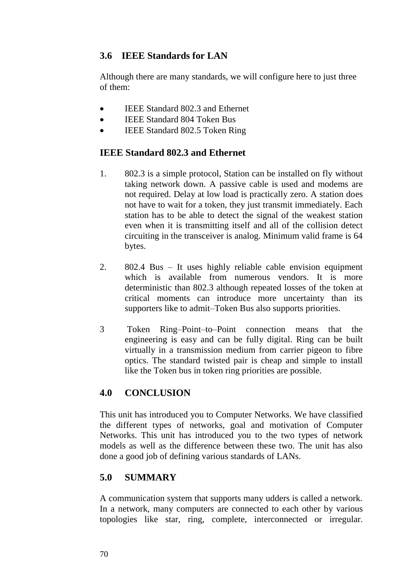## **3.6 IEEE Standards for LAN**

Although there are many standards, we will configure here to just three of them:

- IEEE Standard 802.3 and Ethernet
- **IEEE Standard 804 Token Bus**
- IEEE Standard 802.5 Token Ring

#### **IEEE Standard 802.3 and Ethernet**

- 1. 802.3 is a simple protocol, Station can be installed on fly without taking network down. A passive cable is used and modems are not required. Delay at low load is practically zero. A station does not have to wait for a token, they just transmit immediately. Each station has to be able to detect the signal of the weakest station even when it is transmitting itself and all of the collision detect circuiting in the transceiver is analog. Minimum valid frame is 64 bytes.
- 2. 802.4 Bus It uses highly reliable cable envision equipment which is available from numerous vendors. It is more deterministic than 802.3 although repeated losses of the token at critical moments can introduce more uncertainty than its supporters like to admit–Token Bus also supports priorities.
- 3 Token Ring–Point–to–Point connection means that the engineering is easy and can be fully digital. Ring can be built virtually in a transmission medium from carrier pigeon to fibre optics. The standard twisted pair is cheap and simple to install like the Token bus in token ring priorities are possible.

### **4.0 CONCLUSION**

This unit has introduced you to Computer Networks. We have classified the different types of networks, goal and motivation of Computer Networks. This unit has introduced you to the two types of network models as well as the difference between these two. The unit has also done a good job of defining various standards of LANs.

### **5.0 SUMMARY**

A communication system that supports many udders is called a network. In a network, many computers are connected to each other by various topologies like star, ring, complete, interconnected or irregular.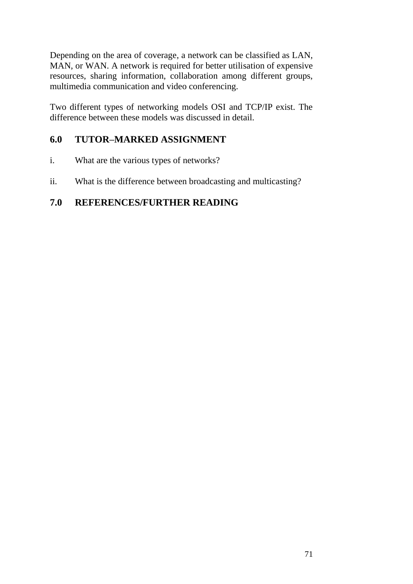Depending on the area of coverage, a network can be classified as LAN, MAN, or WAN. A network is required for better utilisation of expensive resources, sharing information, collaboration among different groups, multimedia communication and video conferencing.

Two different types of networking models OSI and TCP/IP exist. The difference between these models was discussed in detail.

## **6.0 TUTOR–MARKED ASSIGNMENT**

- i. What are the various types of networks?
- ii. What is the difference between broadcasting and multicasting?

## **7.0 REFERENCES/FURTHER READING**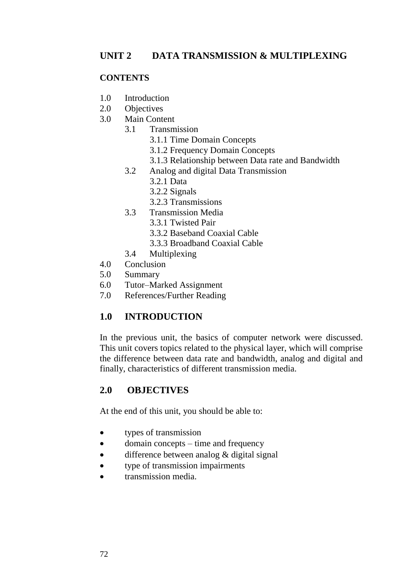### **CONTENTS**

- 1.0 Introduction
- 2.0 Objectives
- 3.0 Main Content
	- 3.1 Transmission
		- 3.1.1 Time Domain Concepts
		- 3.1.2 Frequency Domain Concepts
		- 3.1.3 Relationship between Data rate and Bandwidth
	- 3.2 Analog and digital Data Transmission
		- 3.2.1 Data
		- 3.2.2 Signals
		- 3.2.3 Transmissions
	- 3.3 Transmission Media
		- 3.3.1 Twisted Pair
		- 3.3.2 Baseband Coaxial Cable
		- 3.3.3 Broadband Coaxial Cable
	- 3.4 Multiplexing
- 4.0 Conclusion
- 5.0 Summary
- 6.0 Tutor–Marked Assignment
- 7.0 References/Further Reading

## **1.0 INTRODUCTION**

In the previous unit, the basics of computer network were discussed. This unit covers topics related to the physical layer, which will comprise the difference between data rate and bandwidth, analog and digital and finally, characteristics of different transmission media.

## **2.0 OBJECTIVES**

At the end of this unit, you should be able to:

- types of transmission
- domain concepts time and frequency
- difference between analog & digital signal
- type of transmission impairments
- transmission media.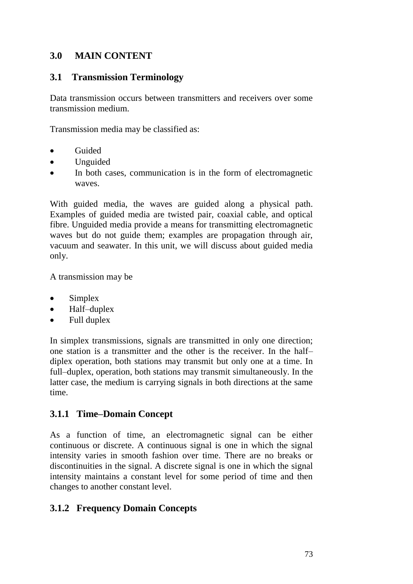## **3.0 MAIN CONTENT**

### **3.1 Transmission Terminology**

Data transmission occurs between transmitters and receivers over some transmission medium.

Transmission media may be classified as:

- Guided
- Unguided
- In both cases, communication is in the form of electromagnetic waves.

With guided media, the waves are guided along a physical path. Examples of guided media are twisted pair, coaxial cable, and optical fibre. Unguided media provide a means for transmitting electromagnetic waves but do not guide them; examples are propagation through air, vacuum and seawater. In this unit, we will discuss about guided media only.

A transmission may be

- Simplex
- Half–duplex
- Full duplex

In simplex transmissions, signals are transmitted in only one direction; one station is a transmitter and the other is the receiver. In the half– diplex operation, both stations may transmit but only one at a time. In full–duplex, operation, both stations may transmit simultaneously. In the latter case, the medium is carrying signals in both directions at the same time.

### **3.1.1 Time–Domain Concept**

As a function of time, an electromagnetic signal can be either continuous or discrete. A continuous signal is one in which the signal intensity varies in smooth fashion over time. There are no breaks or discontinuities in the signal. A discrete signal is one in which the signal intensity maintains a constant level for some period of time and then changes to another constant level.

### **3.1.2 Frequency Domain Concepts**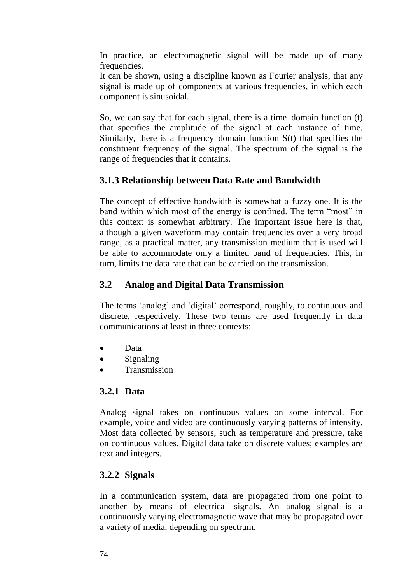In practice, an electromagnetic signal will be made up of many frequencies.

It can be shown, using a discipline known as Fourier analysis, that any signal is made up of components at various frequencies, in which each component is sinusoidal.

So, we can say that for each signal, there is a time–domain function (t) that specifies the amplitude of the signal at each instance of time. Similarly, there is a frequency–domain function S(t) that specifies the constituent frequency of the signal. The spectrum of the signal is the range of frequencies that it contains.

## **3.1.3 Relationship between Data Rate and Bandwidth**

The concept of effective bandwidth is somewhat a fuzzy one. It is the band within which most of the energy is confined. The term "most" in this context is somewhat arbitrary. The important issue here is that, although a given waveform may contain frequencies over a very broad range, as a practical matter, any transmission medium that is used will be able to accommodate only a limited band of frequencies. This, in turn, limits the data rate that can be carried on the transmission.

### **3.2 Analog and Digital Data Transmission**

The terms 'analog' and 'digital' correspond, roughly, to continuous and discrete, respectively. These two terms are used frequently in data communications at least in three contexts:

- Data
- Signaling
- Transmission

### **3.2.1 Data**

Analog signal takes on continuous values on some interval. For example, voice and video are continuously varying patterns of intensity. Most data collected by sensors, such as temperature and pressure, take on continuous values. Digital data take on discrete values; examples are text and integers.

## **3.2.2 Signals**

In a communication system, data are propagated from one point to another by means of electrical signals. An analog signal is a continuously varying electromagnetic wave that may be propagated over a variety of media, depending on spectrum.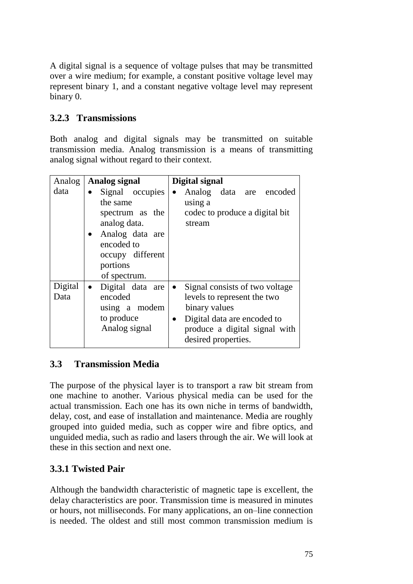A digital signal is a sequence of voltage pulses that may be transmitted over a wire medium; for example, a constant positive voltage level may represent binary 1, and a constant negative voltage level may represent binary 0.

### **3.2.3 Transmissions**

Both analog and digital signals may be transmitted on suitable transmission media. Analog transmission is a means of transmitting analog signal without regard to their context.

| Analog          | Analog signal                                                                                                                                                             | Digital signal                                                                                                                                                                                  |
|-----------------|---------------------------------------------------------------------------------------------------------------------------------------------------------------------------|-------------------------------------------------------------------------------------------------------------------------------------------------------------------------------------------------|
| data            | Signal occupies<br>$\bullet$<br>the same<br>spectrum as the<br>analog data.<br>Analog data are<br>$\bullet$<br>encoded to<br>occupy different<br>portions<br>of spectrum. | Analog data are encoded<br>$\bullet$<br>using a<br>codec to produce a digital bit<br>stream                                                                                                     |
| Digital<br>Data | Digital data are<br>$\bullet$<br>encoded<br>using a modem<br>to produce<br>Analog signal                                                                                  | Signal consists of two voltage<br>$\bullet$<br>levels to represent the two<br>binary values<br>Digital data are encoded to<br>$\bullet$<br>produce a digital signal with<br>desired properties. |

## **3.3 Transmission Media**

The purpose of the physical layer is to transport a raw bit stream from one machine to another. Various physical media can be used for the actual transmission. Each one has its own niche in terms of bandwidth, delay, cost, and ease of installation and maintenance. Media are roughly grouped into guided media, such as copper wire and fibre optics, and unguided media, such as radio and lasers through the air. We will look at these in this section and next one.

## **3.3.1 Twisted Pair**

Although the bandwidth characteristic of magnetic tape is excellent, the delay characteristics are poor. Transmission time is measured in minutes or hours, not milliseconds. For many applications, an on–line connection is needed. The oldest and still most common transmission medium is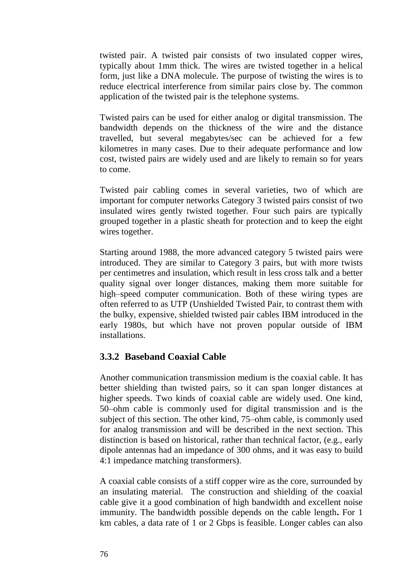twisted pair. A twisted pair consists of two insulated copper wires, typically about 1mm thick. The wires are twisted together in a helical form, just like a DNA molecule. The purpose of twisting the wires is to reduce electrical interference from similar pairs close by. The common application of the twisted pair is the telephone systems.

Twisted pairs can be used for either analog or digital transmission. The bandwidth depends on the thickness of the wire and the distance travelled, but several megabytes/sec can be achieved for a few kilometres in many cases. Due to their adequate performance and low cost, twisted pairs are widely used and are likely to remain so for years to come.

Twisted pair cabling comes in several varieties, two of which are important for computer networks Category 3 twisted pairs consist of two insulated wires gently twisted together. Four such pairs are typically grouped together in a plastic sheath for protection and to keep the eight wires together.

Starting around 1988, the more advanced category 5 twisted pairs were introduced. They are similar to Category 3 pairs, but with more twists per centimetres and insulation, which result in less cross talk and a better quality signal over longer distances, making them more suitable for high–speed computer communication. Both of these wiring types are often referred to as UTP (Unshielded Twisted Pair, to contrast them with the bulky, expensive, shielded twisted pair cables IBM introduced in the early 1980s, but which have not proven popular outside of IBM installations.

#### **3.3.2 Baseband Coaxial Cable**

Another communication transmission medium is the coaxial cable. It has better shielding than twisted pairs, so it can span longer distances at higher speeds. Two kinds of coaxial cable are widely used. One kind, 50–ohm cable is commonly used for digital transmission and is the subject of this section. The other kind, 75–ohm cable, is commonly used for analog transmission and will be described in the next section. This distinction is based on historical, rather than technical factor, (e.g., early dipole antennas had an impedance of 300 ohms, and it was easy to build 4:1 impedance matching transformers).

A coaxial cable consists of a stiff copper wire as the core, surrounded by an insulating material. The construction and shielding of the coaxial cable give it a good combination of high bandwidth and excellent noise immunity. The bandwidth possible depends on the cable length**.** For 1 km cables, a data rate of 1 or 2 Gbps is feasible. Longer cables can also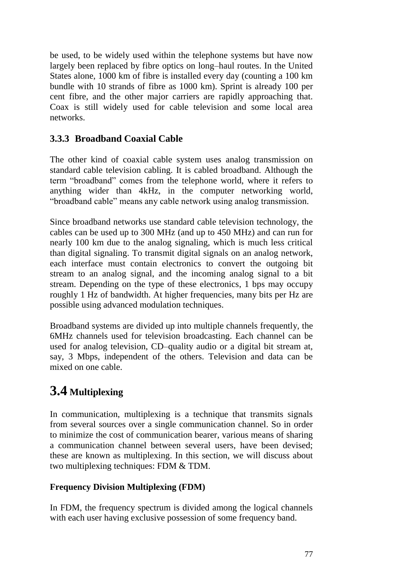be used, to be widely used within the telephone systems but have now largely been replaced by fibre optics on long–haul routes. In the United States alone, 1000 km of fibre is installed every day (counting a 100 km bundle with 10 strands of fibre as 1000 km). Sprint is already 100 per cent fibre, and the other major carriers are rapidly approaching that. Coax is still widely used for cable television and some local area networks.

## **3.3.3 Broadband Coaxial Cable**

The other kind of coaxial cable system uses analog transmission on standard cable television cabling. It is cabled broadband. Although the term "broadband" comes from the telephone world, where it refers to anything wider than 4kHz, in the computer networking world, "broadband cable" means any cable network using analog transmission.

Since broadband networks use standard cable television technology, the cables can be used up to 300 MHz (and up to 450 MHz) and can run for nearly 100 km due to the analog signaling, which is much less critical than digital signaling. To transmit digital signals on an analog network, each interface must contain electronics to convert the outgoing bit stream to an analog signal, and the incoming analog signal to a bit stream. Depending on the type of these electronics, 1 bps may occupy roughly 1 Hz of bandwidth. At higher frequencies, many bits per Hz are possible using advanced modulation techniques.

Broadband systems are divided up into multiple channels frequently, the 6MHz channels used for television broadcasting. Each channel can be used for analog television, CD–quality audio or a digital bit stream at, say, 3 Mbps, independent of the others. Television and data can be mixed on one cable.

# **3.4 Multiplexing**

In communication, multiplexing is a technique that transmits signals from several sources over a single communication channel. So in order to minimize the cost of communication bearer, various means of sharing a communication channel between several users, have been devised; these are known as multiplexing. In this section, we will discuss about two multiplexing techniques: FDM & TDM.

### **Frequency Division Multiplexing (FDM)**

In FDM, the frequency spectrum is divided among the logical channels with each user having exclusive possession of some frequency band.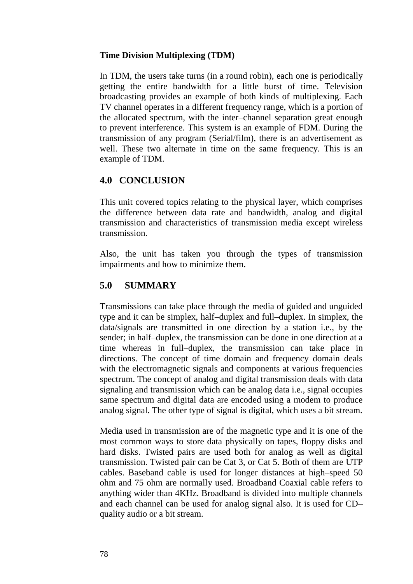#### **Time Division Multiplexing (TDM)**

In TDM, the users take turns (in a round robin), each one is periodically getting the entire bandwidth for a little burst of time. Television broadcasting provides an example of both kinds of multiplexing. Each TV channel operates in a different frequency range, which is a portion of the allocated spectrum, with the inter–channel separation great enough to prevent interference. This system is an example of FDM. During the transmission of any program (Serial/film), there is an advertisement as well. These two alternate in time on the same frequency. This is an example of TDM.

#### **4.0 CONCLUSION**

This unit covered topics relating to the physical layer, which comprises the difference between data rate and bandwidth, analog and digital transmission and characteristics of transmission media except wireless transmission.

Also, the unit has taken you through the types of transmission impairments and how to minimize them.

### **5.0 SUMMARY**

Transmissions can take place through the media of guided and unguided type and it can be simplex, half–duplex and full–duplex. In simplex, the data/signals are transmitted in one direction by a station i.e., by the sender; in half–duplex, the transmission can be done in one direction at a time whereas in full–duplex, the transmission can take place in directions. The concept of time domain and frequency domain deals with the electromagnetic signals and components at various frequencies spectrum. The concept of analog and digital transmission deals with data signaling and transmission which can be analog data i.e., signal occupies same spectrum and digital data are encoded using a modem to produce analog signal. The other type of signal is digital, which uses a bit stream.

Media used in transmission are of the magnetic type and it is one of the most common ways to store data physically on tapes, floppy disks and hard disks. Twisted pairs are used both for analog as well as digital transmission. Twisted pair can be Cat 3, or Cat 5. Both of them are UTP cables. Baseband cable is used for longer distances at high–speed 50 ohm and 75 ohm are normally used. Broadband Coaxial cable refers to anything wider than 4KHz. Broadband is divided into multiple channels and each channel can be used for analog signal also. It is used for CD– quality audio or a bit stream.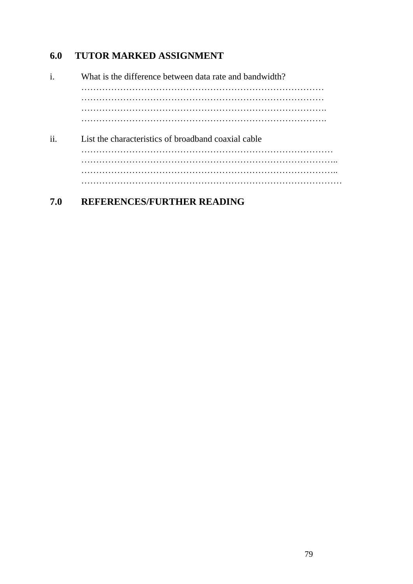# **6.0 TUTOR MARKED ASSIGNMENT**

| $\bullet$<br>$\mathbf{1}$ | What is the difference between data rate and bandwidth? |  |  |
|---------------------------|---------------------------------------------------------|--|--|
|                           |                                                         |  |  |
|                           |                                                         |  |  |
|                           |                                                         |  |  |
|                           |                                                         |  |  |
| $\cdot \cdot$<br>11.      | List the characteristics of broadband coaxial cable     |  |  |
|                           |                                                         |  |  |
|                           |                                                         |  |  |
|                           |                                                         |  |  |
|                           |                                                         |  |  |
|                           |                                                         |  |  |

# **7.0 REFERENCES/FURTHER READING**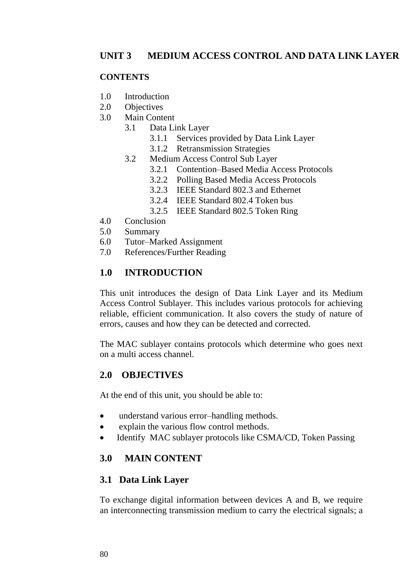## **UNIT 3 MEDIUM ACCESS CONTROL AND DATA LINK LAYER**

#### **CONTENTS**

- 1.0 Introduction
- 2.0 Objectives
- 3.0 Main Content
	- 3.1 Data Link Layer
		- 3.1.1 Services provided by Data Link Layer
		- 3.1.2 Retransmission Strategies
	- 3.2 Medium Access Control Sub Layer
		- 3.2.1 Contention–Based Media Access Protocols
		- 3.2.2 Polling Based Media Access Protocols
		- 3.2.3 IEEE Standard 802.3 and Ethernet
		- 3.2.4 IEEE Standard 802.4 Token bus
		- 3.2.5 IEEE Standard 802.5 Token Ring
- 4.0 Conclusion
- 5.0 Summary
- 6.0 Tutor–Marked Assignment
- 7.0 References/Further Reading

## **1.0 INTRODUCTION**

This unit introduces the design of Data Link Layer and its Medium Access Control Sublayer. This includes various protocols for achieving reliable, efficient communication. It also covers the study of nature of errors, causes and how they can be detected and corrected.

The MAC sublayer contains protocols which determine who goes next on a multi access channel.

### **2.0 OBJECTIVES**

At the end of this unit, you should be able to:

- understand various error–handling methods.
- explain the various flow control methods.
- Identify MAC sublayer protocols like CSMA/CD, Token Passing

### **3.0 MAIN CONTENT**

### **3.1 Data Link Layer**

To exchange digital information between devices A and B, we require an interconnecting transmission medium to carry the electrical signals; a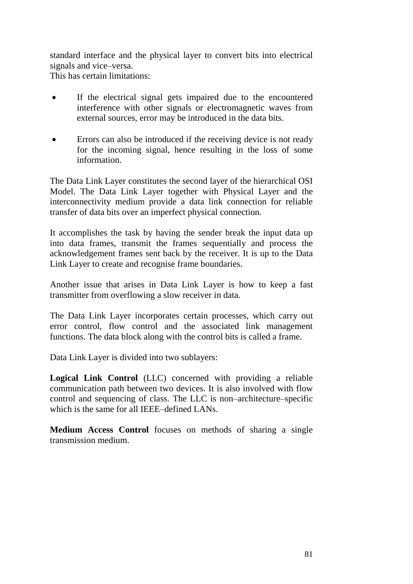standard interface and the physical layer to convert bits into electrical signals and vice–versa. This has certain limitations:

- If the electrical signal gets impaired due to the encountered interference with other signals or electromagnetic waves from external sources, error may be introduced in the data bits.
- Errors can also be introduced if the receiving device is not ready for the incoming signal, hence resulting in the loss of some information.

The Data Link Layer constitutes the second layer of the hierarchical OSI Model. The Data Link Layer together with Physical Layer and the interconnectivity medium provide a data link connection for reliable transfer of data bits over an imperfect physical connection.

It accomplishes the task by having the sender break the input data up into data frames, transmit the frames sequentially and process the acknowledgement frames sent back by the receiver. It is up to the Data Link Layer to create and recognise frame boundaries.

Another issue that arises in Data Link Layer is how to keep a fast transmitter from overflowing a slow receiver in data.

The Data Link Layer incorporates certain processes, which carry out error control, flow control and the associated link management functions. The data block along with the control bits is called a frame.

Data Link Layer is divided into two sublayers:

**Logical Link Control** (LLC) concerned with providing a reliable communication path between two devices. It is also involved with flow control and sequencing of class. The LLC is non–architecture–specific which is the same for all IEEE–defined LANs.

**Medium Access Control** focuses on methods of sharing a single transmission medium.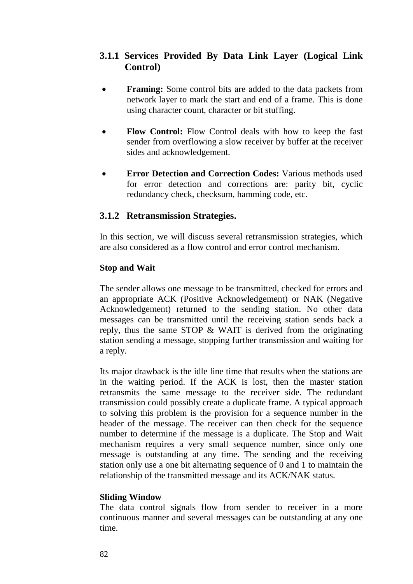## **3.1.1 Services Provided By Data Link Layer (Logical Link Control)**

- **Framing:** Some control bits are added to the data packets from network layer to mark the start and end of a frame. This is done using character count, character or bit stuffing.
- **Flow Control:** Flow Control deals with how to keep the fast sender from overflowing a slow receiver by buffer at the receiver sides and acknowledgement.
- **Error Detection and Correction Codes:** Various methods used for error detection and corrections are: parity bit, cyclic redundancy check, checksum, hamming code, etc.

### **3.1.2 Retransmission Strategies.**

In this section, we will discuss several retransmission strategies, which are also considered as a flow control and error control mechanism.

#### **Stop and Wait**

The sender allows one message to be transmitted, checked for errors and an appropriate ACK (Positive Acknowledgement) or NAK (Negative Acknowledgement) returned to the sending station. No other data messages can be transmitted until the receiving station sends back a reply, thus the same STOP & WAIT is derived from the originating station sending a message, stopping further transmission and waiting for a reply.

Its major drawback is the idle line time that results when the stations are in the waiting period. If the ACK is lost, then the master station retransmits the same message to the receiver side. The redundant transmission could possibly create a duplicate frame. A typical approach to solving this problem is the provision for a sequence number in the header of the message. The receiver can then check for the sequence number to determine if the message is a duplicate. The Stop and Wait mechanism requires a very small sequence number, since only one message is outstanding at any time. The sending and the receiving station only use a one bit alternating sequence of 0 and 1 to maintain the relationship of the transmitted message and its ACK/NAK status.

#### **Sliding Window**

The data control signals flow from sender to receiver in a more continuous manner and several messages can be outstanding at any one time.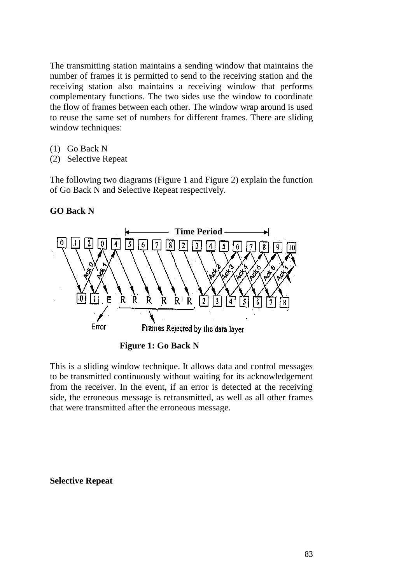The transmitting station maintains a sending window that maintains the number of frames it is permitted to send to the receiving station and the receiving station also maintains a receiving window that performs complementary functions. The two sides use the window to coordinate the flow of frames between each other. The window wrap around is used to reuse the same set of numbers for different frames. There are sliding window techniques:

- (1) Go Back N
- (2) Selective Repeat

The following two diagrams (Figure 1 and Figure 2) explain the function of Go Back N and Selective Repeat respectively.

#### **GO Back N**



This is a sliding window technique. It allows data and control messages to be transmitted continuously without waiting for its acknowledgement from the receiver. In the event, if an error is detected at the receiving side, the erroneous message is retransmitted, as well as all other frames that were transmitted after the erroneous message.

#### **Selective Repeat**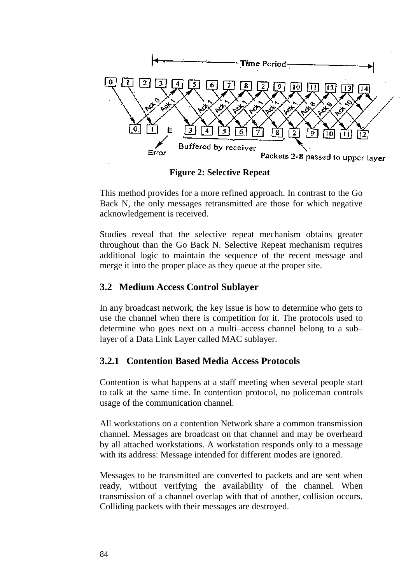

 **Figure 2: Selective Repeat**

This method provides for a more refined approach. In contrast to the Go Back N, the only messages retransmitted are those for which negative acknowledgement is received.

Studies reveal that the selective repeat mechanism obtains greater throughout than the Go Back N. Selective Repeat mechanism requires additional logic to maintain the sequence of the recent message and merge it into the proper place as they queue at the proper site.

### **3.2 Medium Access Control Sublayer**

In any broadcast network, the key issue is how to determine who gets to use the channel when there is competition for it. The protocols used to determine who goes next on a multi–access channel belong to a sub– layer of a Data Link Layer called MAC sublayer.

### **3.2.1 Contention Based Media Access Protocols**

Contention is what happens at a staff meeting when several people start to talk at the same time. In contention protocol, no policeman controls usage of the communication channel.

All workstations on a contention Network share a common transmission channel. Messages are broadcast on that channel and may be overheard by all attached workstations. A workstation responds only to a message with its address: Message intended for different modes are ignored.

Messages to be transmitted are converted to packets and are sent when ready, without verifying the availability of the channel. When transmission of a channel overlap with that of another, collision occurs. Colliding packets with their messages are destroyed.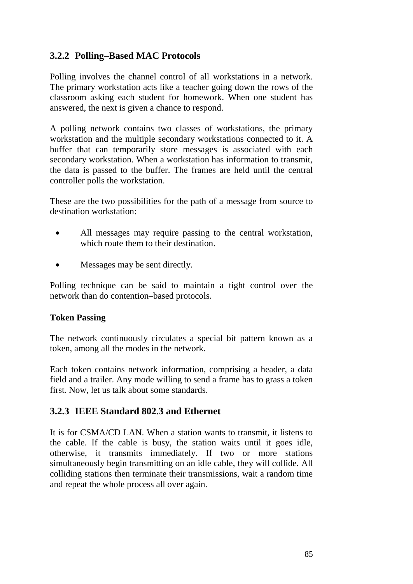## **3.2.2 Polling–Based MAC Protocols**

Polling involves the channel control of all workstations in a network. The primary workstation acts like a teacher going down the rows of the classroom asking each student for homework. When one student has answered, the next is given a chance to respond.

A polling network contains two classes of workstations, the primary workstation and the multiple secondary workstations connected to it. A buffer that can temporarily store messages is associated with each secondary workstation. When a workstation has information to transmit, the data is passed to the buffer. The frames are held until the central controller polls the workstation.

These are the two possibilities for the path of a message from source to destination workstation:

- All messages may require passing to the central workstation, which route them to their destination.
- Messages may be sent directly.

Polling technique can be said to maintain a tight control over the network than do contention–based protocols.

#### **Token Passing**

The network continuously circulates a special bit pattern known as a token, among all the modes in the network.

Each token contains network information, comprising a header, a data field and a trailer. Any mode willing to send a frame has to grass a token first. Now, let us talk about some standards.

### **3.2.3 IEEE Standard 802.3 and Ethernet**

It is for CSMA/CD LAN. When a station wants to transmit, it listens to the cable. If the cable is busy, the station waits until it goes idle, otherwise, it transmits immediately. If two or more stations simultaneously begin transmitting on an idle cable, they will collide. All colliding stations then terminate their transmissions, wait a random time and repeat the whole process all over again.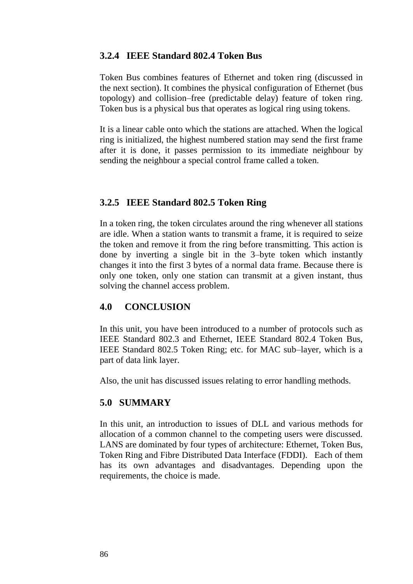### **3.2.4 IEEE Standard 802.4 Token Bus**

Token Bus combines features of Ethernet and token ring (discussed in the next section). It combines the physical configuration of Ethernet (bus topology) and collision–free (predictable delay) feature of token ring. Token bus is a physical bus that operates as logical ring using tokens.

It is a linear cable onto which the stations are attached. When the logical ring is initialized, the highest numbered station may send the first frame after it is done, it passes permission to its immediate neighbour by sending the neighbour a special control frame called a token.

#### **3.2.5 IEEE Standard 802.5 Token Ring**

In a token ring, the token circulates around the ring whenever all stations are idle. When a station wants to transmit a frame, it is required to seize the token and remove it from the ring before transmitting. This action is done by inverting a single bit in the 3–byte token which instantly changes it into the first 3 bytes of a normal data frame. Because there is only one token, only one station can transmit at a given instant, thus solving the channel access problem.

#### **4.0 CONCLUSION**

In this unit, you have been introduced to a number of protocols such as IEEE Standard 802.3 and Ethernet, IEEE Standard 802.4 Token Bus, IEEE Standard 802.5 Token Ring; etc. for MAC sub–layer, which is a part of data link layer.

Also, the unit has discussed issues relating to error handling methods.

### **5.0 SUMMARY**

In this unit, an introduction to issues of DLL and various methods for allocation of a common channel to the competing users were discussed. LANS are dominated by four types of architecture: Ethernet, Token Bus, Token Ring and Fibre Distributed Data Interface (FDDI). Each of them has its own advantages and disadvantages. Depending upon the requirements, the choice is made.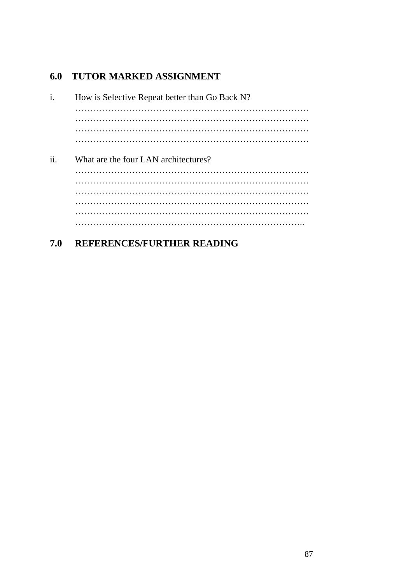## **6.0 TUTOR MARKED ASSIGNMENT**

i. How is Selective Repeat better than Go Back N? …………………………………………………………………… …………………………………………………………………… …………………………………………………………………… …………………………………………………………………… ii. What are the four LAN architectures? …………………………………………………………………… …………………………………………………………………… …………………………………………………………………… …………………………………………………………………… …………………………………………………………………… …………………………………………………………………..

## **7.0 REFERENCES/FURTHER READING**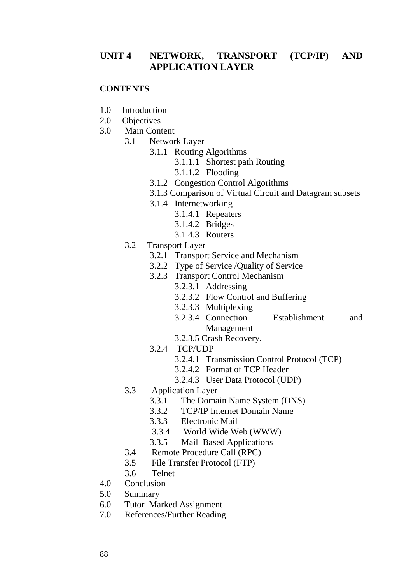### **UNIT 4 NETWORK, TRANSPORT (TCP/IP) AND APPLICATION LAYER**

#### **CONTENTS**

- 1.0 Introduction
- 2.0 Objectives
- 3.0 Main Content
	- 3.1 Network Layer
		- 3.1.1 Routing Algorithms
			- 3.1.1.1 Shortest path Routing
			- 3.1.1.2 Flooding
		- 3.1.2 Congestion Control Algorithms
		- 3.1.3 Comparison of Virtual Circuit and Datagram subsets
		- 3.1.4 Internetworking
			- 3.1.4.1 Repeaters
			- 3.1.4.2 Bridges
			- 3.1.4.3 Routers
	- 3.2 Transport Layer
		- 3.2.1 Transport Service and Mechanism
		- 3.2.2 Type of Service /Quality of Service
		- 3.2.3 Transport Control Mechanism
			- 3.2.3.1 Addressing
			- 3.2.3.2 Flow Control and Buffering
			- 3.2.3.3 Multiplexing
			- 3.2.3.4 Connection Establishment and Management
			- 3.2.3.5 Crash Recovery.
		- 3.2.4 TCP/UDP
			- 3.2.4.1 Transmission Control Protocol (TCP)
			- 3.2.4.2 Format of TCP Header
			- 3.2.4.3 User Data Protocol (UDP)
	- 3.3 Application Layer
		- 3.3.1 The Domain Name System (DNS)
		- 3.3.2 TCP/IP Internet Domain Name
		- 3.3.3 Electronic Mail
		- 3.3.4 World Wide Web (WWW)
		- 3.3.5 Mail–Based Applications
	- 3.4 Remote Procedure Call (RPC)
	- 3.5 File Transfer Protocol (FTP)
	- 3.6 Telnet
- 4.0 Conclusion
- 5.0 Summary
- 6.0 Tutor–Marked Assignment
- 7.0 References/Further Reading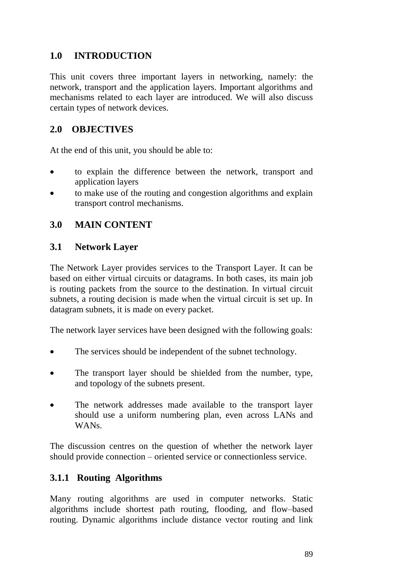# **1.0 INTRODUCTION**

This unit covers three important layers in networking, namely: the network, transport and the application layers. Important algorithms and mechanisms related to each layer are introduced. We will also discuss certain types of network devices.

# **2.0 OBJECTIVES**

At the end of this unit, you should be able to:

- to explain the difference between the network, transport and application layers
- to make use of the routing and congestion algorithms and explain transport control mechanisms.

## **3.0 MAIN CONTENT**

### **3.1 Network Layer**

The Network Layer provides services to the Transport Layer. It can be based on either virtual circuits or datagrams. In both cases, its main job is routing packets from the source to the destination. In virtual circuit subnets, a routing decision is made when the virtual circuit is set up. In datagram subnets, it is made on every packet.

The network layer services have been designed with the following goals:

- The services should be independent of the subnet technology.
- The transport layer should be shielded from the number, type, and topology of the subnets present.
- The network addresses made available to the transport layer should use a uniform numbering plan, even across LANs and WANs.

The discussion centres on the question of whether the network layer should provide connection – oriented service or connectionless service.

## **3.1.1 Routing Algorithms**

Many routing algorithms are used in computer networks. Static algorithms include shortest path routing, flooding, and flow–based routing. Dynamic algorithms include distance vector routing and link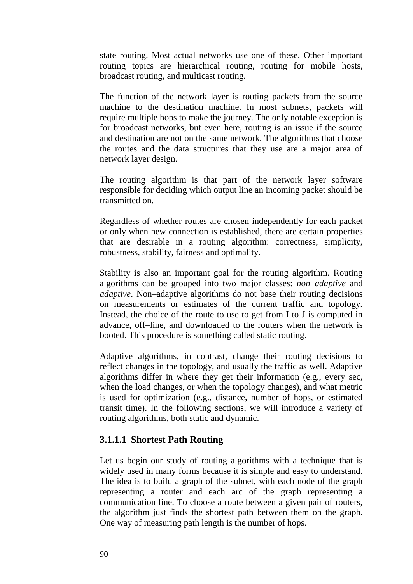state routing. Most actual networks use one of these. Other important routing topics are hierarchical routing, routing for mobile hosts, broadcast routing, and multicast routing.

The function of the network layer is routing packets from the source machine to the destination machine. In most subnets, packets will require multiple hops to make the journey. The only notable exception is for broadcast networks, but even here, routing is an issue if the source and destination are not on the same network. The algorithms that choose the routes and the data structures that they use are a major area of network layer design.

The routing algorithm is that part of the network layer software responsible for deciding which output line an incoming packet should be transmitted on.

Regardless of whether routes are chosen independently for each packet or only when new connection is established, there are certain properties that are desirable in a routing algorithm: correctness, simplicity, robustness, stability, fairness and optimality.

Stability is also an important goal for the routing algorithm. Routing algorithms can be grouped into two major classes: *non–adaptive* and *adaptive*. Non–adaptive algorithms do not base their routing decisions on measurements or estimates of the current traffic and topology. Instead, the choice of the route to use to get from I to J is computed in advance, off–line, and downloaded to the routers when the network is booted. This procedure is something called static routing.

Adaptive algorithms, in contrast, change their routing decisions to reflect changes in the topology, and usually the traffic as well. Adaptive algorithms differ in where they get their information (e.g., every sec, when the load changes, or when the topology changes), and what metric is used for optimization (e.g., distance, number of hops, or estimated transit time). In the following sections, we will introduce a variety of routing algorithms, both static and dynamic.

#### **3.1.1.1 Shortest Path Routing**

Let us begin our study of routing algorithms with a technique that is widely used in many forms because it is simple and easy to understand. The idea is to build a graph of the subnet, with each node of the graph representing a router and each arc of the graph representing a communication line. To choose a route between a given pair of routers, the algorithm just finds the shortest path between them on the graph. One way of measuring path length is the number of hops.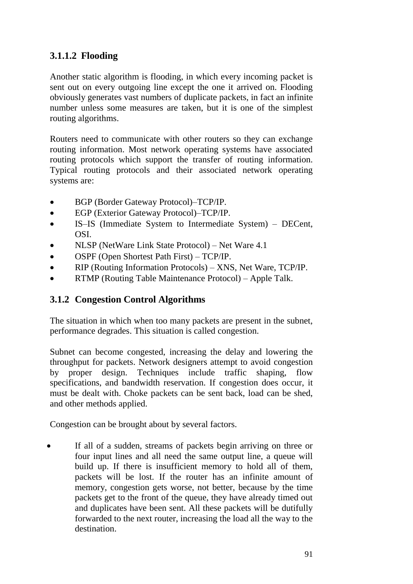## **3.1.1.2 Flooding**

Another static algorithm is flooding, in which every incoming packet is sent out on every outgoing line except the one it arrived on. Flooding obviously generates vast numbers of duplicate packets, in fact an infinite number unless some measures are taken, but it is one of the simplest routing algorithms.

Routers need to communicate with other routers so they can exchange routing information. Most network operating systems have associated routing protocols which support the transfer of routing information. Typical routing protocols and their associated network operating systems are:

- BGP (Border Gateway Protocol)–TCP/IP.
- EGP (Exterior Gateway Protocol)–TCP/IP.
- IS–IS (Immediate System to Intermediate System) DECent, OSI.
- NLSP (NetWare Link State Protocol) Net Ware 4.1
- OSPF (Open Shortest Path First) TCP/IP.
- RIP (Routing Information Protocols) XNS, Net Ware, TCP/IP.
- RTMP (Routing Table Maintenance Protocol) Apple Talk.

### **3.1.2 Congestion Control Algorithms**

The situation in which when too many packets are present in the subnet, performance degrades. This situation is called congestion.

Subnet can become congested, increasing the delay and lowering the throughput for packets. Network designers attempt to avoid congestion by proper design. Techniques include traffic shaping, flow specifications, and bandwidth reservation. If congestion does occur, it must be dealt with. Choke packets can be sent back, load can be shed, and other methods applied.

Congestion can be brought about by several factors.

 If all of a sudden, streams of packets begin arriving on three or four input lines and all need the same output line, a queue will build up. If there is insufficient memory to hold all of them, packets will be lost. If the router has an infinite amount of memory, congestion gets worse, not better, because by the time packets get to the front of the queue, they have already timed out and duplicates have been sent. All these packets will be dutifully forwarded to the next router, increasing the load all the way to the destination.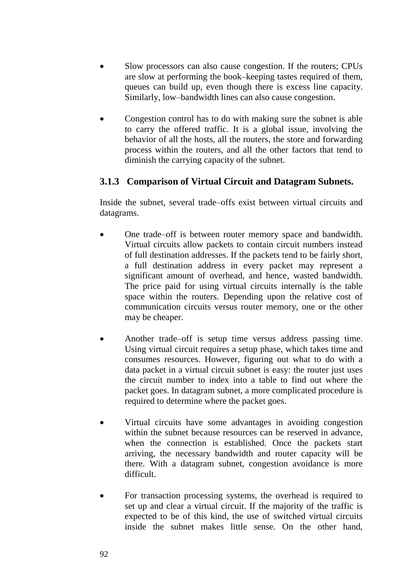- Slow processors can also cause congestion. If the routers; CPUs are slow at performing the book–keeping tastes required of them, queues can build up, even though there is excess line capacity. Similarly, low–bandwidth lines can also cause congestion.
- Congestion control has to do with making sure the subnet is able to carry the offered traffic. It is a global issue, involving the behavior of all the hosts, all the routers, the store and forwarding process within the routers, and all the other factors that tend to diminish the carrying capacity of the subnet.

### **3.1.3 Comparison of Virtual Circuit and Datagram Subnets.**

Inside the subnet, several trade–offs exist between virtual circuits and datagrams.

- One trade–off is between router memory space and bandwidth. Virtual circuits allow packets to contain circuit numbers instead of full destination addresses. If the packets tend to be fairly short, a full destination address in every packet may represent a significant amount of overhead, and hence, wasted bandwidth. The price paid for using virtual circuits internally is the table space within the routers. Depending upon the relative cost of communication circuits versus router memory, one or the other may be cheaper.
- Another trade–off is setup time versus address passing time. Using virtual circuit requires a setup phase, which takes time and consumes resources. However, figuring out what to do with a data packet in a virtual circuit subnet is easy: the router just uses the circuit number to index into a table to find out where the packet goes. In datagram subnet, a more complicated procedure is required to determine where the packet goes.
- Virtual circuits have some advantages in avoiding congestion within the subnet because resources can be reserved in advance, when the connection is established. Once the packets start arriving, the necessary bandwidth and router capacity will be there. With a datagram subnet, congestion avoidance is more difficult.
- For transaction processing systems, the overhead is required to set up and clear a virtual circuit. If the majority of the traffic is expected to be of this kind, the use of switched virtual circuits inside the subnet makes little sense. On the other hand,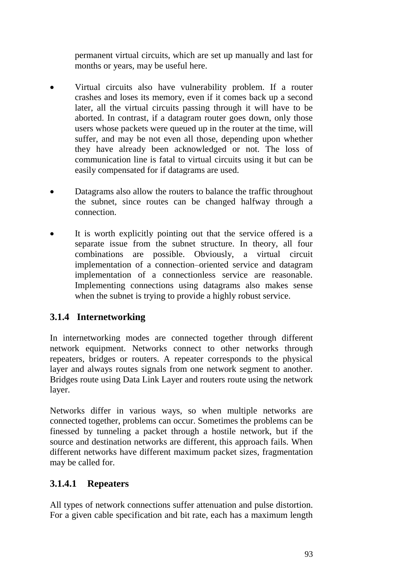permanent virtual circuits, which are set up manually and last for months or years, may be useful here.

- Virtual circuits also have vulnerability problem. If a router crashes and loses its memory, even if it comes back up a second later, all the virtual circuits passing through it will have to be aborted. In contrast, if a datagram router goes down, only those users whose packets were queued up in the router at the time, will suffer, and may be not even all those, depending upon whether they have already been acknowledged or not. The loss of communication line is fatal to virtual circuits using it but can be easily compensated for if datagrams are used.
- Datagrams also allow the routers to balance the traffic throughout the subnet, since routes can be changed halfway through a connection.
- It is worth explicitly pointing out that the service offered is a separate issue from the subnet structure. In theory, all four combinations are possible. Obviously, a virtual circuit implementation of a connection–oriented service and datagram implementation of a connectionless service are reasonable. Implementing connections using datagrams also makes sense when the subnet is trying to provide a highly robust service.

## **3.1.4 Internetworking**

In internetworking modes are connected together through different network equipment. Networks connect to other networks through repeaters, bridges or routers. A repeater corresponds to the physical layer and always routes signals from one network segment to another. Bridges route using Data Link Layer and routers route using the network layer.

Networks differ in various ways, so when multiple networks are connected together, problems can occur. Sometimes the problems can be finessed by tunneling a packet through a hostile network, but if the source and destination networks are different, this approach fails. When different networks have different maximum packet sizes, fragmentation may be called for.

# **3.1.4.1 Repeaters**

All types of network connections suffer attenuation and pulse distortion. For a given cable specification and bit rate, each has a maximum length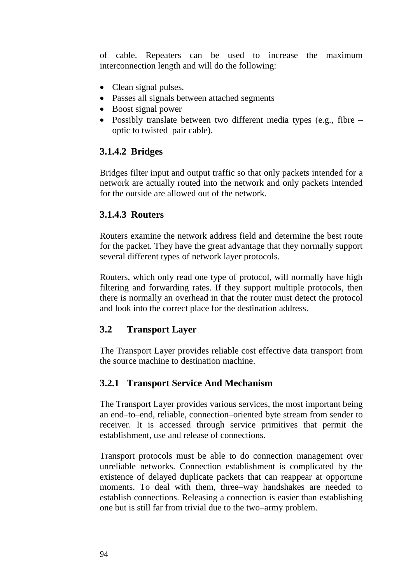of cable. Repeaters can be used to increase the maximum interconnection length and will do the following:

- Clean signal pulses.
- Passes all signals between attached segments
- Boost signal power
- Possibly translate between two different media types (e.g., fibre optic to twisted–pair cable).

### **3.1.4.2 Bridges**

Bridges filter input and output traffic so that only packets intended for a network are actually routed into the network and only packets intended for the outside are allowed out of the network.

### **3.1.4.3 Routers**

Routers examine the network address field and determine the best route for the packet. They have the great advantage that they normally support several different types of network layer protocols.

Routers, which only read one type of protocol, will normally have high filtering and forwarding rates. If they support multiple protocols, then there is normally an overhead in that the router must detect the protocol and look into the correct place for the destination address.

#### **3.2 Transport Layer**

The Transport Layer provides reliable cost effective data transport from the source machine to destination machine.

### **3.2.1 Transport Service And Mechanism**

The Transport Layer provides various services, the most important being an end–to–end, reliable, connection–oriented byte stream from sender to receiver. It is accessed through service primitives that permit the establishment, use and release of connections.

Transport protocols must be able to do connection management over unreliable networks. Connection establishment is complicated by the existence of delayed duplicate packets that can reappear at opportune moments. To deal with them, three–way handshakes are needed to establish connections. Releasing a connection is easier than establishing one but is still far from trivial due to the two–army problem.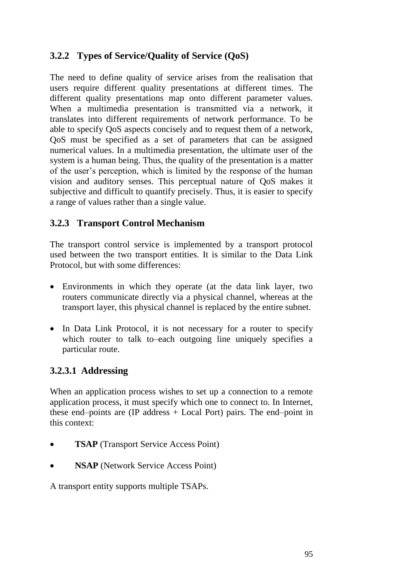## **3.2.2 Types of Service/Quality of Service (QoS)**

The need to define quality of service arises from the realisation that users require different quality presentations at different times. The different quality presentations map onto different parameter values. When a multimedia presentation is transmitted via a network, it translates into different requirements of network performance. To be able to specify QoS aspects concisely and to request them of a network, QoS must be specified as a set of parameters that can be assigned numerical values. In a multimedia presentation, the ultimate user of the system is a human being. Thus, the quality of the presentation is a matter of the user's perception, which is limited by the response of the human vision and auditory senses. This perceptual nature of QoS makes it subjective and difficult to quantify precisely. Thus, it is easier to specify a range of values rather than a single value.

# **3.2.3 Transport Control Mechanism**

The transport control service is implemented by a transport protocol used between the two transport entities. It is similar to the Data Link Protocol, but with some differences:

- Environments in which they operate (at the data link layer, two routers communicate directly via a physical channel, whereas at the transport layer, this physical channel is replaced by the entire subnet.
- In Data Link Protocol, it is not necessary for a router to specify which router to talk to–each outgoing line uniquely specifies a particular route.

## **3.2.3.1 Addressing**

When an application process wishes to set up a connection to a remote application process, it must specify which one to connect to. In Internet, these end–points are (IP address + Local Port) pairs. The end–point in this context:

- **TSAP** (Transport Service Access Point)
- **NSAP** (Network Service Access Point)

A transport entity supports multiple TSAPs.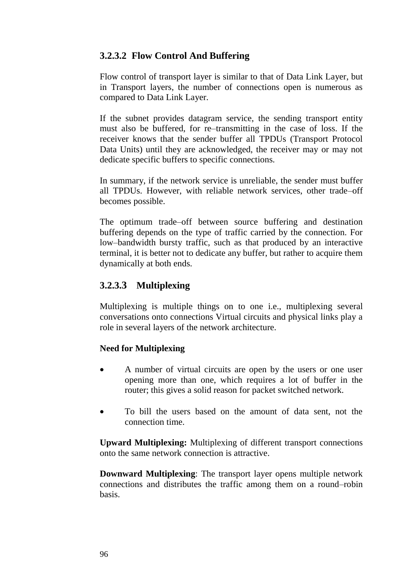## **3.2.3.2 Flow Control And Buffering**

Flow control of transport layer is similar to that of Data Link Layer, but in Transport layers, the number of connections open is numerous as compared to Data Link Layer.

If the subnet provides datagram service, the sending transport entity must also be buffered, for re–transmitting in the case of loss. If the receiver knows that the sender buffer all TPDUs (Transport Protocol Data Units) until they are acknowledged, the receiver may or may not dedicate specific buffers to specific connections.

In summary, if the network service is unreliable, the sender must buffer all TPDUs. However, with reliable network services, other trade–off becomes possible.

The optimum trade–off between source buffering and destination buffering depends on the type of traffic carried by the connection. For low–bandwidth bursty traffic, such as that produced by an interactive terminal, it is better not to dedicate any buffer, but rather to acquire them dynamically at both ends.

## **3.2.3.3 Multiplexing**

Multiplexing is multiple things on to one i.e., multiplexing several conversations onto connections Virtual circuits and physical links play a role in several layers of the network architecture.

### **Need for Multiplexing**

- A number of virtual circuits are open by the users or one user opening more than one, which requires a lot of buffer in the router; this gives a solid reason for packet switched network.
- To bill the users based on the amount of data sent, not the connection time.

**Upward Multiplexing:** Multiplexing of different transport connections onto the same network connection is attractive.

**Downward Multiplexing**: The transport layer opens multiple network connections and distributes the traffic among them on a round–robin basis.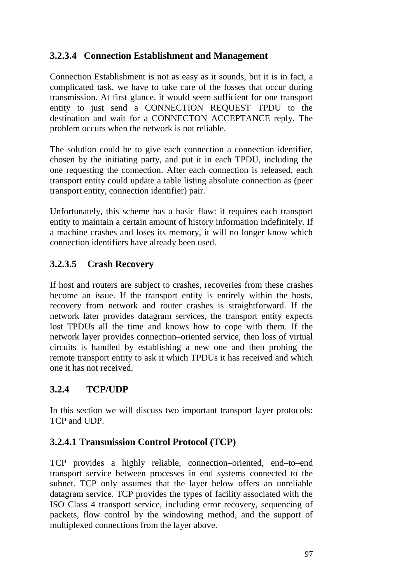## **3.2.3.4 Connection Establishment and Management**

Connection Establishment is not as easy as it sounds, but it is in fact, a complicated task, we have to take care of the losses that occur during transmission. At first glance, it would seem sufficient for one transport entity to just send a CONNECTION REQUEST TPDU to the destination and wait for a CONNECTON ACCEPTANCE reply. The problem occurs when the network is not reliable.

The solution could be to give each connection a connection identifier, chosen by the initiating party, and put it in each TPDU, including the one requesting the connection. After each connection is released, each transport entity could update a table listing absolute connection as (peer transport entity, connection identifier) pair.

Unfortunately, this scheme has a basic flaw: it requires each transport entity to maintain a certain amount of history information indefinitely. If a machine crashes and loses its memory, it will no longer know which connection identifiers have already been used.

# **3.2.3.5 Crash Recovery**

If host and routers are subject to crashes, recoveries from these crashes become an issue. If the transport entity is entirely within the hosts, recovery from network and router crashes is straightforward. If the network later provides datagram services, the transport entity expects lost TPDUs all the time and knows how to cope with them. If the network layer provides connection–oriented service, then loss of virtual circuits is handled by establishing a new one and then probing the remote transport entity to ask it which TPDUs it has received and which one it has not received.

# **3.2.4 TCP/UDP**

In this section we will discuss two important transport layer protocols: TCP and UDP.

## **3.2.4.1 Transmission Control Protocol (TCP)**

TCP provides a highly reliable, connection–oriented, end–to–end transport service between processes in end systems connected to the subnet. TCP only assumes that the layer below offers an unreliable datagram service. TCP provides the types of facility associated with the ISO Class 4 transport service, including error recovery, sequencing of packets, flow control by the windowing method, and the support of multiplexed connections from the layer above.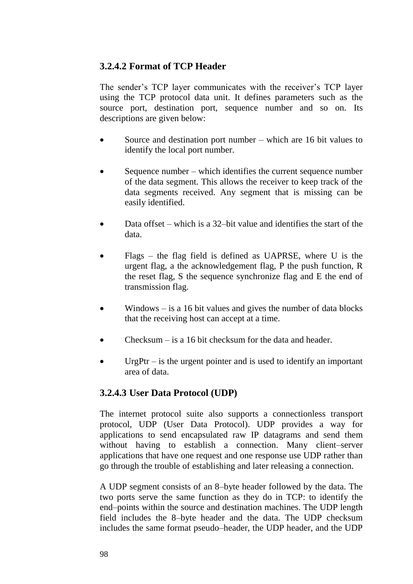## **3.2.4.2 Format of TCP Header**

The sender's TCP layer communicates with the receiver's TCP layer using the TCP protocol data unit. It defines parameters such as the source port, destination port, sequence number and so on. Its descriptions are given below:

- Source and destination port number which are 16 bit values to identify the local port number.
- Sequence number which identifies the current sequence number of the data segment. This allows the receiver to keep track of the data segments received. Any segment that is missing can be easily identified.
- Data offset which is a 32-bit value and identifies the start of the data.
- Flags the flag field is defined as UAPRSE, where U is the urgent flag, a the acknowledgement flag, P the push function, R the reset flag, S the sequence synchronize flag and E the end of transmission flag.
- Windows is a 16 bit values and gives the number of data blocks that the receiving host can accept at a time.
- Checksum is a 16 bit checksum for the data and header.
- $\bullet$  UrgPtr is the urgent pointer and is used to identify an important area of data.

## **3.2.4.3 User Data Protocol (UDP)**

The internet protocol suite also supports a connectionless transport protocol, UDP (User Data Protocol). UDP provides a way for applications to send encapsulated raw IP datagrams and send them without having to establish a connection. Many client–server applications that have one request and one response use UDP rather than go through the trouble of establishing and later releasing a connection.

A UDP segment consists of an 8–byte header followed by the data. The two ports serve the same function as they do in TCP: to identify the end–points within the source and destination machines. The UDP length field includes the 8–byte header and the data. The UDP checksum includes the same format pseudo–header, the UDP header, and the UDP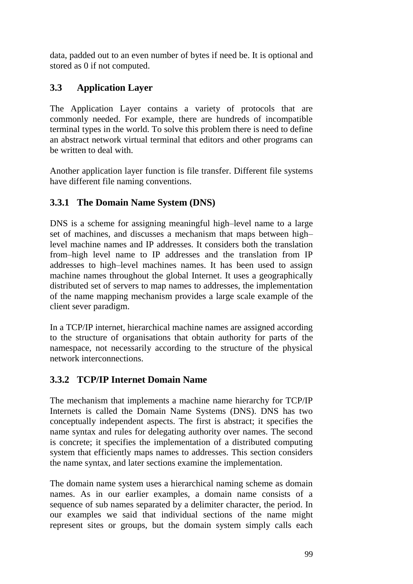data, padded out to an even number of bytes if need be. It is optional and stored as 0 if not computed.

# **3.3 Application Layer**

The Application Layer contains a variety of protocols that are commonly needed. For example, there are hundreds of incompatible terminal types in the world. To solve this problem there is need to define an abstract network virtual terminal that editors and other programs can be written to deal with.

Another application layer function is file transfer. Different file systems have different file naming conventions.

# **3.3.1 The Domain Name System (DNS)**

DNS is a scheme for assigning meaningful high–level name to a large set of machines, and discusses a mechanism that maps between high– level machine names and IP addresses. It considers both the translation from–high level name to IP addresses and the translation from IP addresses to high–level machines names. It has been used to assign machine names throughout the global Internet. It uses a geographically distributed set of servers to map names to addresses, the implementation of the name mapping mechanism provides a large scale example of the client sever paradigm.

In a TCP/IP internet, hierarchical machine names are assigned according to the structure of organisations that obtain authority for parts of the namespace, not necessarily according to the structure of the physical network interconnections.

# **3.3.2 TCP/IP Internet Domain Name**

The mechanism that implements a machine name hierarchy for TCP/IP Internets is called the Domain Name Systems (DNS). DNS has two conceptually independent aspects. The first is abstract; it specifies the name syntax and rules for delegating authority over names. The second is concrete; it specifies the implementation of a distributed computing system that efficiently maps names to addresses. This section considers the name syntax, and later sections examine the implementation.

The domain name system uses a hierarchical naming scheme as domain names. As in our earlier examples, a domain name consists of a sequence of sub names separated by a delimiter character, the period. In our examples we said that individual sections of the name might represent sites or groups, but the domain system simply calls each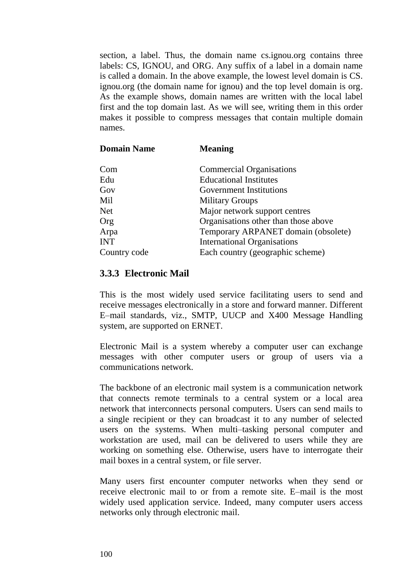section, a label. Thus, the domain name cs.ignou.org contains three labels: CS, IGNOU, and ORG. Any suffix of a label in a domain name is called a domain. In the above example, the lowest level domain is CS. ignou.org (the domain name for ignou) and the top level domain is org. As the example shows, domain names are written with the local label first and the top domain last. As we will see, writing them in this order makes it possible to compress messages that contain multiple domain names.

| <b>Domain Name</b> | <b>Meaning</b>                       |
|--------------------|--------------------------------------|
| Com                | <b>Commercial Organisations</b>      |
| Edu                | <b>Educational Institutes</b>        |
| Gov                | <b>Government Institutions</b>       |
| Mil                | <b>Military Groups</b>               |
| <b>Net</b>         | Major network support centres        |
| Org                | Organisations other than those above |
| Arpa               | Temporary ARPANET domain (obsolete)  |
| <b>INT</b>         | <b>International Organisations</b>   |
| Country code       | Each country (geographic scheme)     |

### **3.3.3 Electronic Mail**

This is the most widely used service facilitating users to send and receive messages electronically in a store and forward manner. Different E–mail standards, viz., SMTP, UUCP and X400 Message Handling system, are supported on ERNET.

Electronic Mail is a system whereby a computer user can exchange messages with other computer users or group of users via a communications network.

The backbone of an electronic mail system is a communication network that connects remote terminals to a central system or a local area network that interconnects personal computers. Users can send mails to a single recipient or they can broadcast it to any number of selected users on the systems. When multi–tasking personal computer and workstation are used, mail can be delivered to users while they are working on something else. Otherwise, users have to interrogate their mail boxes in a central system, or file server.

Many users first encounter computer networks when they send or receive electronic mail to or from a remote site. E–mail is the most widely used application service. Indeed, many computer users access networks only through electronic mail.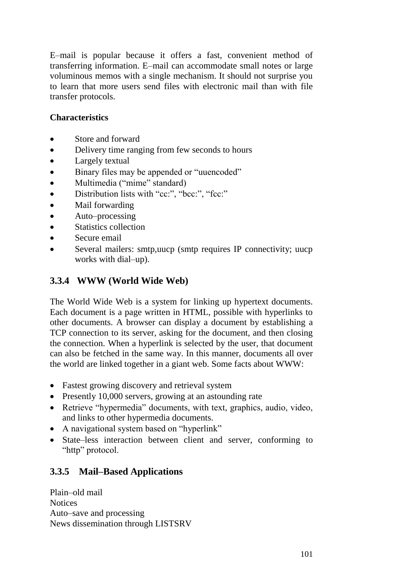E–mail is popular because it offers a fast, convenient method of transferring information. E–mail can accommodate small notes or large voluminous memos with a single mechanism. It should not surprise you to learn that more users send files with electronic mail than with file transfer protocols.

### **Characteristics**

- Store and forward
- Delivery time ranging from few seconds to hours
- Largely textual
- Binary files may be appended or "uuencoded"
- Multimedia ("mime" standard)
- Distribution lists with "cc:", "bcc:", "fcc:"
- Mail forwarding
- Auto–processing
- Statistics collection
- Secure email
- Several mailers: smtp,uucp (smtp requires IP connectivity; uucp works with dial–up).

## **3.3.4 WWW (World Wide Web)**

The World Wide Web is a system for linking up hypertext documents. Each document is a page written in HTML, possible with hyperlinks to other documents. A browser can display a document by establishing a TCP connection to its server, asking for the document, and then closing the connection. When a hyperlink is selected by the user, that document can also be fetched in the same way. In this manner, documents all over the world are linked together in a giant web. Some facts about WWW:

- Fastest growing discovery and retrieval system
- Presently 10,000 servers, growing at an astounding rate
- Retrieve "hypermedia" documents, with text, graphics, audio, video, and links to other hypermedia documents.
- A navigational system based on "hyperlink"
- State–less interaction between client and server, conforming to "http" protocol.

## **3.3.5 Mail–Based Applications**

Plain–old mail **Notices** Auto–save and processing News dissemination through LISTSRV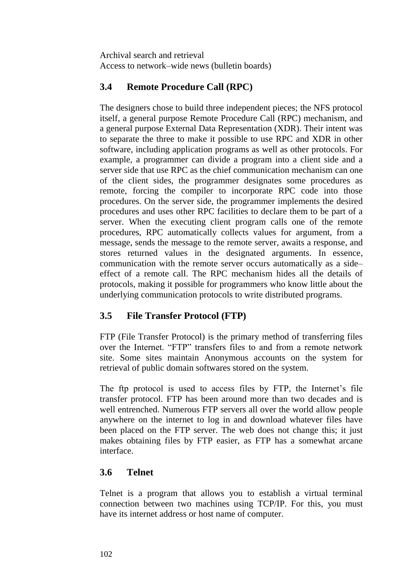Archival search and retrieval Access to network–wide news (bulletin boards)

# **3.4 Remote Procedure Call (RPC)**

The designers chose to build three independent pieces; the NFS protocol itself, a general purpose Remote Procedure Call (RPC) mechanism, and a general purpose External Data Representation (XDR). Their intent was to separate the three to make it possible to use RPC and XDR in other software, including application programs as well as other protocols. For example, a programmer can divide a program into a client side and a server side that use RPC as the chief communication mechanism can one of the client sides, the programmer designates some procedures as remote, forcing the compiler to incorporate RPC code into those procedures. On the server side, the programmer implements the desired procedures and uses other RPC facilities to declare them to be part of a server. When the executing client program calls one of the remote procedures, RPC automatically collects values for argument, from a message, sends the message to the remote server, awaits a response, and stores returned values in the designated arguments. In essence, communication with the remote server occurs automatically as a side– effect of a remote call. The RPC mechanism hides all the details of protocols, making it possible for programmers who know little about the underlying communication protocols to write distributed programs.

## **3.5 File Transfer Protocol (FTP)**

FTP (File Transfer Protocol) is the primary method of transferring files over the Internet. "FTP" transfers files to and from a remote network site. Some sites maintain Anonymous accounts on the system for retrieval of public domain softwares stored on the system.

The ftp protocol is used to access files by FTP, the Internet's file transfer protocol. FTP has been around more than two decades and is well entrenched. Numerous FTP servers all over the world allow people anywhere on the internet to log in and download whatever files have been placed on the FTP server. The web does not change this; it just makes obtaining files by FTP easier, as FTP has a somewhat arcane interface.

### **3.6 Telnet**

Telnet is a program that allows you to establish a virtual terminal connection between two machines using TCP/IP. For this, you must have its internet address or host name of computer.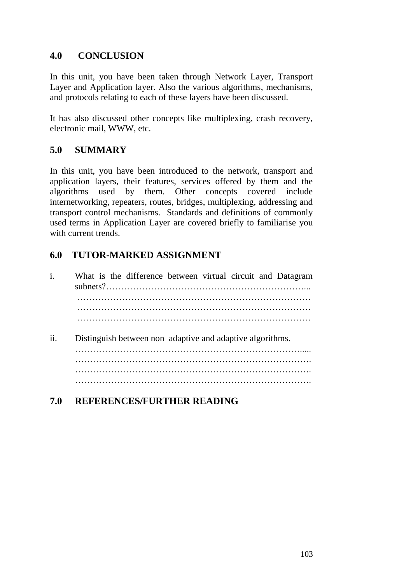## **4.0 CONCLUSION**

In this unit, you have been taken through Network Layer, Transport Layer and Application layer. Also the various algorithms, mechanisms, and protocols relating to each of these layers have been discussed.

It has also discussed other concepts like multiplexing, crash recovery, electronic mail, WWW, etc.

### **5.0 SUMMARY**

In this unit, you have been introduced to the network, transport and application layers, their features, services offered by them and the algorithms used by them. Other concepts covered include internetworking, repeaters, routes, bridges, multiplexing, addressing and transport control mechanisms. Standards and definitions of commonly used terms in Application Layer are covered briefly to familiarise you with current trends.

## **6.0 TUTOR-MARKED ASSIGNMENT**

- i. What is the difference between virtual circuit and Datagram subnets?…………………………………………………………... …………………………………………………………………… …………………………………………………………………… ……………………………………………………………………
- ii. Distinguish between non–adaptive and adaptive algorithms. …………………………………………………………………..... ……………………………………………………………………. …………………………………………………………………….

## **7.0 REFERENCES/FURTHER READING**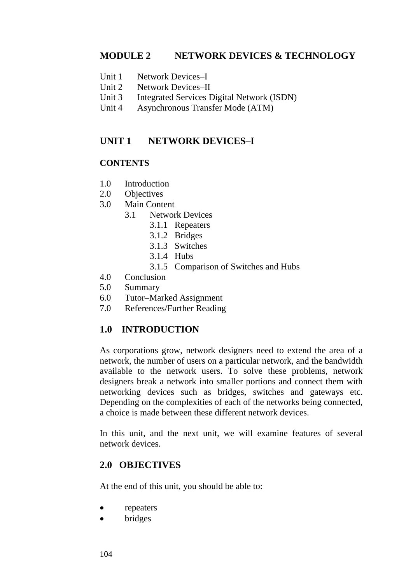## **MODULE 2 NETWORK DEVICES & TECHNOLOGY**

- Unit 1 Network Devices–I
- Unit 2 Network Devices–II
- Unit 3 Integrated Services Digital Network (ISDN)
- Unit 4 Asynchronous Transfer Mode (ATM)

### **UNIT 1 NETWORK DEVICES–I**

#### **CONTENTS**

- 1.0 Introduction
- 2.0 Objectives
- 3.0 Main Content
	- 3.1 Network Devices
		- 3.1.1 Repeaters
		- 3.1.2 Bridges
		- 3.1.3 Switches
		- 3.1.4 Hubs
		- 3.1.5 Comparison of Switches and Hubs
- 4.0 Conclusion
- 5.0 Summary
- 6.0 Tutor–Marked Assignment
- 7.0 References/Further Reading

### **1.0 INTRODUCTION**

As corporations grow, network designers need to extend the area of a network, the number of users on a particular network, and the bandwidth available to the network users. To solve these problems, network designers break a network into smaller portions and connect them with networking devices such as bridges, switches and gateways etc. Depending on the complexities of each of the networks being connected, a choice is made between these different network devices.

In this unit, and the next unit, we will examine features of several network devices.

### **2.0 OBJECTIVES**

At the end of this unit, you should be able to:

- repeaters
- bridges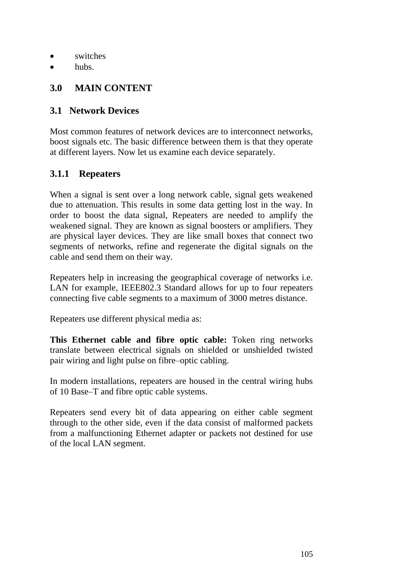- switches
- hubs.

## **3.0 MAIN CONTENT**

### **3.1 Network Devices**

Most common features of network devices are to interconnect networks, boost signals etc. The basic difference between them is that they operate at different layers. Now let us examine each device separately.

### **3.1.1 Repeaters**

When a signal is sent over a long network cable, signal gets weakened due to attenuation. This results in some data getting lost in the way. In order to boost the data signal, Repeaters are needed to amplify the weakened signal. They are known as signal boosters or amplifiers. They are physical layer devices. They are like small boxes that connect two segments of networks, refine and regenerate the digital signals on the cable and send them on their way.

Repeaters help in increasing the geographical coverage of networks i.e. LAN for example, IEEE802.3 Standard allows for up to four repeaters connecting five cable segments to a maximum of 3000 metres distance.

Repeaters use different physical media as:

**This Ethernet cable and fibre optic cable:** Token ring networks translate between electrical signals on shielded or unshielded twisted pair wiring and light pulse on fibre–optic cabling.

In modern installations, repeaters are housed in the central wiring hubs of 10 Base–T and fibre optic cable systems.

Repeaters send every bit of data appearing on either cable segment through to the other side, even if the data consist of malformed packets from a malfunctioning Ethernet adapter or packets not destined for use of the local LAN segment.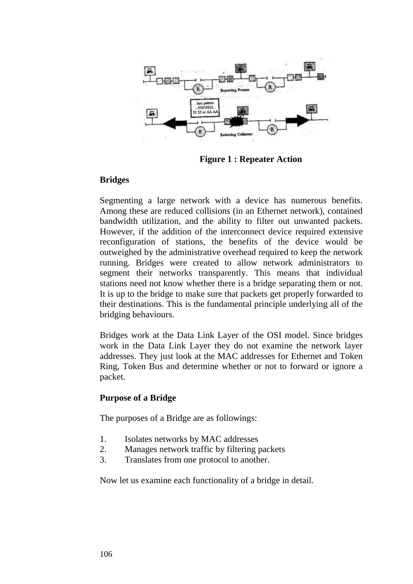

**Figure 1 : Repeater Action**

#### **Bridges**

Segmenting a large network with a device has numerous benefits. Among these are reduced collisions (in an Ethernet network), contained bandwidth utilization, and the ability to filter out unwanted packets. However, if the addition of the interconnect device required extensive reconfiguration of stations, the benefits of the device would be outweighed by the administrative overhead required to keep the network running. Bridges were created to allow network administrators to segment their networks transparently. This means that individual stations need not know whether there is a bridge separating them or not. It is up to the bridge to make sure that packets get properly forwarded to their destinations. This is the fundamental principle underlying all of the bridging behaviours.

Bridges work at the Data Link Layer of the OSI model. Since bridges work in the Data Link Layer they do not examine the network layer addresses. They just look at the MAC addresses for Ethernet and Token Ring, Token Bus and determine whether or not to forward or ignore a packet.

#### **Purpose of a Bridge**

The purposes of a Bridge are as followings:

- 1. Isolates networks by MAC addresses
- 2. Manages network traffic by filtering packets
- 3. Translates from one protocol to another.

Now let us examine each functionality of a bridge in detail.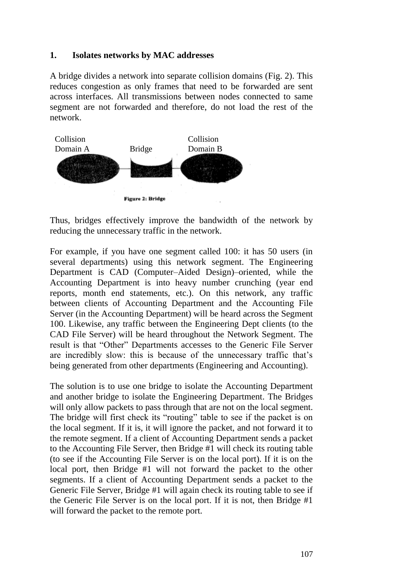#### **1. Isolates networks by MAC addresses**

A bridge divides a network into separate collision domains (Fig. 2). This reduces congestion as only frames that need to be forwarded are sent across interfaces. All transmissions between nodes connected to same segment are not forwarded and therefore, do not load the rest of the network.



Thus, bridges effectively improve the bandwidth of the network by reducing the unnecessary traffic in the network.

For example, if you have one segment called 100: it has 50 users (in several departments) using this network segment. The Engineering Department is CAD (Computer–Aided Design)–oriented, while the Accounting Department is into heavy number crunching (year end reports, month end statements, etc.). On this network, any traffic between clients of Accounting Department and the Accounting File Server (in the Accounting Department) will be heard across the Segment 100. Likewise, any traffic between the Engineering Dept clients (to the CAD File Server) will be heard throughout the Network Segment. The result is that "Other" Departments accesses to the Generic File Server are incredibly slow: this is because of the unnecessary traffic that's being generated from other departments (Engineering and Accounting).

The solution is to use one bridge to isolate the Accounting Department and another bridge to isolate the Engineering Department. The Bridges will only allow packets to pass through that are not on the local segment. The bridge will first check its "routing" table to see if the packet is on the local segment. If it is, it will ignore the packet, and not forward it to the remote segment. If a client of Accounting Department sends a packet to the Accounting File Server, then Bridge #1 will check its routing table (to see if the Accounting File Server is on the local port). If it is on the local port, then Bridge #1 will not forward the packet to the other segments. If a client of Accounting Department sends a packet to the Generic File Server, Bridge #1 will again check its routing table to see if the Generic File Server is on the local port. If it is not, then Bridge #1 will forward the packet to the remote port.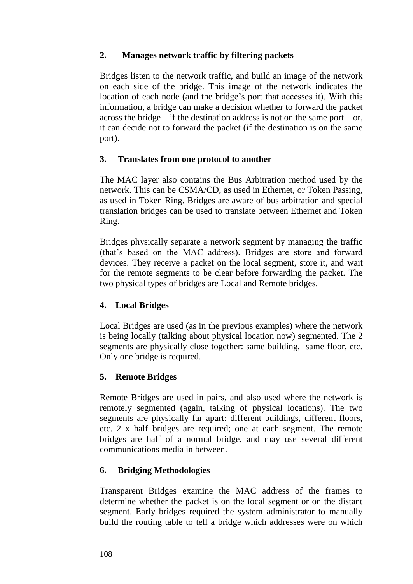## **2. Manages network traffic by filtering packets**

Bridges listen to the network traffic, and build an image of the network on each side of the bridge. This image of the network indicates the location of each node (and the bridge's port that accesses it). With this information, a bridge can make a decision whether to forward the packet across the bridge – if the destination address is not on the same port – or, it can decide not to forward the packet (if the destination is on the same port).

### **3. Translates from one protocol to another**

The MAC layer also contains the Bus Arbitration method used by the network. This can be CSMA/CD, as used in Ethernet, or Token Passing, as used in Token Ring. Bridges are aware of bus arbitration and special translation bridges can be used to translate between Ethernet and Token Ring.

Bridges physically separate a network segment by managing the traffic (that's based on the MAC address). Bridges are store and forward devices. They receive a packet on the local segment, store it, and wait for the remote segments to be clear before forwarding the packet. The two physical types of bridges are Local and Remote bridges.

### **4. Local Bridges**

Local Bridges are used (as in the previous examples) where the network is being locally (talking about physical location now) segmented. The 2 segments are physically close together: same building, same floor, etc. Only one bridge is required.

### **5. Remote Bridges**

Remote Bridges are used in pairs, and also used where the network is remotely segmented (again, talking of physical locations). The two segments are physically far apart: different buildings, different floors, etc. 2 x half–bridges are required; one at each segment. The remote bridges are half of a normal bridge, and may use several different communications media in between.

### **6. Bridging Methodologies**

Transparent Bridges examine the MAC address of the frames to determine whether the packet is on the local segment or on the distant segment. Early bridges required the system administrator to manually build the routing table to tell a bridge which addresses were on which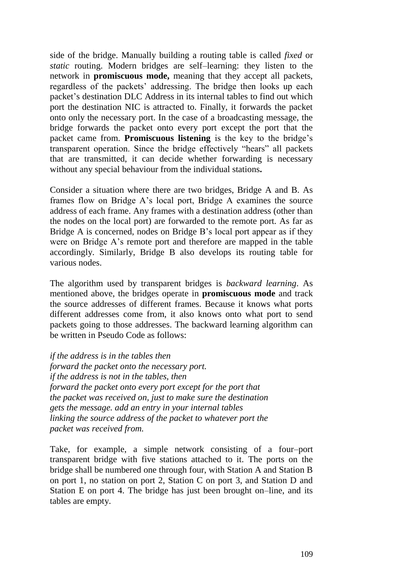side of the bridge. Manually building a routing table is called *fixed* or *static* routing. Modern bridges are self–learning: they listen to the network in **promiscuous mode,** meaning that they accept all packets, regardless of the packets' addressing. The bridge then looks up each packet's destination DLC Address in its internal tables to find out which port the destination NIC is attracted to. Finally, it forwards the packet onto only the necessary port. In the case of a broadcasting message, the bridge forwards the packet onto every port except the port that the packet came from. **Promiscuous listening** is the key to the bridge's transparent operation. Since the bridge effectively "hears" all packets that are transmitted, it can decide whether forwarding is necessary without any special behaviour from the individual stations**.**

Consider a situation where there are two bridges, Bridge A and B. As frames flow on Bridge A's local port, Bridge A examines the source address of each frame. Any frames with a destination address (other than the nodes on the local port) are forwarded to the remote port. As far as Bridge A is concerned, nodes on Bridge B's local port appear as if they were on Bridge A's remote port and therefore are mapped in the table accordingly. Similarly, Bridge B also develops its routing table for various nodes.

The algorithm used by transparent bridges is *backward learning*. As mentioned above, the bridges operate in **promiscuous mode** and track the source addresses of different frames. Because it knows what ports different addresses come from, it also knows onto what port to send packets going to those addresses. The backward learning algorithm can be written in Pseudo Code as follows:

*if the address is in the tables then forward the packet onto the necessary port. if the address is not in the tables, then forward the packet onto every port except for the port that the packet was received on, just to make sure the destination gets the message. add an entry in your internal tables linking the source address of the packet to whatever port the packet was received from.*

Take, for example, a simple network consisting of a four–port transparent bridge with five stations attached to it. The ports on the bridge shall be numbered one through four, with Station A and Station B on port 1, no station on port 2, Station C on port 3, and Station D and Station E on port 4. The bridge has just been brought on–line, and its tables are empty.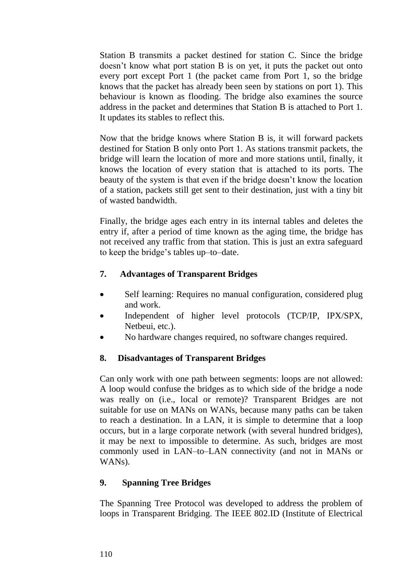Station B transmits a packet destined for station C. Since the bridge doesn't know what port station B is on yet, it puts the packet out onto every port except Port 1 (the packet came from Port 1, so the bridge knows that the packet has already been seen by stations on port 1). This behaviour is known as flooding. The bridge also examines the source address in the packet and determines that Station B is attached to Port 1. It updates its stables to reflect this.

Now that the bridge knows where Station B is, it will forward packets destined for Station B only onto Port 1. As stations transmit packets, the bridge will learn the location of more and more stations until, finally, it knows the location of every station that is attached to its ports. The beauty of the system is that even if the bridge doesn't know the location of a station, packets still get sent to their destination, just with a tiny bit of wasted bandwidth.

Finally, the bridge ages each entry in its internal tables and deletes the entry if, after a period of time known as the aging time, the bridge has not received any traffic from that station. This is just an extra safeguard to keep the bridge's tables up–to–date.

### **7. Advantages of Transparent Bridges**

- Self learning: Requires no manual configuration, considered plug and work.
- Independent of higher level protocols (TCP/IP, IPX/SPX, Netbeui, etc.).
- No hardware changes required, no software changes required.

#### **8. Disadvantages of Transparent Bridges**

Can only work with one path between segments: loops are not allowed: A loop would confuse the bridges as to which side of the bridge a node was really on (i.e., local or remote)? Transparent Bridges are not suitable for use on MANs on WANs, because many paths can be taken to reach a destination. In a LAN, it is simple to determine that a loop occurs, but in a large corporate network (with several hundred bridges), it may be next to impossible to determine. As such, bridges are most commonly used in LAN–to–LAN connectivity (and not in MANs or WANs).

### **9. Spanning Tree Bridges**

The Spanning Tree Protocol was developed to address the problem of loops in Transparent Bridging. The IEEE 802.ID (Institute of Electrical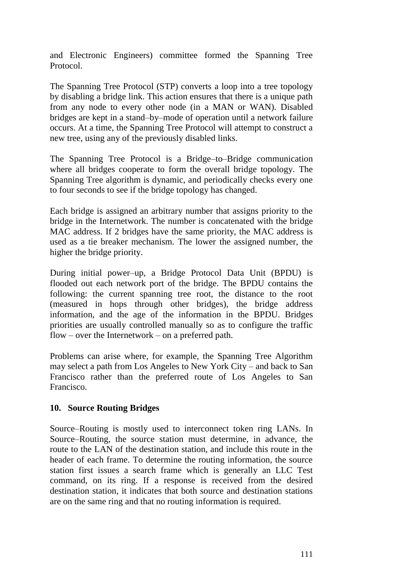and Electronic Engineers) committee formed the Spanning Tree Protocol.

The Spanning Tree Protocol (STP) converts a loop into a tree topology by disabling a bridge link. This action ensures that there is a unique path from any node to every other node (in a MAN or WAN). Disabled bridges are kept in a stand–by–mode of operation until a network failure occurs. At a time, the Spanning Tree Protocol will attempt to construct a new tree, using any of the previously disabled links.

The Spanning Tree Protocol is a Bridge–to–Bridge communication where all bridges cooperate to form the overall bridge topology. The Spanning Tree algorithm is dynamic, and periodically checks every one to four seconds to see if the bridge topology has changed.

Each bridge is assigned an arbitrary number that assigns priority to the bridge in the Internetwork. The number is concatenated with the bridge MAC address. If 2 bridges have the same priority, the MAC address is used as a tie breaker mechanism. The lower the assigned number, the higher the bridge priority.

During initial power–up, a Bridge Protocol Data Unit (BPDU) is flooded out each network port of the bridge. The BPDU contains the following: the current spanning tree root, the distance to the root (measured in hops through other bridges), the bridge address information, and the age of the information in the BPDU. Bridges priorities are usually controlled manually so as to configure the traffic flow – over the Internetwork – on a preferred path.

Problems can arise where, for example, the Spanning Tree Algorithm may select a path from Los Angeles to New York City – and back to San Francisco rather than the preferred route of Los Angeles to San Francisco.

#### **10. Source Routing Bridges**

Source–Routing is mostly used to interconnect token ring LANs. In Source–Routing, the source station must determine, in advance, the route to the LAN of the destination station, and include this route in the header of each frame. To determine the routing information, the source station first issues a search frame which is generally an LLC Test command, on its ring. If a response is received from the desired destination station, it indicates that both source and destination stations are on the same ring and that no routing information is required.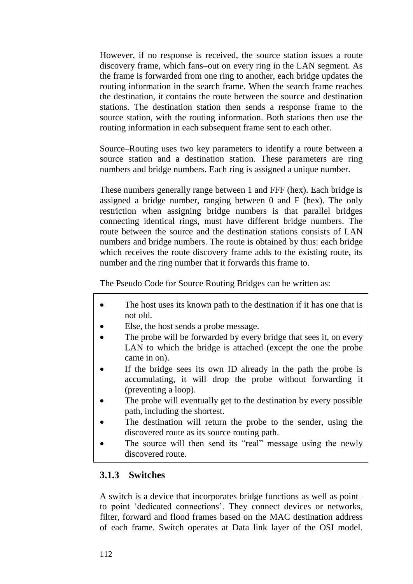However, if no response is received, the source station issues a route discovery frame, which fans–out on every ring in the LAN segment. As the frame is forwarded from one ring to another, each bridge updates the routing information in the search frame. When the search frame reaches the destination, it contains the route between the source and destination stations. The destination station then sends a response frame to the source station, with the routing information. Both stations then use the routing information in each subsequent frame sent to each other.

Source–Routing uses two key parameters to identify a route between a source station and a destination station. These parameters are ring numbers and bridge numbers. Each ring is assigned a unique number.

These numbers generally range between 1 and FFF (hex). Each bridge is assigned a bridge number, ranging between 0 and F (hex). The only restriction when assigning bridge numbers is that parallel bridges connecting identical rings, must have different bridge numbers. The route between the source and the destination stations consists of LAN numbers and bridge numbers. The route is obtained by thus: each bridge which receives the route discovery frame adds to the existing route, its number and the ring number that it forwards this frame to.

The Pseudo Code for Source Routing Bridges can be written as:

- The host uses its known path to the destination if it has one that is not old.
- Else, the host sends a probe message.
- The probe will be forwarded by every bridge that sees it, on every LAN to which the bridge is attached (except the one the probe came in on).
- If the bridge sees its own ID already in the path the probe is accumulating, it will drop the probe without forwarding it (preventing a loop).
- The probe will eventually get to the destination by every possible path, including the shortest.
- The destination will return the probe to the sender, using the discovered route as its source routing path.
- The source will then send its "real" message using the newly discovered route.

## **3.1.3 Switches**

A switch is a device that incorporates bridge functions as well as point– to–point 'dedicated connections'. They connect devices or networks, filter, forward and flood frames based on the MAC destination address of each frame. Switch operates at Data link layer of the OSI model.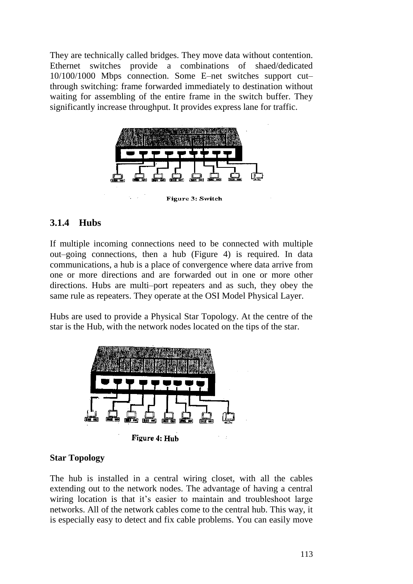They are technically called bridges. They move data without contention. Ethernet switches provide a combinations of shaed/dedicated 10/100/1000 Mbps connection. Some E–net switches support cut– through switching: frame forwarded immediately to destination without waiting for assembling of the entire frame in the switch buffer. They significantly increase throughput. It provides express lane for traffic.



### **3.1.4 Hubs**

If multiple incoming connections need to be connected with multiple out–going connections, then a hub (Figure 4) is required. In data communications, a hub is a place of convergence where data arrive from one or more directions and are forwarded out in one or more other directions. Hubs are multi–port repeaters and as such, they obey the same rule as repeaters. They operate at the OSI Model Physical Layer.

Hubs are used to provide a Physical Star Topology. At the centre of the star is the Hub, with the network nodes located on the tips of the star.



#### **Star Topology**

The hub is installed in a central wiring closet, with all the cables extending out to the network nodes. The advantage of having a central wiring location is that it's easier to maintain and troubleshoot large networks. All of the network cables come to the central hub. This way, it is especially easy to detect and fix cable problems. You can easily move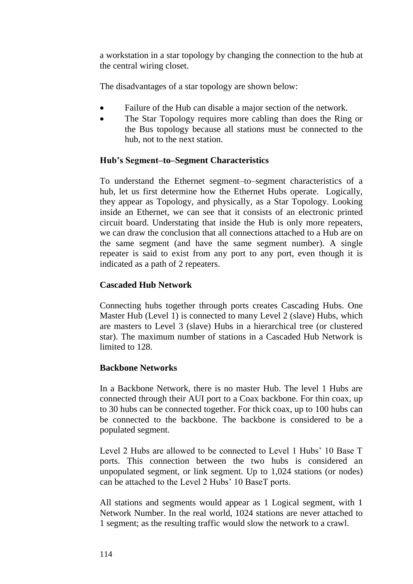a workstation in a star topology by changing the connection to the hub at the central wiring closet.

The disadvantages of a star topology are shown below:

- Failure of the Hub can disable a major section of the network.
- The Star Topology requires more cabling than does the Ring or the Bus topology because all stations must be connected to the hub, not to the next station.

### **Hub's Segment–to–Segment Characteristics**

To understand the Ethernet segment–to–segment characteristics of a hub, let us first determine how the Ethernet Hubs operate. Logically, they appear as Topology, and physically, as a Star Topology. Looking inside an Ethernet, we can see that it consists of an electronic printed circuit board. Understating that inside the Hub is only more repeaters, we can draw the conclusion that all connections attached to a Hub are on the same segment (and have the same segment number). A single repeater is said to exist from any port to any port, even though it is indicated as a path of 2 repeaters.

### **Cascaded Hub Network**

Connecting hubs together through ports creates Cascading Hubs. One Master Hub (Level 1) is connected to many Level 2 (slave) Hubs, which are masters to Level 3 (slave) Hubs in a hierarchical tree (or clustered star). The maximum number of stations in a Cascaded Hub Network is limited to 128.

#### **Backbone Networks**

In a Backbone Network, there is no master Hub. The level 1 Hubs are connected through their AUI port to a Coax backbone. For thin coax, up to 30 hubs can be connected together. For thick coax, up to 100 hubs can be connected to the backbone. The backbone is considered to be a populated segment.

Level 2 Hubs are allowed to be connected to Level 1 Hubs' 10 Base T ports. This connection between the two hubs is considered an unpopulated segment, or link segment. Up to 1,024 stations (or nodes) can be attached to the Level 2 Hubs' 10 BaseT ports.

All stations and segments would appear as 1 Logical segment, with 1 Network Number. In the real world, 1024 stations are never attached to 1 segment; as the resulting traffic would slow the network to a crawl.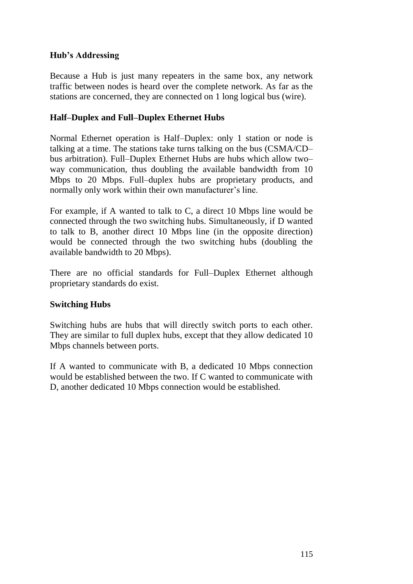#### **Hub's Addressing**

Because a Hub is just many repeaters in the same box, any network traffic between nodes is heard over the complete network. As far as the stations are concerned, they are connected on 1 long logical bus (wire).

### **Half–Duplex and Full–Duplex Ethernet Hubs**

Normal Ethernet operation is Half–Duplex: only 1 station or node is talking at a time. The stations take turns talking on the bus (CSMA/CD– bus arbitration). Full–Duplex Ethernet Hubs are hubs which allow two– way communication, thus doubling the available bandwidth from 10 Mbps to 20 Mbps. Full–duplex hubs are proprietary products, and normally only work within their own manufacturer's line.

For example, if A wanted to talk to C, a direct 10 Mbps line would be connected through the two switching hubs. Simultaneously, if D wanted to talk to B, another direct 10 Mbps line (in the opposite direction) would be connected through the two switching hubs (doubling the available bandwidth to 20 Mbps).

There are no official standards for Full–Duplex Ethernet although proprietary standards do exist.

#### **Switching Hubs**

Switching hubs are hubs that will directly switch ports to each other. They are similar to full duplex hubs, except that they allow dedicated 10 Mbps channels between ports.

If A wanted to communicate with B, a dedicated 10 Mbps connection would be established between the two. If C wanted to communicate with D, another dedicated 10 Mbps connection would be established.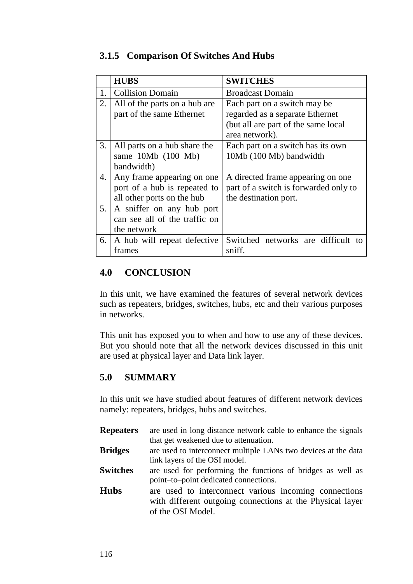|    | <b>HUBS</b>                   | <b>SWITCHES</b>                       |
|----|-------------------------------|---------------------------------------|
| 1. | <b>Collision Domain</b>       | <b>Broadcast Domain</b>               |
| 2. | All of the parts on a hub are | Each part on a switch may be          |
|    | part of the same Ethernet     | regarded as a separate Ethernet       |
|    |                               | (but all are part of the same local   |
|    |                               | area network).                        |
| 3. | All parts on a hub share the  | Each part on a switch has its own     |
|    | same $10Mb (100 Mb)$          | 10Mb (100 Mb) bandwidth               |
|    | bandwidth)                    |                                       |
| 4. | Any frame appearing on one    | A directed frame appearing on one     |
|    | port of a hub is repeated to  | part of a switch is forwarded only to |
|    | all other ports on the hub    | the destination port.                 |
| 5. | A sniffer on any hub port     |                                       |
|    | can see all of the traffic on |                                       |
|    | the network                   |                                       |
| 6. | A hub will repeat defective   | Switched networks are difficult to    |
|    | frames                        | sniff.                                |

## **3.1.5 Comparison Of Switches And Hubs**

## **4.0 CONCLUSION**

In this unit, we have examined the features of several network devices such as repeaters, bridges, switches, hubs, etc and their various purposes in networks.

This unit has exposed you to when and how to use any of these devices. But you should note that all the network devices discussed in this unit are used at physical layer and Data link layer.

## **5.0 SUMMARY**

In this unit we have studied about features of different network devices namely: repeaters, bridges, hubs and switches.

| <b>Repeaters</b> | are used in long distance network cable to enhance the signals<br>that get weakened due to attenuation.                                 |
|------------------|-----------------------------------------------------------------------------------------------------------------------------------------|
| <b>Bridges</b>   | are used to interconnect multiple LANs two devices at the data<br>link layers of the OSI model.                                         |
| <b>Switches</b>  | are used for performing the functions of bridges as well as<br>point-to-point dedicated connections.                                    |
| <b>Hubs</b>      | are used to interconnect various incoming connections<br>with different outgoing connections at the Physical layer<br>of the OSI Model. |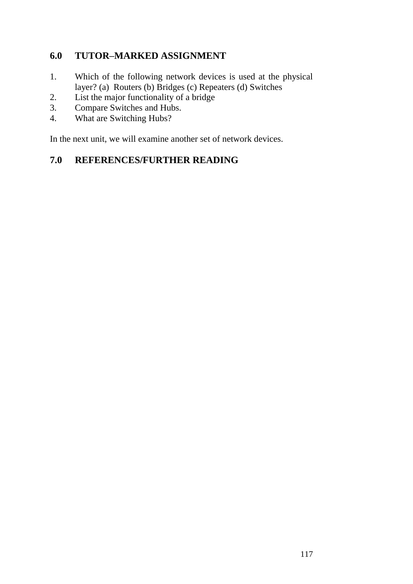## **6.0 TUTOR–MARKED ASSIGNMENT**

- 1. Which of the following network devices is used at the physical layer? (a) Routers (b) Bridges (c) Repeaters (d) Switches
- 2. List the major functionality of a bridge
- 3. Compare Switches and Hubs.
- 4. What are Switching Hubs?

In the next unit, we will examine another set of network devices.

# **7.0 REFERENCES/FURTHER READING**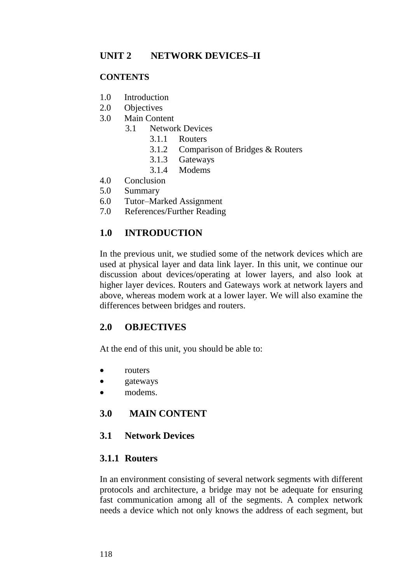### **CONTENTS**

- 1.0 Introduction
- 2.0 Objectives
- 3.0 Main Content
	- 3.1 Network Devices
		- 3.1.1 Routers
		- 3.1.2 Comparison of Bridges & Routers
		- 3.1.3 Gateways
		- 3.1.4 Modems
- 4.0 Conclusion
- 5.0 Summary
- 6.0 Tutor–Marked Assignment
- 7.0 References/Further Reading

## **1.0 INTRODUCTION**

In the previous unit, we studied some of the network devices which are used at physical layer and data link layer. In this unit, we continue our discussion about devices/operating at lower layers, and also look at higher layer devices. Routers and Gateways work at network layers and above, whereas modem work at a lower layer. We will also examine the differences between bridges and routers.

### **2.0 OBJECTIVES**

At the end of this unit, you should be able to:

- routers
- gateways
- modems.

### **3.0 MAIN CONTENT**

#### **3.1 Network Devices**

### **3.1.1 Routers**

In an environment consisting of several network segments with different protocols and architecture, a bridge may not be adequate for ensuring fast communication among all of the segments. A complex network needs a device which not only knows the address of each segment, but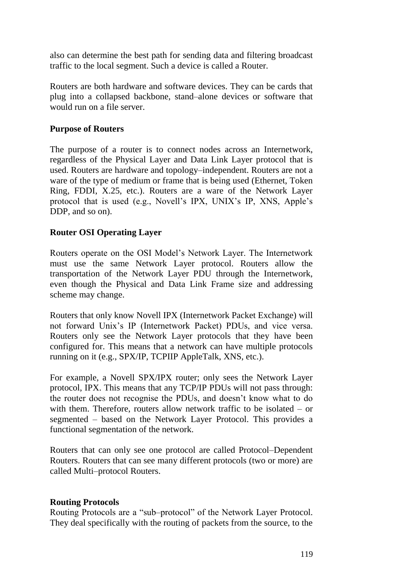also can determine the best path for sending data and filtering broadcast traffic to the local segment. Such a device is called a Router.

Routers are both hardware and software devices. They can be cards that plug into a collapsed backbone, stand–alone devices or software that would run on a file server.

#### **Purpose of Routers**

The purpose of a router is to connect nodes across an Internetwork, regardless of the Physical Layer and Data Link Layer protocol that is used. Routers are hardware and topology–independent. Routers are not a ware of the type of medium or frame that is being used (Ethernet, Token Ring, FDDI, X.25, etc.). Routers are a ware of the Network Layer protocol that is used (e.g., Novell's IPX, UNIX's IP, XNS, Apple's DDP, and so on).

#### **Router OSI Operating Layer**

Routers operate on the OSI Model's Network Layer. The Internetwork must use the same Network Layer protocol. Routers allow the transportation of the Network Layer PDU through the Internetwork, even though the Physical and Data Link Frame size and addressing scheme may change.

Routers that only know Novell IPX (Internetwork Packet Exchange) will not forward Unix's IP (Internetwork Packet) PDUs, and vice versa. Routers only see the Network Layer protocols that they have been configured for. This means that a network can have multiple protocols running on it (e.g., SPX/IP, TCPIIP AppleTalk, XNS, etc.).

For example, a Novell SPX/IPX router; only sees the Network Layer protocol, IPX. This means that any TCP/IP PDUs will not pass through: the router does not recognise the PDUs, and doesn't know what to do with them. Therefore, routers allow network traffic to be isolated – or segmented – based on the Network Layer Protocol. This provides a functional segmentation of the network.

Routers that can only see one protocol are called Protocol–Dependent Routers. Routers that can see many different protocols (two or more) are called Multi–protocol Routers.

#### **Routing Protocols**

Routing Protocols are a "sub–protocol" of the Network Layer Protocol. They deal specifically with the routing of packets from the source, to the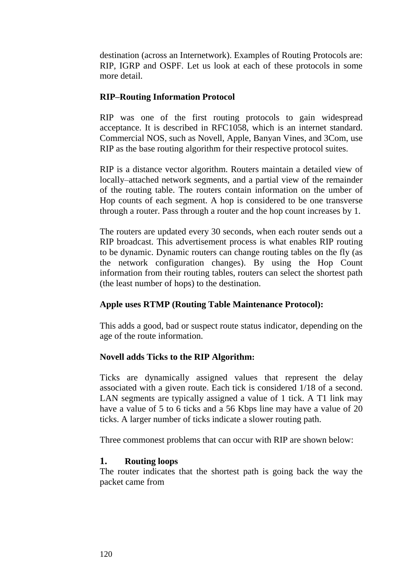destination (across an Internetwork). Examples of Routing Protocols are: RIP, IGRP and OSPF. Let us look at each of these protocols in some more detail.

#### **RIP–Routing Information Protocol**

RIP was one of the first routing protocols to gain widespread acceptance. It is described in RFC1058, which is an internet standard. Commercial NOS, such as Novell, Apple, Banyan Vines, and 3Com, use RIP as the base routing algorithm for their respective protocol suites.

RIP is a distance vector algorithm. Routers maintain a detailed view of locally–attached network segments, and a partial view of the remainder of the routing table. The routers contain information on the umber of Hop counts of each segment. A hop is considered to be one transverse through a router. Pass through a router and the hop count increases by 1.

The routers are updated every 30 seconds, when each router sends out a RIP broadcast. This advertisement process is what enables RIP routing to be dynamic. Dynamic routers can change routing tables on the fly (as the network configuration changes). By using the Hop Count information from their routing tables, routers can select the shortest path (the least number of hops) to the destination.

#### **Apple uses RTMP (Routing Table Maintenance Protocol):**

This adds a good, bad or suspect route status indicator, depending on the age of the route information.

#### **Novell adds Ticks to the RIP Algorithm:**

Ticks are dynamically assigned values that represent the delay associated with a given route. Each tick is considered 1/18 of a second. LAN segments are typically assigned a value of 1 tick. A T1 link may have a value of 5 to 6 ticks and a 56 Kbps line may have a value of 20 ticks. A larger number of ticks indicate a slower routing path.

Three commonest problems that can occur with RIP are shown below:

#### **1. Routing loops**

The router indicates that the shortest path is going back the way the packet came from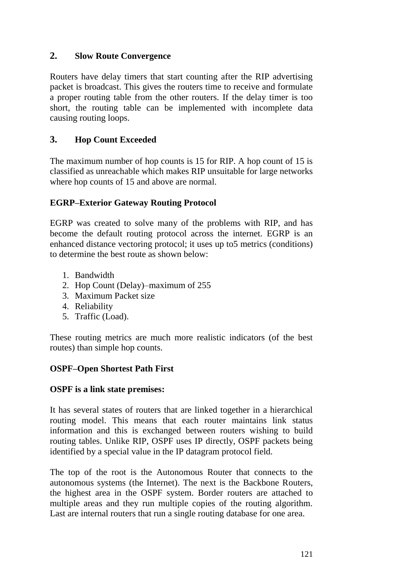#### **2. Slow Route Convergence**

Routers have delay timers that start counting after the RIP advertising packet is broadcast. This gives the routers time to receive and formulate a proper routing table from the other routers. If the delay timer is too short, the routing table can be implemented with incomplete data causing routing loops.

### **3. Hop Count Exceeded**

The maximum number of hop counts is 15 for RIP. A hop count of 15 is classified as unreachable which makes RIP unsuitable for large networks where hop counts of 15 and above are normal.

### **EGRP–Exterior Gateway Routing Protocol**

EGRP was created to solve many of the problems with RIP, and has become the default routing protocol across the internet. EGRP is an enhanced distance vectoring protocol; it uses up to5 metrics (conditions) to determine the best route as shown below:

- 1. Bandwidth
- 2. Hop Count (Delay)–maximum of 255
- 3. Maximum Packet size
- 4. Reliability
- 5. Traffic (Load).

These routing metrics are much more realistic indicators (of the best routes) than simple hop counts.

### **OSPF–Open Shortest Path First**

#### **OSPF is a link state premises:**

It has several states of routers that are linked together in a hierarchical routing model. This means that each router maintains link status information and this is exchanged between routers wishing to build routing tables. Unlike RIP, OSPF uses IP directly, OSPF packets being identified by a special value in the IP datagram protocol field.

The top of the root is the Autonomous Router that connects to the autonomous systems (the Internet). The next is the Backbone Routers, the highest area in the OSPF system. Border routers are attached to multiple areas and they run multiple copies of the routing algorithm. Last are internal routers that run a single routing database for one area.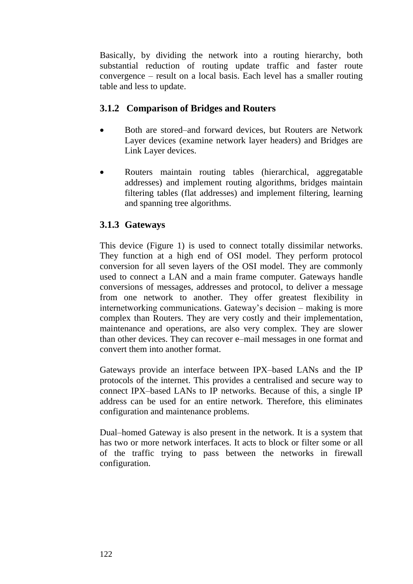Basically, by dividing the network into a routing hierarchy, both substantial reduction of routing update traffic and faster route convergence – result on a local basis. Each level has a smaller routing table and less to update.

## **3.1.2 Comparison of Bridges and Routers**

- Both are stored–and forward devices, but Routers are Network Layer devices (examine network layer headers) and Bridges are Link Layer devices.
- Routers maintain routing tables (hierarchical, aggregatable addresses) and implement routing algorithms, bridges maintain filtering tables (flat addresses) and implement filtering, learning and spanning tree algorithms.

## **3.1.3 Gateways**

This device (Figure 1) is used to connect totally dissimilar networks. They function at a high end of OSI model. They perform protocol conversion for all seven layers of the OSI model. They are commonly used to connect a LAN and a main frame computer. Gateways handle conversions of messages, addresses and protocol, to deliver a message from one network to another. They offer greatest flexibility in internetworking communications. Gateway's decision – making is more complex than Routers. They are very costly and their implementation, maintenance and operations, are also very complex. They are slower than other devices. They can recover e–mail messages in one format and convert them into another format.

Gateways provide an interface between IPX–based LANs and the IP protocols of the internet. This provides a centralised and secure way to connect IPX–based LANs to IP networks. Because of this, a single IP address can be used for an entire network. Therefore, this eliminates configuration and maintenance problems.

Dual–homed Gateway is also present in the network. It is a system that has two or more network interfaces. It acts to block or filter some or all of the traffic trying to pass between the networks in firewall configuration.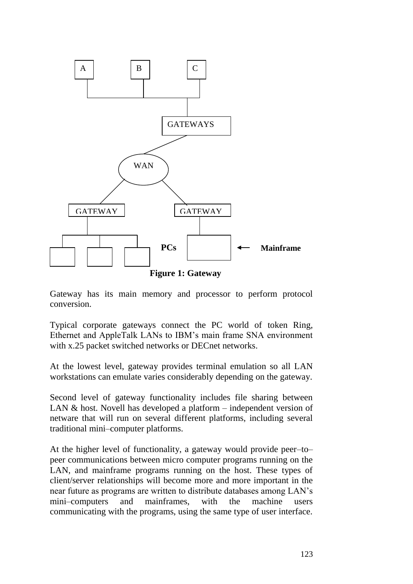

**Figure 1: Gateway**

Gateway has its main memory and processor to perform protocol conversion.

Typical corporate gateways connect the PC world of token Ring, Ethernet and AppleTalk LANs to IBM's main frame SNA environment with x.25 packet switched networks or DECnet networks.

At the lowest level, gateway provides terminal emulation so all LAN workstations can emulate varies considerably depending on the gateway.

Second level of gateway functionality includes file sharing between LAN & host. Novell has developed a platform – independent version of netware that will run on several different platforms, including several traditional mini–computer platforms.

At the higher level of functionality, a gateway would provide peer–to– peer communications between micro computer programs running on the LAN, and mainframe programs running on the host. These types of client/server relationships will become more and more important in the near future as programs are written to distribute databases among LAN's mini–computers and mainframes, with the machine users communicating with the programs, using the same type of user interface.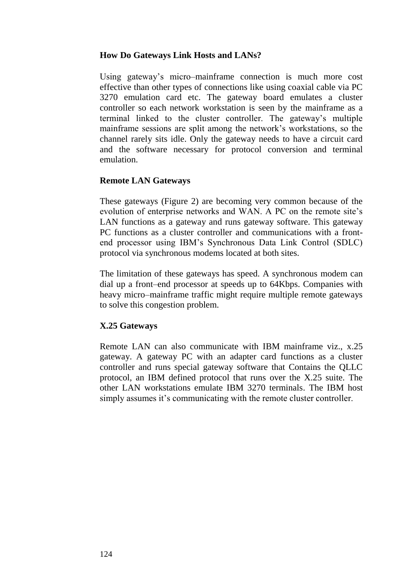#### **How Do Gateways Link Hosts and LANs?**

Using gateway's micro–mainframe connection is much more cost effective than other types of connections like using coaxial cable via PC 3270 emulation card etc. The gateway board emulates a cluster controller so each network workstation is seen by the mainframe as a terminal linked to the cluster controller. The gateway's multiple mainframe sessions are split among the network's workstations, so the channel rarely sits idle. Only the gateway needs to have a circuit card and the software necessary for protocol conversion and terminal emulation.

#### **Remote LAN Gateways**

These gateways (Figure 2) are becoming very common because of the evolution of enterprise networks and WAN. A PC on the remote site's LAN functions as a gateway and runs gateway software. This gateway PC functions as a cluster controller and communications with a frontend processor using IBM's Synchronous Data Link Control (SDLC) protocol via synchronous modems located at both sites.

The limitation of these gateways has speed. A synchronous modem can dial up a front–end processor at speeds up to 64Kbps. Companies with heavy micro–mainframe traffic might require multiple remote gateways to solve this congestion problem.

#### **X.25 Gateways**

Remote LAN can also communicate with IBM mainframe viz., x.25 gateway. A gateway PC with an adapter card functions as a cluster controller and runs special gateway software that Contains the QLLC protocol, an IBM defined protocol that runs over the X.25 suite. The other LAN workstations emulate IBM 3270 terminals. The IBM host simply assumes it's communicating with the remote cluster controller.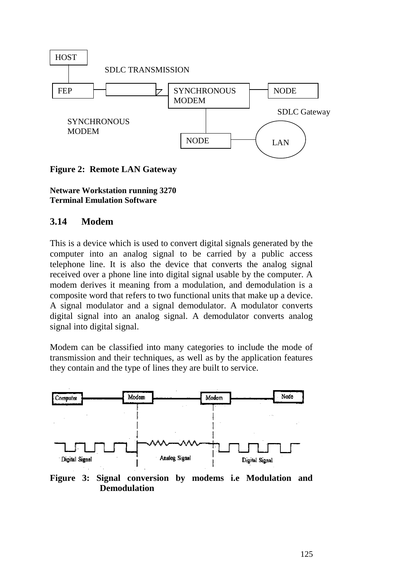

**Figure 2: Remote LAN Gateway**

**Netware Workstation running 3270 Terminal Emulation Software**

### **3.14 Modem**

This is a device which is used to convert digital signals generated by the computer into an analog signal to be carried by a public access telephone line. It is also the device that converts the analog signal received over a phone line into digital signal usable by the computer. A modem derives it meaning from a modulation, and demodulation is a composite word that refers to two functional units that make up a device. A signal modulator and a signal demodulator. A modulator converts digital signal into an analog signal. A demodulator converts analog signal into digital signal.

Modem can be classified into many categories to include the mode of transmission and their techniques, as well as by the application features they contain and the type of lines they are built to service.



**Figure 3: Signal conversion by modems i.e Modulation and Demodulation**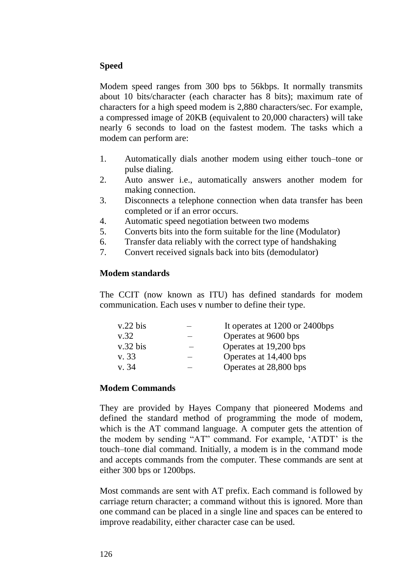### **Speed**

Modem speed ranges from 300 bps to 56kbps. It normally transmits about 10 bits/character (each character has 8 bits); maximum rate of characters for a high speed modem is 2,880 characters/sec. For example, a compressed image of 20KB (equivalent to 20,000 characters) will take nearly 6 seconds to load on the fastest modem. The tasks which a modem can perform are:

- 1. Automatically dials another modem using either touch–tone or pulse dialing.
- 2. Auto answer i.e., automatically answers another modem for making connection.
- 3. Disconnects a telephone connection when data transfer has been completed or if an error occurs.
- 4. Automatic speed negotiation between two modems
- 5. Converts bits into the form suitable for the line (Modulator)
- 6. Transfer data reliably with the correct type of handshaking
- 7. Convert received signals back into bits (demodulator)

#### **Modem standards**

The CCIT (now known as ITU) has defined standards for modem communication. Each uses v number to define their type.

| $v.22$ bis | It operates at 1200 or 2400bps |
|------------|--------------------------------|
| v.32       | Operates at 9600 bps           |
| $v.32$ bis | Operates at 19,200 bps         |
| v. 33      | Operates at 14,400 bps         |
| v. 34      | Operates at 28,800 bps         |
|            |                                |

#### **Modem Commands**

They are provided by Hayes Company that pioneered Modems and defined the standard method of programming the mode of modem, which is the AT command language. A computer gets the attention of the modem by sending "AT" command. For example, 'ATDT' is the touch–tone dial command. Initially, a modem is in the command mode and accepts commands from the computer. These commands are sent at either 300 bps or 1200bps.

Most commands are sent with AT prefix. Each command is followed by carriage return character; a command without this is ignored. More than one command can be placed in a single line and spaces can be entered to improve readability, either character case can be used.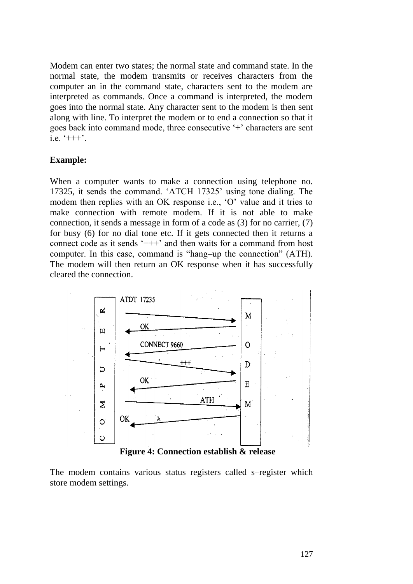Modem can enter two states; the normal state and command state. In the normal state, the modem transmits or receives characters from the computer an in the command state, characters sent to the modem are interpreted as commands. Once a command is interpreted, the modem goes into the normal state. Any character sent to the modem is then sent along with line. To interpret the modem or to end a connection so that it goes back into command mode, three consecutive '+' characters are sent i.e.  $'+++$ '.

#### **Example:**

When a computer wants to make a connection using telephone no. 17325, it sends the command. 'ATCH 17325' using tone dialing. The modem then replies with an OK response i.e., 'O' value and it tries to make connection with remote modem. If it is not able to make connection, it sends a message in form of a code as (3) for no carrier, (7) for busy (6) for no dial tone etc. If it gets connected then it returns a connect code as it sends '+++' and then waits for a command from host computer. In this case, command is "hang–up the connection" (ATH). The modem will then return an OK response when it has successfully cleared the connection.



**Figure 4: Connection establish & release** 

The modem contains various status registers called s–register which store modem settings.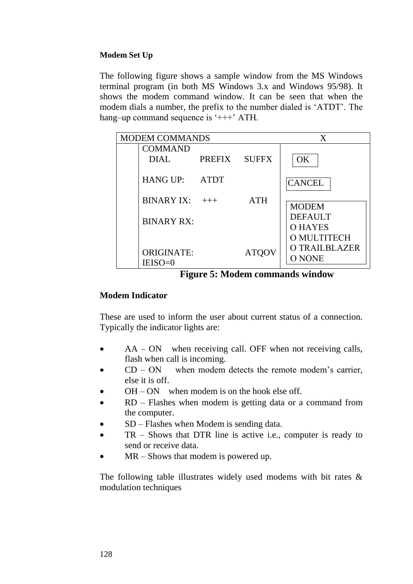#### **Modem Set Up**

The following figure shows a sample window from the MS Windows terminal program (in both MS Windows 3.x and Windows 95/98). It shows the modem command window. It can be seen that when the modem dials a number, the prefix to the number dialed is 'ATDT'. The hang–up command sequence is '+++' ATH.

| <b>MODEM COMMANDS</b>          |               |              | X                                               |
|--------------------------------|---------------|--------------|-------------------------------------------------|
| <b>COMMAND</b><br><b>DIAL</b>  | <b>PREFIX</b> | <b>SUFFX</b> | OK                                              |
| HANG UP:                       | <b>ATDT</b>   |              | <b>CANCEL</b>                                   |
| BINARY IX: $++$                |               | <b>ATH</b>   | <b>MODEM</b>                                    |
| <b>BINARY RX:</b>              |               |              | <b>DEFAULT</b><br><b>O HAYES</b><br>O MULTITECH |
| <b>ORIGINATE:</b><br>$IEISO=0$ |               | <b>ATQOV</b> | O TRAILBLAZER<br>O NONE                         |

**Figure 5: Modem commands window**

#### **Modem Indicator**

These are used to inform the user about current status of a connection. Typically the indicator lights are:

- AA ON when receiving call. OFF when not receiving calls, flash when call is incoming.
- $CD ON$  when modem detects the remote modem's carrier, else it is off.
- $OH ON$  when modem is on the hook else off.
- RD Flashes when modem is getting data or a command from the computer.
- SD Flashes when Modem is sending data.
- TR Shows that DTR line is active i.e., computer is ready to send or receive data.
- MR Shows that modem is powered up.

The following table illustrates widely used modems with bit rates & modulation techniques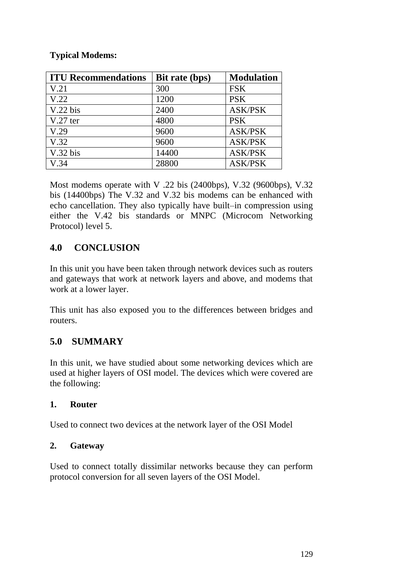### **Typical Modems:**

| <b>ITU Recommendations</b> | Bit rate (bps) | <b>Modulation</b> |
|----------------------------|----------------|-------------------|
| V.21                       | 300            | <b>FSK</b>        |
| V.22                       | 1200           | <b>PSK</b>        |
| $V.22$ bis                 | 2400           | <b>ASK/PSK</b>    |
| $V.27$ ter                 | 4800           | <b>PSK</b>        |
| V.29                       | 9600           | <b>ASK/PSK</b>    |
| V.32                       | 9600           | <b>ASK/PSK</b>    |
| V.32 bis                   | 14400          | <b>ASK/PSK</b>    |
| V.34                       | 28800          | <b>ASK/PSK</b>    |

Most modems operate with V .22 bis (2400bps), V.32 (9600bps), V.32 bis (14400bps) The V.32 and V.32 bis modems can be enhanced with echo cancellation. They also typically have built–in compression using either the V.42 bis standards or MNPC (Microcom Networking Protocol) level 5.

# **4.0 CONCLUSION**

In this unit you have been taken through network devices such as routers and gateways that work at network layers and above, and modems that work at a lower layer.

This unit has also exposed you to the differences between bridges and routers.

## **5.0 SUMMARY**

In this unit, we have studied about some networking devices which are used at higher layers of OSI model. The devices which were covered are the following:

### **1. Router**

Used to connect two devices at the network layer of the OSI Model

#### **2. Gateway**

Used to connect totally dissimilar networks because they can perform protocol conversion for all seven layers of the OSI Model.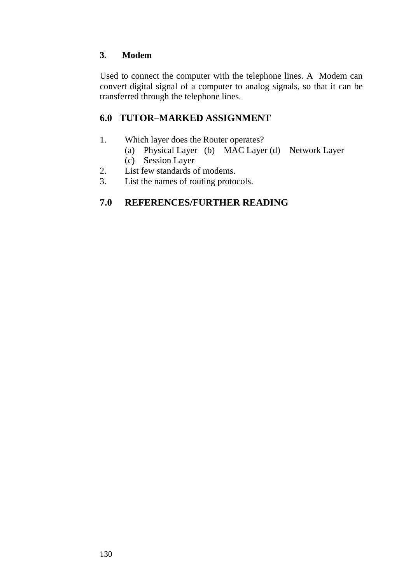## **3. Modem**

Used to connect the computer with the telephone lines. A Modem can convert digital signal of a computer to analog signals, so that it can be transferred through the telephone lines.

## **6.0 TUTOR–MARKED ASSIGNMENT**

- 1. Which layer does the Router operates?
	- (a) Physical Layer (b) MAC Layer (d) Network Layer
	- (c) Session Layer
- 2. List few standards of modems.
- 3. List the names of routing protocols.

# **7.0 REFERENCES/FURTHER READING**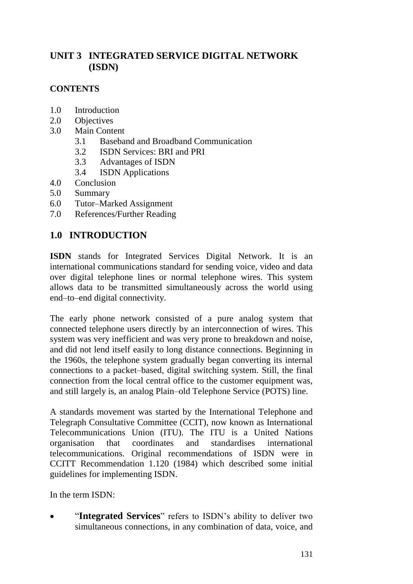# **UNIT 3 INTEGRATED SERVICE DIGITAL NETWORK (ISDN)**

## **CONTENTS**

- 1.0 Introduction
- 2.0 Objectives
- 3.0 Main Content
	- 3.1 Baseband and Broadband Communication
	- 3.2 ISDN Services: BRI and PRI
	- 3.3 Advantages of ISDN
	- 3.4 ISDN Applications
- 4.0 Conclusion
- 5.0 Summary
- 6.0 Tutor–Marked Assignment
- 7.0 References/Further Reading

## **1.0 INTRODUCTION**

**ISDN** stands for Integrated Services Digital Network. It is an international communications standard for sending voice, video and data over digital telephone lines or normal telephone wires. This system allows data to be transmitted simultaneously across the world using end–to–end digital connectivity.

The early phone network consisted of a pure analog system that connected telephone users directly by an interconnection of wires. This system was very inefficient and was very prone to breakdown and noise, and did not lend itself easily to long distance connections. Beginning in the 1960s, the telephone system gradually began converting its internal connections to a packet–based, digital switching system. Still, the final connection from the local central office to the customer equipment was, and still largely is, an analog Plain–old Telephone Service (POTS) line.

A standards movement was started by the International Telephone and Telegraph Consultative Committee (CCIT), now known as International Telecommunications Union (ITU). The ITU is a United Nations organisation that coordinates and standardises international telecommunications. Original recommendations of ISDN were in CCITT Recommendation 1.120 (1984) which described some initial guidelines for implementing ISDN.

In the term ISDN:

 "**Integrated Services**" refers to ISDN's ability to deliver two simultaneous connections, in any combination of data, voice, and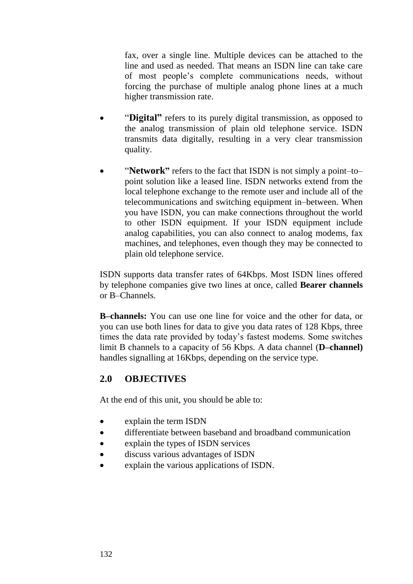fax, over a single line. Multiple devices can be attached to the line and used as needed. That means an ISDN line can take care of most people's complete communications needs, without forcing the purchase of multiple analog phone lines at a much higher transmission rate.

- "Digital" refers to its purely digital transmission, as opposed to the analog transmission of plain old telephone service. ISDN transmits data digitally, resulting in a very clear transmission quality.
- **"Network"** refers to the fact that ISDN is not simply a point–to– point solution like a leased line. ISDN networks extend from the local telephone exchange to the remote user and include all of the telecommunications and switching equipment in–between. When you have ISDN, you can make connections throughout the world to other ISDN equipment. If your ISDN equipment include analog capabilities, you can also connect to analog modems, fax machines, and telephones, even though they may be connected to plain old telephone service.

ISDN supports data transfer rates of 64Kbps. Most ISDN lines offered by telephone companies give two lines at once, called **Bearer channels** or B–Channels.

**B–channels:** You can use one line for voice and the other for data, or you can use both lines for data to give you data rates of 128 Kbps, three times the data rate provided by today's fastest modems. Some switches limit B channels to a capacity of 56 Kbps. A data channel (**D–channel)**  handles signalling at 16Kbps, depending on the service type.

## **2.0 OBJECTIVES**

At the end of this unit, you should be able to:

- explain the term ISDN
- differentiate between baseband and broadband communication
- explain the types of ISDN services
- discuss various advantages of ISDN
- explain the various applications of ISDN.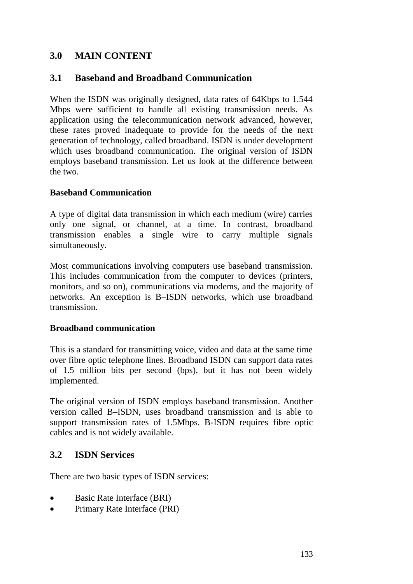## **3.0 MAIN CONTENT**

### **3.1 Baseband and Broadband Communication**

When the ISDN was originally designed, data rates of 64Kbps to 1.544 Mbps were sufficient to handle all existing transmission needs. As application using the telecommunication network advanced, however, these rates proved inadequate to provide for the needs of the next generation of technology, called broadband. ISDN is under development which uses broadband communication. The original version of ISDN employs baseband transmission. Let us look at the difference between the two.

#### **Baseband Communication**

A type of digital data transmission in which each medium (wire) carries only one signal, or channel, at a time. In contrast, broadband transmission enables a single wire to carry multiple signals simultaneously.

Most communications involving computers use baseband transmission. This includes communication from the computer to devices (printers, monitors, and so on), communications via modems, and the majority of networks. An exception is B–ISDN networks, which use broadband transmission.

#### **Broadband communication**

This is a standard for transmitting voice, video and data at the same time over fibre optic telephone lines. Broadband ISDN can support data rates of 1.5 million bits per second (bps), but it has not been widely implemented.

The original version of ISDN employs baseband transmission. Another version called B–ISDN, uses broadband transmission and is able to support transmission rates of 1.5Mbps. B-ISDN requires fibre optic cables and is not widely available.

### **3.2 ISDN Services**

There are two basic types of ISDN services:

- Basic Rate Interface (BRI)
- Primary Rate Interface (PRI)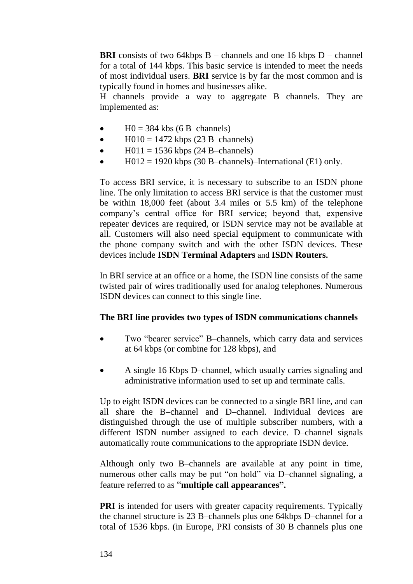**BRI** consists of two 64kbps B – channels and one 16 kbps D – channel for a total of 144 kbps. This basic service is intended to meet the needs of most individual users. **BRI** service is by far the most common and is typically found in homes and businesses alike.

H channels provide a way to aggregate B channels. They are implemented as:

- $\bullet$  H0 = 384 kbs (6 B–channels)
- H010 = 1472 kbps (23 B–channels)
- $H011 = 1536$  kbps (24 B-channels)
- $\bullet$  H012 = 1920 kbps (30 B–channels)–International (E1) only.

To access BRI service, it is necessary to subscribe to an ISDN phone line. The only limitation to access BRI service is that the customer must be within 18,000 feet (about 3.4 miles or 5.5 km) of the telephone company's central office for BRI service; beyond that, expensive repeater devices are required, or ISDN service may not be available at all. Customers will also need special equipment to communicate with the phone company switch and with the other ISDN devices. These devices include **ISDN Terminal Adapters** and **ISDN Routers.**

In BRI service at an office or a home, the ISDN line consists of the same twisted pair of wires traditionally used for analog telephones. Numerous ISDN devices can connect to this single line.

#### **The BRI line provides two types of ISDN communications channels**

- Two "bearer service" B–channels, which carry data and services at 64 kbps (or combine for 128 kbps), and
- A single 16 Kbps D–channel, which usually carries signaling and administrative information used to set up and terminate calls.

Up to eight ISDN devices can be connected to a single BRI line, and can all share the B–channel and D–channel. Individual devices are distinguished through the use of multiple subscriber numbers, with a different ISDN number assigned to each device. D–channel signals automatically route communications to the appropriate ISDN device.

Although only two B–channels are available at any point in time, numerous other calls may be put "on hold" via D–channel signaling, a feature referred to as "**multiple call appearances".**

**PRI** is intended for users with greater capacity requirements. Typically the channel structure is 23 B–channels plus one 64kbps D–channel for a total of 1536 kbps. (in Europe, PRI consists of 30 B channels plus one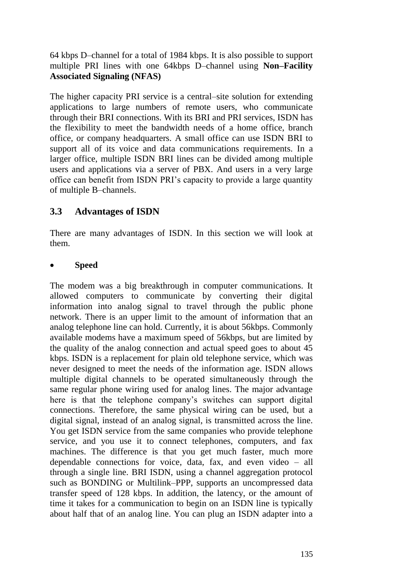64 kbps D–channel for a total of 1984 kbps. It is also possible to support multiple PRI lines with one 64kbps D–channel using **Non–Facility Associated Signaling (NFAS)**

The higher capacity PRI service is a central–site solution for extending applications to large numbers of remote users, who communicate through their BRI connections. With its BRI and PRI services, ISDN has the flexibility to meet the bandwidth needs of a home office, branch office, or company headquarters. A small office can use ISDN BRI to support all of its voice and data communications requirements. In a larger office, multiple ISDN BRI lines can be divided among multiple users and applications via a server of PBX. And users in a very large office can benefit from ISDN PRI's capacity to provide a large quantity of multiple B–channels.

## **3.3 Advantages of ISDN**

There are many advantages of ISDN. In this section we will look at them.

### **Speed**

The modem was a big breakthrough in computer communications. It allowed computers to communicate by converting their digital information into analog signal to travel through the public phone network. There is an upper limit to the amount of information that an analog telephone line can hold. Currently, it is about 56kbps. Commonly available modems have a maximum speed of 56kbps, but are limited by the quality of the analog connection and actual speed goes to about 45 kbps. ISDN is a replacement for plain old telephone service, which was never designed to meet the needs of the information age. ISDN allows multiple digital channels to be operated simultaneously through the same regular phone wiring used for analog lines. The major advantage here is that the telephone company's switches can support digital connections. Therefore, the same physical wiring can be used, but a digital signal, instead of an analog signal, is transmitted across the line. You get ISDN service from the same companies who provide telephone service, and you use it to connect telephones, computers, and fax machines. The difference is that you get much faster, much more dependable connections for voice, data, fax, and even video – all through a single line. BRI ISDN, using a channel aggregation protocol such as BONDING or Multilink–PPP, supports an uncompressed data transfer speed of 128 kbps. In addition, the latency, or the amount of time it takes for a communication to begin on an ISDN line is typically about half that of an analog line. You can plug an ISDN adapter into a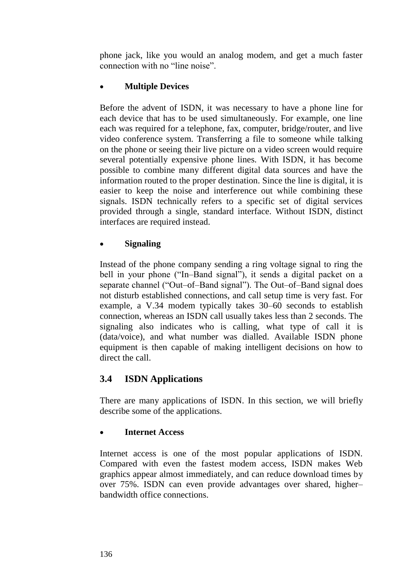phone jack, like you would an analog modem, and get a much faster connection with no "line noise".

## **Multiple Devices**

Before the advent of ISDN, it was necessary to have a phone line for each device that has to be used simultaneously. For example, one line each was required for a telephone, fax, computer, bridge/router, and live video conference system. Transferring a file to someone while talking on the phone or seeing their live picture on a video screen would require several potentially expensive phone lines. With ISDN, it has become possible to combine many different digital data sources and have the information routed to the proper destination. Since the line is digital, it is easier to keep the noise and interference out while combining these signals. ISDN technically refers to a specific set of digital services provided through a single, standard interface. Without ISDN, distinct interfaces are required instead.

### **Signaling**

Instead of the phone company sending a ring voltage signal to ring the bell in your phone ("In–Band signal"), it sends a digital packet on a separate channel ("Out–of–Band signal"). The Out–of–Band signal does not disturb established connections, and call setup time is very fast. For example, a V.34 modem typically takes 30–60 seconds to establish connection, whereas an ISDN call usually takes less than 2 seconds. The signaling also indicates who is calling, what type of call it is (data/voice), and what number was dialled. Available ISDN phone equipment is then capable of making intelligent decisions on how to direct the call.

## **3.4 ISDN Applications**

There are many applications of ISDN. In this section, we will briefly describe some of the applications.

### **Internet Access**

Internet access is one of the most popular applications of ISDN. Compared with even the fastest modem access, ISDN makes Web graphics appear almost immediately, and can reduce download times by over 75%. ISDN can even provide advantages over shared, higher– bandwidth office connections.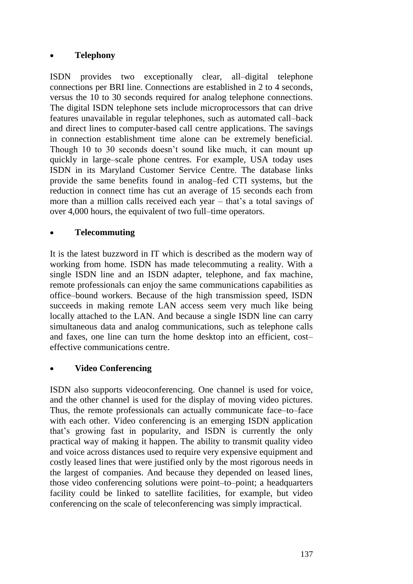### **Telephony**

ISDN provides two exceptionally clear, all–digital telephone connections per BRI line. Connections are established in 2 to 4 seconds, versus the 10 to 30 seconds required for analog telephone connections. The digital ISDN telephone sets include microprocessors that can drive features unavailable in regular telephones, such as automated call–back and direct lines to computer-based call centre applications. The savings in connection establishment time alone can be extremely beneficial. Though 10 to 30 seconds doesn't sound like much, it can mount up quickly in large–scale phone centres. For example, USA today uses ISDN in its Maryland Customer Service Centre. The database links provide the same benefits found in analog–fed CTI systems, but the reduction in connect time has cut an average of 15 seconds each from more than a million calls received each year – that's a total savings of over 4,000 hours, the equivalent of two full–time operators.

#### **Telecommuting**

It is the latest buzzword in IT which is described as the modern way of working from home. ISDN has made telecommuting a reality. With a single ISDN line and an ISDN adapter, telephone, and fax machine, remote professionals can enjoy the same communications capabilities as office–bound workers. Because of the high transmission speed, ISDN succeeds in making remote LAN access seem very much like being locally attached to the LAN. And because a single ISDN line can carry simultaneous data and analog communications, such as telephone calls and faxes, one line can turn the home desktop into an efficient, cost– effective communications centre.

#### **Video Conferencing**

ISDN also supports videoconferencing. One channel is used for voice, and the other channel is used for the display of moving video pictures. Thus, the remote professionals can actually communicate face–to–face with each other. Video conferencing is an emerging ISDN application that's growing fast in popularity, and ISDN is currently the only practical way of making it happen. The ability to transmit quality video and voice across distances used to require very expensive equipment and costly leased lines that were justified only by the most rigorous needs in the largest of companies. And because they depended on leased lines, those video conferencing solutions were point–to–point; a headquarters facility could be linked to satellite facilities, for example, but video conferencing on the scale of teleconferencing was simply impractical.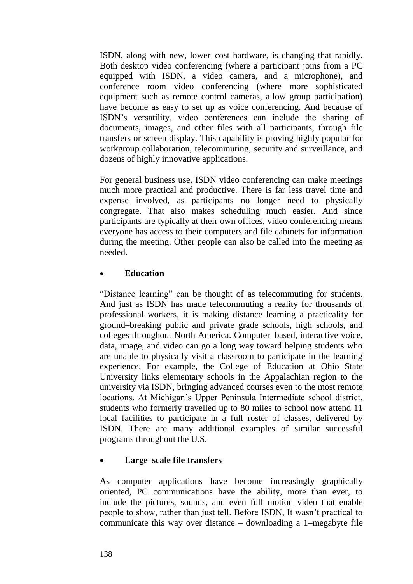ISDN, along with new, lower–cost hardware, is changing that rapidly. Both desktop video conferencing (where a participant joins from a PC equipped with ISDN, a video camera, and a microphone), and conference room video conferencing (where more sophisticated equipment such as remote control cameras, allow group participation) have become as easy to set up as voice conferencing. And because of ISDN's versatility, video conferences can include the sharing of documents, images, and other files with all participants, through file transfers or screen display. This capability is proving highly popular for workgroup collaboration, telecommuting, security and surveillance, and dozens of highly innovative applications.

For general business use, ISDN video conferencing can make meetings much more practical and productive. There is far less travel time and expense involved, as participants no longer need to physically congregate. That also makes scheduling much easier. And since participants are typically at their own offices, video conferencing means everyone has access to their computers and file cabinets for information during the meeting. Other people can also be called into the meeting as needed.

### **Education**

"Distance learning" can be thought of as telecommuting for students. And just as ISDN has made telecommuting a reality for thousands of professional workers, it is making distance learning a practicality for ground–breaking public and private grade schools, high schools, and colleges throughout North America. Computer–based, interactive voice, data, image, and video can go a long way toward helping students who are unable to physically visit a classroom to participate in the learning experience. For example, the College of Education at Ohio State University links elementary schools in the Appalachian region to the university via ISDN, bringing advanced courses even to the most remote locations. At Michigan's Upper Peninsula Intermediate school district, students who formerly travelled up to 80 miles to school now attend 11 local facilities to participate in a full roster of classes, delivered by ISDN. There are many additional examples of similar successful programs throughout the U.S.

#### **Large–scale file transfers**

As computer applications have become increasingly graphically oriented, PC communications have the ability, more than ever, to include the pictures, sounds, and even full–motion video that enable people to show, rather than just tell. Before ISDN, It wasn't practical to communicate this way over distance – downloading a 1–megabyte file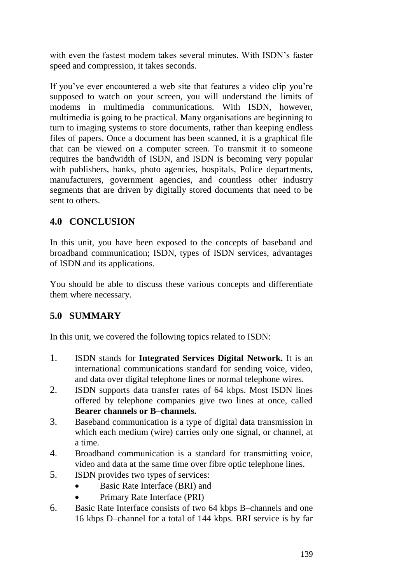with even the fastest modem takes several minutes. With ISDN's faster speed and compression, it takes seconds.

If you've ever encountered a web site that features a video clip you're supposed to watch on your screen, you will understand the limits of modems in multimedia communications. With ISDN, however, multimedia is going to be practical. Many organisations are beginning to turn to imaging systems to store documents, rather than keeping endless files of papers. Once a document has been scanned, it is a graphical file that can be viewed on a computer screen. To transmit it to someone requires the bandwidth of ISDN, and ISDN is becoming very popular with publishers, banks, photo agencies, hospitals, Police departments, manufacturers, government agencies, and countless other industry segments that are driven by digitally stored documents that need to be sent to others.

# **4.0 CONCLUSION**

In this unit, you have been exposed to the concepts of baseband and broadband communication; ISDN, types of ISDN services, advantages of ISDN and its applications.

You should be able to discuss these various concepts and differentiate them where necessary.

# **5.0 SUMMARY**

In this unit, we covered the following topics related to ISDN:

- 1. ISDN stands for **Integrated Services Digital Network.** It is an international communications standard for sending voice, video, and data over digital telephone lines or normal telephone wires.
- 2. ISDN supports data transfer rates of 64 kbps. Most ISDN lines offered by telephone companies give two lines at once, called **Bearer channels or B–channels.**
- 3. Baseband communication is a type of digital data transmission in which each medium (wire) carries only one signal, or channel, at a time.
- 4. Broadband communication is a standard for transmitting voice, video and data at the same time over fibre optic telephone lines.
- 5. ISDN provides two types of services:
	- Basic Rate Interface (BRI) and
		- Primary Rate Interface (PRI)
- 6. Basic Rate Interface consists of two 64 kbps B–channels and one 16 kbps D–channel for a total of 144 kbps. BRI service is by far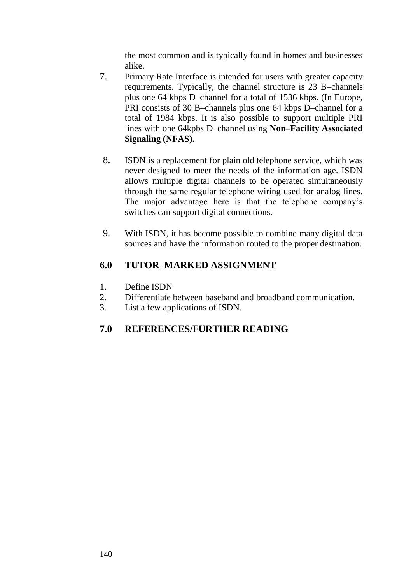the most common and is typically found in homes and businesses alike.

- 7. Primary Rate Interface is intended for users with greater capacity requirements. Typically, the channel structure is 23 B–channels plus one 64 kbps D–channel for a total of 1536 kbps. (In Europe, PRI consists of 30 B–channels plus one 64 kbps D–channel for a total of 1984 kbps. It is also possible to support multiple PRI lines with one 64kpbs D–channel using **Non–Facility Associated Signaling (NFAS).**
	- 8. ISDN is a replacement for plain old telephone service, which was never designed to meet the needs of the information age. ISDN allows multiple digital channels to be operated simultaneously through the same regular telephone wiring used for analog lines. The major advantage here is that the telephone company's switches can support digital connections.
- 9. With ISDN, it has become possible to combine many digital data sources and have the information routed to the proper destination.

## **6.0 TUTOR–MARKED ASSIGNMENT**

- 1. Define ISDN
- 2. Differentiate between baseband and broadband communication.
- 3. List a few applications of ISDN.

## **7.0 REFERENCES/FURTHER READING**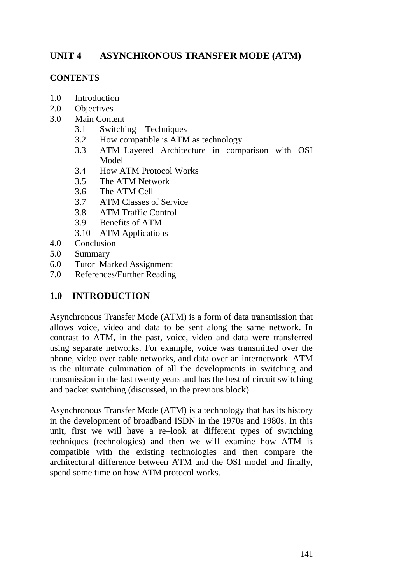# **UNIT 4 ASYNCHRONOUS TRANSFER MODE (ATM)**

### **CONTENTS**

- 1.0 Introduction
- 2.0 Objectives
- 3.0 Main Content
	- 3.1 Switching Techniques
	- 3.2 How compatible is ATM as technology
	- 3.3 ATM–Layered Architecture in comparison with OSI Model
	- 3.4 How ATM Protocol Works
	- 3.5 The ATM Network
	- 3.6 The ATM Cell
	- 3.7 ATM Classes of Service
	- 3.8 ATM Traffic Control
	- 3.9 Benefits of ATM
	- 3.10 ATM Applications
- 4.0 Conclusion
- 5.0 Summary
- 6.0 Tutor–Marked Assignment
- 7.0 References/Further Reading

## **1.0 INTRODUCTION**

Asynchronous Transfer Mode (ATM) is a form of data transmission that allows voice, video and data to be sent along the same network. In contrast to ATM, in the past, voice, video and data were transferred using separate networks. For example, voice was transmitted over the phone, video over cable networks, and data over an internetwork. ATM is the ultimate culmination of all the developments in switching and transmission in the last twenty years and has the best of circuit switching and packet switching (discussed, in the previous block).

Asynchronous Transfer Mode (ATM) is a technology that has its history in the development of broadband ISDN in the 1970s and 1980s. In this unit, first we will have a re–look at different types of switching techniques (technologies) and then we will examine how ATM is compatible with the existing technologies and then compare the architectural difference between ATM and the OSI model and finally, spend some time on how ATM protocol works.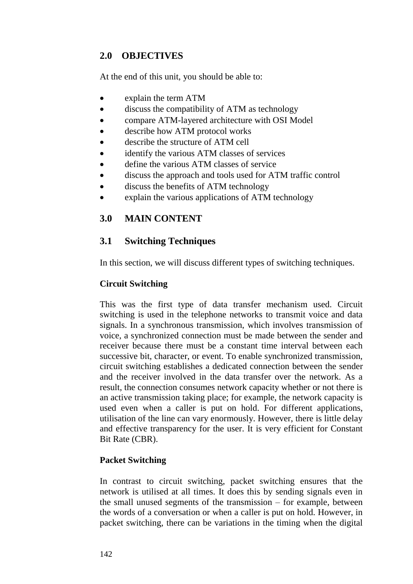## **2.0 OBJECTIVES**

At the end of this unit, you should be able to:

- explain the term ATM
- discuss the compatibility of ATM as technology
- compare ATM-layered architecture with OSI Model
- describe how ATM protocol works
- describe the structure of ATM cell
- identify the various ATM classes of services
- define the various ATM classes of service
- discuss the approach and tools used for ATM traffic control
- discuss the benefits of ATM technology
- explain the various applications of ATM technology

## **3.0 MAIN CONTENT**

### **3.1 Switching Techniques**

In this section, we will discuss different types of switching techniques.

### **Circuit Switching**

This was the first type of data transfer mechanism used. Circuit switching is used in the telephone networks to transmit voice and data signals. In a synchronous transmission, which involves transmission of voice, a synchronized connection must be made between the sender and receiver because there must be a constant time interval between each successive bit, character, or event. To enable synchronized transmission, circuit switching establishes a dedicated connection between the sender and the receiver involved in the data transfer over the network. As a result, the connection consumes network capacity whether or not there is an active transmission taking place; for example, the network capacity is used even when a caller is put on hold. For different applications, utilisation of the line can vary enormously. However, there is little delay and effective transparency for the user. It is very efficient for Constant Bit Rate (CBR).

### **Packet Switching**

In contrast to circuit switching, packet switching ensures that the network is utilised at all times. It does this by sending signals even in the small unused segments of the transmission – for example, between the words of a conversation or when a caller is put on hold. However, in packet switching, there can be variations in the timing when the digital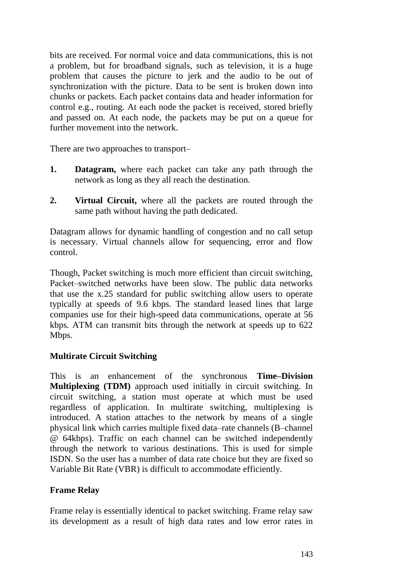bits are received. For normal voice and data communications, this is not a problem, but for broadband signals, such as television, it is a huge problem that causes the picture to jerk and the audio to be out of synchronization with the picture. Data to be sent is broken down into chunks or packets. Each packet contains data and header information for control e.g., routing. At each node the packet is received, stored briefly and passed on. At each node, the packets may be put on a queue for further movement into the network.

There are two approaches to transport–

- **1. Datagram,** where each packet can take any path through the network as long as they all reach the destination.
- **2. Virtual Circuit,** where all the packets are routed through the same path without having the path dedicated.

Datagram allows for dynamic handling of congestion and no call setup is necessary. Virtual channels allow for sequencing, error and flow control.

Though, Packet switching is much more efficient than circuit switching, Packet–switched networks have been slow. The public data networks that use the x.25 standard for public switching allow users to operate typically at speeds of 9.6 kbps. The standard leased lines that large companies use for their high-speed data communications, operate at 56 kbps. ATM can transmit bits through the network at speeds up to 622 Mbps.

### **Multirate Circuit Switching**

This is an enhancement of the synchronous **Time–Division Multiplexing (TDM)** approach used initially in circuit switching. In circuit switching, a station must operate at which must be used regardless of application. In multirate switching, multiplexing is introduced. A station attaches to the network by means of a single physical link which carries multiple fixed data–rate channels (B–channel @ 64kbps). Traffic on each channel can be switched independently through the network to various destinations. This is used for simple ISDN. So the user has a number of data rate choice but they are fixed so Variable Bit Rate (VBR) is difficult to accommodate efficiently.

#### **Frame Relay**

Frame relay is essentially identical to packet switching. Frame relay saw its development as a result of high data rates and low error rates in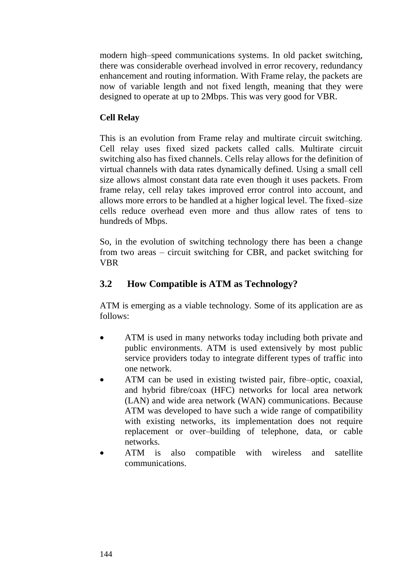modern high–speed communications systems. In old packet switching, there was considerable overhead involved in error recovery, redundancy enhancement and routing information. With Frame relay, the packets are now of variable length and not fixed length, meaning that they were designed to operate at up to 2Mbps. This was very good for VBR.

### **Cell Relay**

This is an evolution from Frame relay and multirate circuit switching. Cell relay uses fixed sized packets called calls. Multirate circuit switching also has fixed channels. Cells relay allows for the definition of virtual channels with data rates dynamically defined. Using a small cell size allows almost constant data rate even though it uses packets. From frame relay, cell relay takes improved error control into account, and allows more errors to be handled at a higher logical level. The fixed–size cells reduce overhead even more and thus allow rates of tens to hundreds of Mbps.

So, in the evolution of switching technology there has been a change from two areas – circuit switching for CBR, and packet switching for VBR

## **3.2 How Compatible is ATM as Technology?**

ATM is emerging as a viable technology. Some of its application are as follows:

- ATM is used in many networks today including both private and public environments. ATM is used extensively by most public service providers today to integrate different types of traffic into one network.
- ATM can be used in existing twisted pair, fibre–optic, coaxial, and hybrid fibre/coax (HFC) networks for local area network (LAN) and wide area network (WAN) communications. Because ATM was developed to have such a wide range of compatibility with existing networks, its implementation does not require replacement or over–building of telephone, data, or cable networks.
- ATM is also compatible with wireless and satellite communications.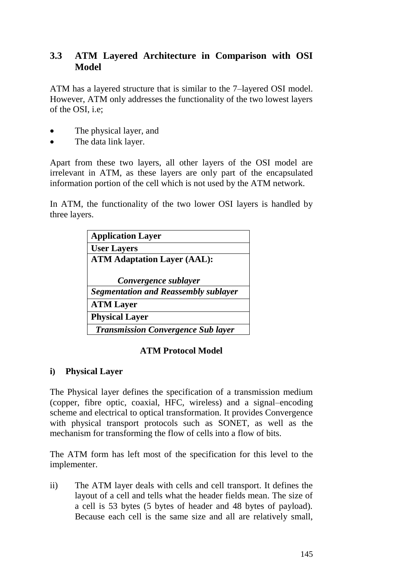## **3.3 ATM Layered Architecture in Comparison with OSI Model**

ATM has a layered structure that is similar to the 7–layered OSI model. However, ATM only addresses the functionality of the two lowest layers of the OSI, i.e;

- The physical layer, and
- The data link layer.

Apart from these two layers, all other layers of the OSI model are irrelevant in ATM, as these layers are only part of the encapsulated information portion of the cell which is not used by the ATM network.

In ATM, the functionality of the two lower OSI layers is handled by three layers.

| <b>Application Layer</b>                    |  |
|---------------------------------------------|--|
| <b>User Layers</b>                          |  |
| <b>ATM Adaptation Layer (AAL):</b>          |  |
| Convergence sublayer                        |  |
| <b>Segmentation and Reassembly sublayer</b> |  |
| <b>ATM Layer</b>                            |  |
| <b>Physical Layer</b>                       |  |
| <b>Transmission Convergence Sub layer</b>   |  |

#### **ATM Protocol Model**

#### **i) Physical Layer**

The Physical layer defines the specification of a transmission medium (copper, fibre optic, coaxial, HFC, wireless) and a signal–encoding scheme and electrical to optical transformation. It provides Convergence with physical transport protocols such as SONET, as well as the mechanism for transforming the flow of cells into a flow of bits.

The ATM form has left most of the specification for this level to the implementer.

ii) The ATM layer deals with cells and cell transport. It defines the layout of a cell and tells what the header fields mean. The size of a cell is 53 bytes (5 bytes of header and 48 bytes of payload). Because each cell is the same size and all are relatively small,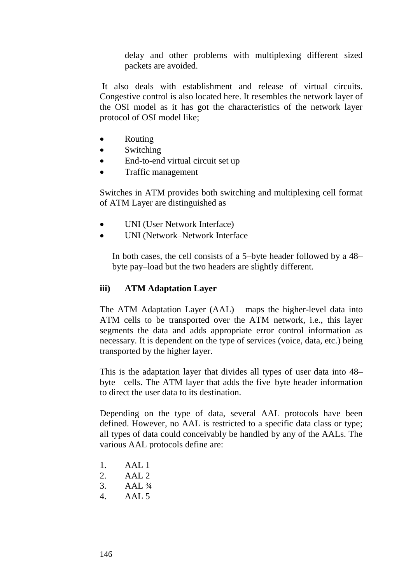delay and other problems with multiplexing different sized packets are avoided.

It also deals with establishment and release of virtual circuits. Congestive control is also located here. It resembles the network layer of the OSI model as it has got the characteristics of the network layer protocol of OSI model like;

- Routing
- Switching
- End-to-end virtual circuit set up
- Traffic management

Switches in ATM provides both switching and multiplexing cell format of ATM Layer are distinguished as

- UNI (User Network Interface)
- UNI (Network–Network Interface

In both cases, the cell consists of a 5–byte header followed by a 48– byte pay–load but the two headers are slightly different.

#### **iii) ATM Adaptation Layer**

The ATM Adaptation Layer (AAL) maps the higher-level data into ATM cells to be transported over the ATM network, i.e., this layer segments the data and adds appropriate error control information as necessary. It is dependent on the type of services (voice, data, etc.) being transported by the higher layer.

This is the adaptation layer that divides all types of user data into 48– byte cells. The ATM layer that adds the five–byte header information to direct the user data to its destination.

Depending on the type of data, several AAL protocols have been defined. However, no AAL is restricted to a specific data class or type; all types of data could conceivably be handled by any of the AALs. The various AAL protocols define are:

- 1. AAL 1
- 2. AAL 2
- 3. AAL ¾
- 4. AAL 5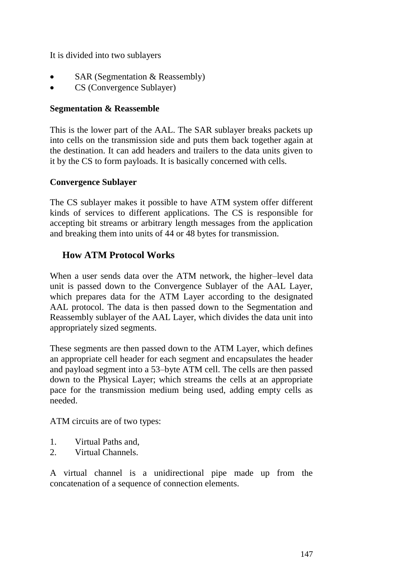It is divided into two sublayers

- SAR (Segmentation & Reassembly)
- CS (Convergence Sublayer)

### **Segmentation & Reassemble**

This is the lower part of the AAL. The SAR sublayer breaks packets up into cells on the transmission side and puts them back together again at the destination. It can add headers and trailers to the data units given to it by the CS to form payloads. It is basically concerned with cells.

### **Convergence Sublayer**

The CS sublayer makes it possible to have ATM system offer different kinds of services to different applications. The CS is responsible for accepting bit streams or arbitrary length messages from the application and breaking them into units of 44 or 48 bytes for transmission.

### **How ATM Protocol Works**

When a user sends data over the ATM network, the higher–level data unit is passed down to the Convergence Sublayer of the AAL Layer, which prepares data for the ATM Layer according to the designated AAL protocol. The data is then passed down to the Segmentation and Reassembly sublayer of the AAL Layer, which divides the data unit into appropriately sized segments.

These segments are then passed down to the ATM Layer, which defines an appropriate cell header for each segment and encapsulates the header and payload segment into a 53–byte ATM cell. The cells are then passed down to the Physical Layer; which streams the cells at an appropriate pace for the transmission medium being used, adding empty cells as needed.

ATM circuits are of two types:

- 1. Virtual Paths and,
- 2. Virtual Channels.

A virtual channel is a unidirectional pipe made up from the concatenation of a sequence of connection elements.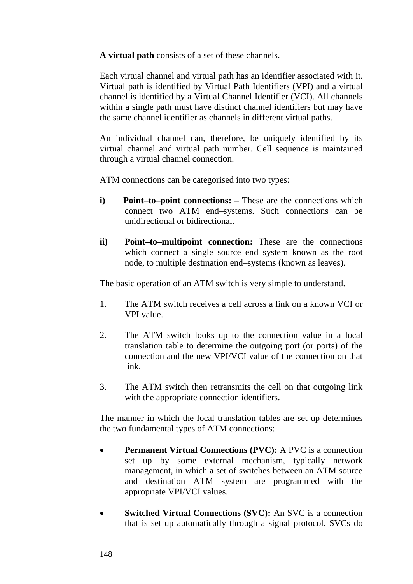**A virtual path** consists of a set of these channels.

Each virtual channel and virtual path has an identifier associated with it. Virtual path is identified by Virtual Path Identifiers (VPI) and a virtual channel is identified by a Virtual Channel Identifier (VCI). All channels within a single path must have distinct channel identifiers but may have the same channel identifier as channels in different virtual paths.

An individual channel can, therefore, be uniquely identified by its virtual channel and virtual path number. Cell sequence is maintained through a virtual channel connection.

ATM connections can be categorised into two types:

- **i) Point–to–point connections: –** These are the connections which connect two ATM end–systems. Such connections can be unidirectional or bidirectional.
- **ii) Point–to–multipoint connection:** These are the connections which connect a single source end–system known as the root node, to multiple destination end–systems (known as leaves).

The basic operation of an ATM switch is very simple to understand.

- 1. The ATM switch receives a cell across a link on a known VCI or VPI value.
- 2. The ATM switch looks up to the connection value in a local translation table to determine the outgoing port (or ports) of the connection and the new VPI/VCI value of the connection on that link.
- 3. The ATM switch then retransmits the cell on that outgoing link with the appropriate connection identifiers.

The manner in which the local translation tables are set up determines the two fundamental types of ATM connections:

- **• Permanent Virtual Connections (PVC):** A PVC is a connection set up by some external mechanism, typically network management, in which a set of switches between an ATM source and destination ATM system are programmed with the appropriate VPI/VCI values.
- **Switched Virtual Connections (SVC):** An SVC is a connection that is set up automatically through a signal protocol. SVCs do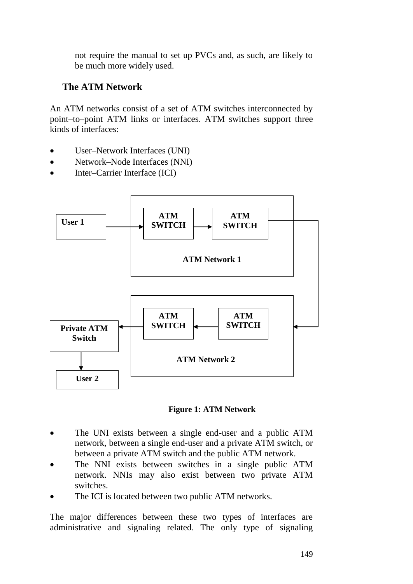not require the manual to set up PVCs and, as such, are likely to be much more widely used.

### **The ATM Network**

An ATM networks consist of a set of ATM switches interconnected by point–to–point ATM links or interfaces. ATM switches support three kinds of interfaces:

- User–Network Interfaces (UNI)
- Network–Node Interfaces (NNI)
- Inter–Carrier Interface (ICI)



**Figure 1: ATM Network**

- The UNI exists between a single end-user and a public ATM network, between a single end-user and a private ATM switch, or between a private ATM switch and the public ATM network.
- The NNI exists between switches in a single public ATM network. NNIs may also exist between two private ATM switches.
- The ICI is located between two public ATM networks.

The major differences between these two types of interfaces are administrative and signaling related. The only type of signaling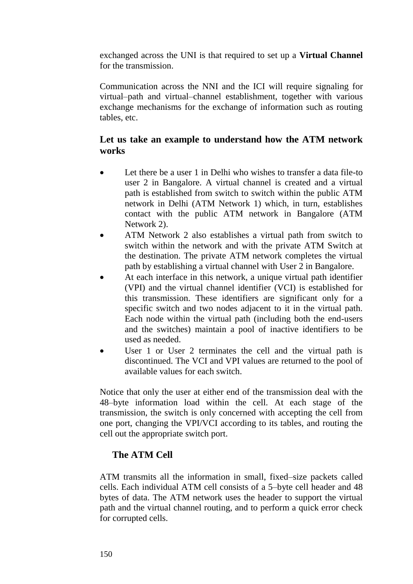exchanged across the UNI is that required to set up a **Virtual Channel** for the transmission.

Communication across the NNI and the ICI will require signaling for virtual–path and virtual–channel establishment, together with various exchange mechanisms for the exchange of information such as routing tables, etc.

## **Let us take an example to understand how the ATM network works**

- Let there be a user 1 in Delhi who wishes to transfer a data file-to user 2 in Bangalore. A virtual channel is created and a virtual path is established from switch to switch within the public ATM network in Delhi (ATM Network 1) which, in turn, establishes contact with the public ATM network in Bangalore (ATM Network 2).
- ATM Network 2 also establishes a virtual path from switch to switch within the network and with the private ATM Switch at the destination. The private ATM network completes the virtual path by establishing a virtual channel with User 2 in Bangalore.
- At each interface in this network, a unique virtual path identifier (VPI) and the virtual channel identifier (VCI) is established for this transmission. These identifiers are significant only for a specific switch and two nodes adjacent to it in the virtual path. Each node within the virtual path (including both the end-users and the switches) maintain a pool of inactive identifiers to be used as needed.
- User 1 or User 2 terminates the cell and the virtual path is discontinued. The VCI and VPI values are returned to the pool of available values for each switch.

Notice that only the user at either end of the transmission deal with the 48–byte information load within the cell. At each stage of the transmission, the switch is only concerned with accepting the cell from one port, changing the VPI/VCI according to its tables, and routing the cell out the appropriate switch port.

## **The ATM Cell**

ATM transmits all the information in small, fixed–size packets called cells. Each individual ATM cell consists of a 5–byte cell header and 48 bytes of data. The ATM network uses the header to support the virtual path and the virtual channel routing, and to perform a quick error check for corrupted cells.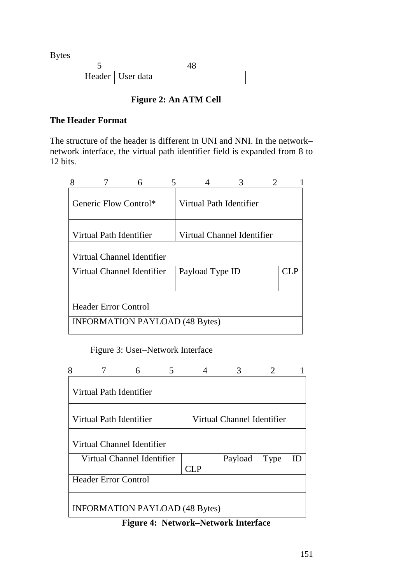Bytes

 5 48 Header User data

## **Figure 2: An ATM Cell**

#### **The Header Format**

The structure of the header is different in UNI and NNI. In the network– network interface, the virtual path identifier field is expanded from 8 to 12 bits.

| Generic Flow Control*      | Virtual Path Identifier    |      |
|----------------------------|----------------------------|------|
|                            |                            |      |
| Virtual Path Identifier    | Virtual Channel Identifier |      |
| Virtual Channel Identifier |                            |      |
| Virtual Channel Identifier | Payload Type ID            | CL P |

Figure 3: User–Network Interface

| Virtual Path Identifier     |                            |     |                            |      |
|-----------------------------|----------------------------|-----|----------------------------|------|
|                             | Virtual Path Identifier    |     | Virtual Channel Identifier |      |
|                             | Virtual Channel Identifier |     |                            |      |
|                             | Virtual Channel Identifier | CLP | Payload                    | Type |
| <b>Header Error Control</b> |                            |     |                            |      |
|                             |                            |     |                            |      |

**Figure 4: Network–Network Interface**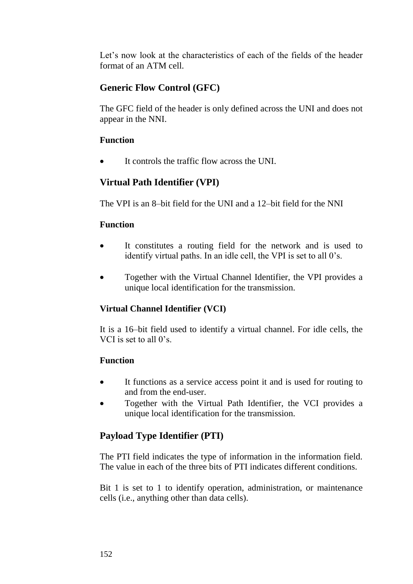Let's now look at the characteristics of each of the fields of the header format of an ATM cell.

## **Generic Flow Control (GFC)**

The GFC field of the header is only defined across the UNI and does not appear in the NNI.

### **Function**

It controls the traffic flow across the UNI.

## **Virtual Path Identifier (VPI)**

The VPI is an 8–bit field for the UNI and a 12–bit field for the NNI

### **Function**

- It constitutes a routing field for the network and is used to identify virtual paths. In an idle cell, the VPI is set to all 0's.
- Together with the Virtual Channel Identifier, the VPI provides a unique local identification for the transmission.

## **Virtual Channel Identifier (VCI)**

It is a 16–bit field used to identify a virtual channel. For idle cells, the VCI is set to all 0's.

### **Function**

- It functions as a service access point it and is used for routing to and from the end-user.
- Together with the Virtual Path Identifier, the VCI provides a unique local identification for the transmission.

## **Payload Type Identifier (PTI)**

The PTI field indicates the type of information in the information field. The value in each of the three bits of PTI indicates different conditions.

Bit 1 is set to 1 to identify operation, administration, or maintenance cells (i.e., anything other than data cells).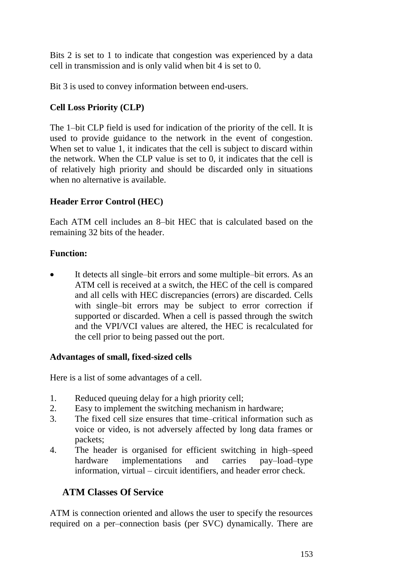Bits 2 is set to 1 to indicate that congestion was experienced by a data cell in transmission and is only valid when bit 4 is set to 0.

Bit 3 is used to convey information between end-users.

## **Cell Loss Priority (CLP)**

The 1–bit CLP field is used for indication of the priority of the cell. It is used to provide guidance to the network in the event of congestion. When set to value 1, it indicates that the cell is subject to discard within the network. When the CLP value is set to 0, it indicates that the cell is of relatively high priority and should be discarded only in situations when no alternative is available.

## **Header Error Control (HEC)**

Each ATM cell includes an 8–bit HEC that is calculated based on the remaining 32 bits of the header.

### **Function:**

 It detects all single–bit errors and some multiple–bit errors. As an ATM cell is received at a switch, the HEC of the cell is compared and all cells with HEC discrepancies (errors) are discarded. Cells with single–bit errors may be subject to error correction if supported or discarded. When a cell is passed through the switch and the VPI/VCI values are altered, the HEC is recalculated for the cell prior to being passed out the port.

### **Advantages of small, fixed-sized cells**

Here is a list of some advantages of a cell.

- 1. Reduced queuing delay for a high priority cell;
- 2. Easy to implement the switching mechanism in hardware;
- 3. The fixed cell size ensures that time–critical information such as voice or video, is not adversely affected by long data frames or packets;
- 4. The header is organised for efficient switching in high–speed hardware implementations and carries pay–load–type information, virtual – circuit identifiers, and header error check.

# **ATM Classes Of Service**

ATM is connection oriented and allows the user to specify the resources required on a per–connection basis (per SVC) dynamically. There are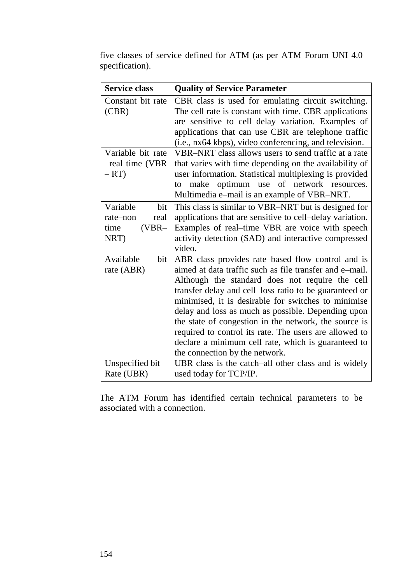| <b>Service class</b>                                           | <b>Quality of Service Parameter</b>                                                                                                                                                                                                                                                                                                                                                                                                                                                                                                                |
|----------------------------------------------------------------|----------------------------------------------------------------------------------------------------------------------------------------------------------------------------------------------------------------------------------------------------------------------------------------------------------------------------------------------------------------------------------------------------------------------------------------------------------------------------------------------------------------------------------------------------|
| Constant bit rate<br>(CBR)                                     | CBR class is used for emulating circuit switching.<br>The cell rate is constant with time. CBR applications<br>are sensitive to cell-delay variation. Examples of<br>applications that can use CBR are telephone traffic<br>(i.e., nx64 kbps), video conferencing, and television.                                                                                                                                                                                                                                                                 |
| Variable bit rate<br>-real time (VBR<br>$- RT)$                | VBR-NRT class allows users to send traffic at a rate<br>that varies with time depending on the availability of<br>user information. Statistical multiplexing is provided<br>make optimum use of network resources.<br>to<br>Multimedia e-mail is an example of VBR-NRT.                                                                                                                                                                                                                                                                            |
| Variable<br>bit<br>real<br>rate-non<br>$(VBR-$<br>time<br>NRT) | This class is similar to VBR-NRT but is designed for<br>applications that are sensitive to cell-delay variation.<br>Examples of real-time VBR are voice with speech<br>activity detection (SAD) and interactive compressed<br>video.                                                                                                                                                                                                                                                                                                               |
| Available<br>bit<br>rate (ABR)                                 | ABR class provides rate-based flow control and is<br>aimed at data traffic such as file transfer and e-mail.<br>Although the standard does not require the cell<br>transfer delay and cell-loss ratio to be guaranteed or<br>minimised, it is desirable for switches to minimise<br>delay and loss as much as possible. Depending upon<br>the state of congestion in the network, the source is<br>required to control its rate. The users are allowed to<br>declare a minimum cell rate, which is guaranteed to<br>the connection by the network. |
| Unspecified bit<br>Rate (UBR)                                  | UBR class is the catch-all other class and is widely<br>used today for TCP/IP.                                                                                                                                                                                                                                                                                                                                                                                                                                                                     |

five classes of service defined for ATM (as per ATM Forum UNI 4.0 specification).

The ATM Forum has identified certain technical parameters to be associated with a connection.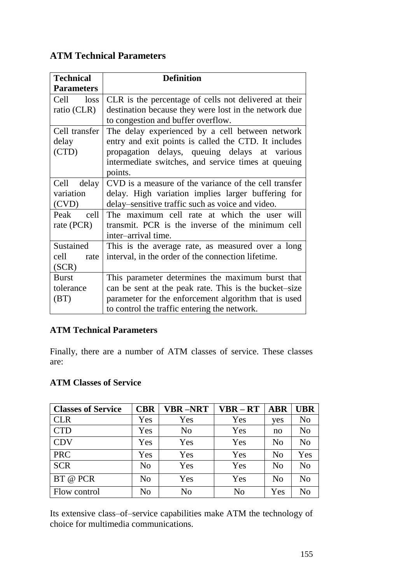# **ATM Technical Parameters**

| <b>Technical</b>  | <b>Definition</b>                                     |
|-------------------|-------------------------------------------------------|
| <b>Parameters</b> |                                                       |
| Cell<br>loss      | CLR is the percentage of cells not delivered at their |
| ratio (CLR)       | destination because they were lost in the network due |
|                   | to congestion and buffer overflow.                    |
| Cell transfer     | The delay experienced by a cell between network       |
| delay             | entry and exit points is called the CTD. It includes  |
| (CTD)             | propagation delays, queuing delays at various         |
|                   | intermediate switches, and service times at queuing   |
|                   | points.                                               |
| Cell delay        | CVD is a measure of the variance of the cell transfer |
| variation         | delay. High variation implies larger buffering for    |
| (CVD)             | delay-sensitive traffic such as voice and video.      |
| Peak<br>cell      | The maximum cell rate at which the user will          |
| rate (PCR)        | transmit. PCR is the inverse of the minimum cell      |
|                   | inter-arrival time.                                   |
| Sustained         | This is the average rate, as measured over a long     |
| cell<br>rate      | interval, in the order of the connection lifetime.    |
| (SCR)             |                                                       |
| <b>Burst</b>      | This parameter determines the maximum burst that      |
| tolerance         | can be sent at the peak rate. This is the bucket-size |
| (BT)              | parameter for the enforcement algorithm that is used  |
|                   | to control the traffic entering the network.          |

### **ATM Technical Parameters**

Finally, there are a number of ATM classes of service. These classes are:

#### **ATM Classes of Service**

| <b>Classes of Service</b> | <b>CBR</b>     | <b>VBR-NRT</b> | $VBR - RT$     | <b>ABR</b>     | <b>UBR</b>     |
|---------------------------|----------------|----------------|----------------|----------------|----------------|
| <b>CLR</b>                | Yes            | Yes            | Yes            | yes            | N <sub>0</sub> |
| <b>CTD</b>                | Yes            | N <sub>0</sub> | Yes            | no             | N <sub>o</sub> |
| <b>CDV</b>                | Yes            | Yes            | Yes            | No             | N <sub>0</sub> |
| <b>PRC</b>                | Yes            | Yes            | Yes            | N <sub>0</sub> | Yes            |
| <b>SCR</b>                | N <sub>0</sub> | Yes            | Yes            | N <sub>0</sub> | N <sub>o</sub> |
| BT @ PCR                  | N <sub>0</sub> | Yes            | Yes            | N <sub>0</sub> | N <sub>0</sub> |
| Flow control              | No             | No             | N <sub>0</sub> | Yes            | No             |

Its extensive class–of–service capabilities make ATM the technology of choice for multimedia communications.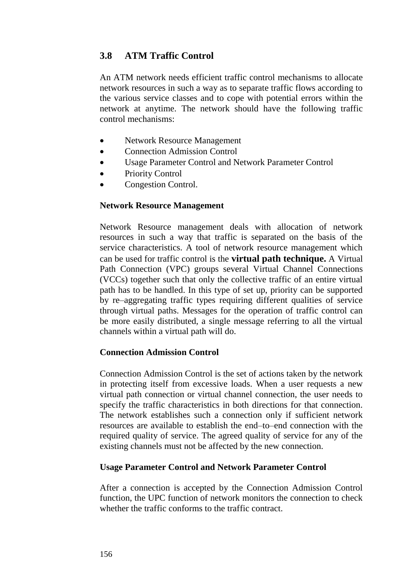## **3.8 ATM Traffic Control**

An ATM network needs efficient traffic control mechanisms to allocate network resources in such a way as to separate traffic flows according to the various service classes and to cope with potential errors within the network at anytime. The network should have the following traffic control mechanisms:

- Network Resource Management
- Connection Admission Control
- Usage Parameter Control and Network Parameter Control
- Priority Control
- Congestion Control.

#### **Network Resource Management**

Network Resource management deals with allocation of network resources in such a way that traffic is separated on the basis of the service characteristics. A tool of network resource management which can be used for traffic control is the **virtual path technique.** A Virtual Path Connection (VPC) groups several Virtual Channel Connections (VCCs) together such that only the collective traffic of an entire virtual path has to be handled. In this type of set up, priority can be supported by re–aggregating traffic types requiring different qualities of service through virtual paths. Messages for the operation of traffic control can be more easily distributed, a single message referring to all the virtual channels within a virtual path will do.

#### **Connection Admission Control**

Connection Admission Control is the set of actions taken by the network in protecting itself from excessive loads. When a user requests a new virtual path connection or virtual channel connection, the user needs to specify the traffic characteristics in both directions for that connection. The network establishes such a connection only if sufficient network resources are available to establish the end–to–end connection with the required quality of service. The agreed quality of service for any of the existing channels must not be affected by the new connection.

#### **Usage Parameter Control and Network Parameter Control**

After a connection is accepted by the Connection Admission Control function, the UPC function of network monitors the connection to check whether the traffic conforms to the traffic contract.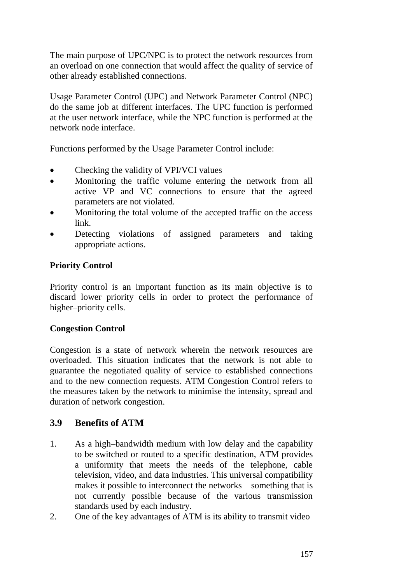The main purpose of UPC/NPC is to protect the network resources from an overload on one connection that would affect the quality of service of other already established connections.

Usage Parameter Control (UPC) and Network Parameter Control (NPC) do the same job at different interfaces. The UPC function is performed at the user network interface, while the NPC function is performed at the network node interface.

Functions performed by the Usage Parameter Control include:

- Checking the validity of VPI/VCI values
- Monitoring the traffic volume entering the network from all active VP and VC connections to ensure that the agreed parameters are not violated.
- Monitoring the total volume of the accepted traffic on the access link.
- Detecting violations of assigned parameters and taking appropriate actions.

## **Priority Control**

Priority control is an important function as its main objective is to discard lower priority cells in order to protect the performance of higher–priority cells.

## **Congestion Control**

Congestion is a state of network wherein the network resources are overloaded. This situation indicates that the network is not able to guarantee the negotiated quality of service to established connections and to the new connection requests. ATM Congestion Control refers to the measures taken by the network to minimise the intensity, spread and duration of network congestion.

## **3.9 Benefits of ATM**

- 1. As a high–bandwidth medium with low delay and the capability to be switched or routed to a specific destination, ATM provides a uniformity that meets the needs of the telephone, cable television, video, and data industries. This universal compatibility makes it possible to interconnect the networks – something that is not currently possible because of the various transmission standards used by each industry.
- 2. One of the key advantages of ATM is its ability to transmit video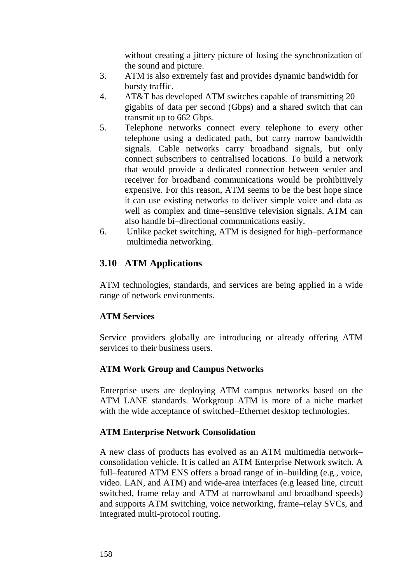without creating a jittery picture of losing the synchronization of the sound and picture.

- 3. ATM is also extremely fast and provides dynamic bandwidth for bursty traffic.
- 4. AT&T has developed ATM switches capable of transmitting 20 gigabits of data per second (Gbps) and a shared switch that can transmit up to 662 Gbps.
- 5. Telephone networks connect every telephone to every other telephone using a dedicated path, but carry narrow bandwidth signals. Cable networks carry broadband signals, but only connect subscribers to centralised locations. To build a network that would provide a dedicated connection between sender and receiver for broadband communications would be prohibitively expensive. For this reason, ATM seems to be the best hope since it can use existing networks to deliver simple voice and data as well as complex and time–sensitive television signals. ATM can also handle bi–directional communications easily.
- 6. Unlike packet switching, ATM is designed for high–performance multimedia networking.

# **3.10 ATM Applications**

ATM technologies, standards, and services are being applied in a wide range of network environments.

## **ATM Services**

Service providers globally are introducing or already offering ATM services to their business users.

## **ATM Work Group and Campus Networks**

Enterprise users are deploying ATM campus networks based on the ATM LANE standards. Workgroup ATM is more of a niche market with the wide acceptance of switched–Ethernet desktop technologies.

## **ATM Enterprise Network Consolidation**

A new class of products has evolved as an ATM multimedia network– consolidation vehicle. It is called an ATM Enterprise Network switch. A full–featured ATM ENS offers a broad range of in–building (e.g., voice, video. LAN, and ATM) and wide-area interfaces (e.g leased line, circuit switched, frame relay and ATM at narrowband and broadband speeds) and supports ATM switching, voice networking, frame–relay SVCs, and integrated multi-protocol routing.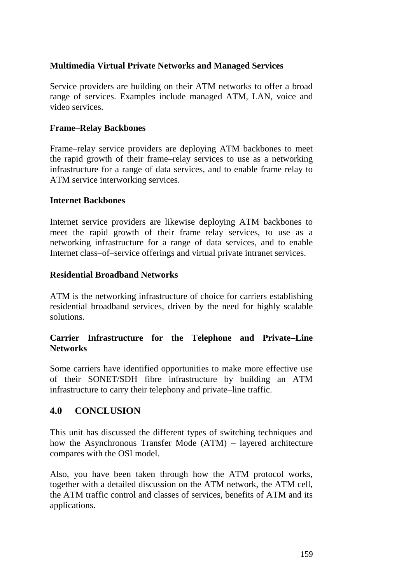#### **Multimedia Virtual Private Networks and Managed Services**

Service providers are building on their ATM networks to offer a broad range of services. Examples include managed ATM, LAN, voice and video services.

#### **Frame–Relay Backbones**

Frame–relay service providers are deploying ATM backbones to meet the rapid growth of their frame–relay services to use as a networking infrastructure for a range of data services, and to enable frame relay to ATM service interworking services.

#### **Internet Backbones**

Internet service providers are likewise deploying ATM backbones to meet the rapid growth of their frame–relay services, to use as a networking infrastructure for a range of data services, and to enable Internet class–of–service offerings and virtual private intranet services.

#### **Residential Broadband Networks**

ATM is the networking infrastructure of choice for carriers establishing residential broadband services, driven by the need for highly scalable solutions.

#### **Carrier Infrastructure for the Telephone and Private–Line Networks**

Some carriers have identified opportunities to make more effective use of their SONET/SDH fibre infrastructure by building an ATM infrastructure to carry their telephony and private–line traffic.

## **4.0 CONCLUSION**

This unit has discussed the different types of switching techniques and how the Asynchronous Transfer Mode (ATM) – layered architecture compares with the OSI model.

Also, you have been taken through how the ATM protocol works, together with a detailed discussion on the ATM network, the ATM cell, the ATM traffic control and classes of services, benefits of ATM and its applications.